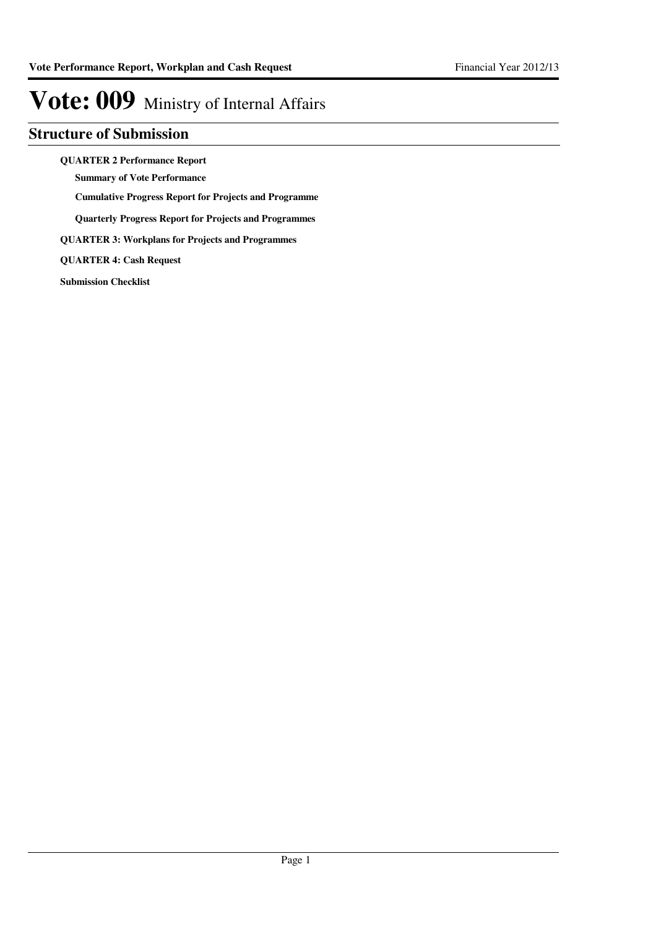### **Structure of Submission**

**QUARTER 2 Performance Report**

**Summary of Vote Performance**

**Cumulative Progress Report for Projects and Programme**

**Quarterly Progress Report for Projects and Programmes**

**QUARTER 3: Workplans for Projects and Programmes**

**QUARTER 4: Cash Request**

**Submission Checklist**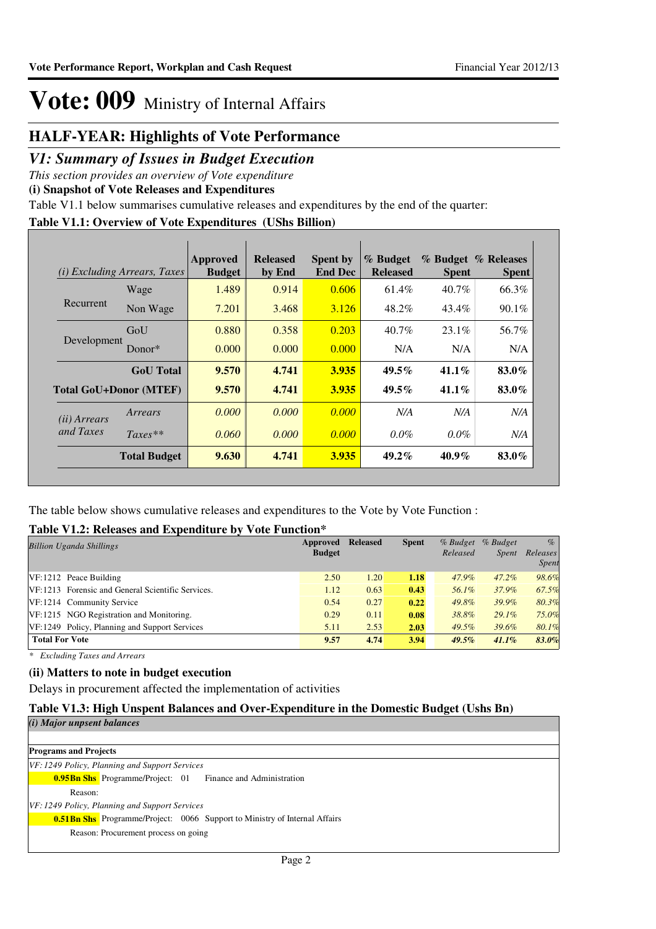### **HALF-YEAR: Highlights of Vote Performance**

### *V1: Summary of Issues in Budget Execution*

*This section provides an overview of Vote expenditure* 

**(i) Snapshot of Vote Releases and Expenditures**

Table V1.1 below summarises cumulative releases and expenditures by the end of the quarter:

### **Table V1.1: Overview of Vote Expenditures (UShs Billion)**

| (i)                   | <i>Excluding Arrears, Taxes</i> | Approved<br><b>Budget</b> | <b>Released</b><br>by End | <b>Spent by</b><br><b>End Dec</b> | % Budget<br><b>Released</b> | <b>Spent</b> | % Budget % Releases<br><b>Spent</b> |
|-----------------------|---------------------------------|---------------------------|---------------------------|-----------------------------------|-----------------------------|--------------|-------------------------------------|
|                       | Wage                            | 1.489                     | 0.914                     | 0.606                             | 61.4%                       | $40.7\%$     | 66.3%                               |
| Recurrent             | Non Wage                        | 7.201                     | 3.468                     | 3.126                             | 48.2%                       | 43.4%        | 90.1%                               |
| Development           | GoU                             | 0.880                     | 0.358                     | 0.203                             | $40.7\%$                    | $23.1\%$     | 56.7%                               |
|                       | Donor $*$                       | 0.000                     | 0.000                     | 0.000                             | N/A                         | N/A          | N/A                                 |
|                       | <b>GoU</b> Total                | 9.570                     | 4.741                     | 3.935                             | $49.5\%$                    | $41.1\%$     | 83.0%                               |
|                       | <b>Total GoU+Donor (MTEF)</b>   | 9.570                     | 4.741                     | 3.935                             | $49.5\%$                    | $41.1\%$     | 83.0%                               |
| ( <i>ii</i> ) Arrears | Arrears                         | 0.000                     | 0.000                     | 0.000                             | N/A                         | N/A          | N/A                                 |
| and Taxes             | $Taxes**$                       | 0.060                     | 0.000                     | 0.000                             | $0.0\%$                     | $0.0\%$      | N/A                                 |
|                       | <b>Total Budget</b>             | 9.630                     | 4.741                     | <b>3.935</b>                      | $49.2\%$                    | $40.9\%$     | 83.0%                               |

The table below shows cumulative releases and expenditures to the Vote by Vote Function :

### **Table V1.2: Releases and Expenditure by Vote Function\***

| <b>Billion Uganda Shillings</b>                   | Approved<br><b>Budget</b> | <b>Released</b> | <b>Spent</b> | $%$ Budget<br>Released | % Budget<br><i>Spent</i> | $\%$<br>Releases<br><b>Spent</b> |
|---------------------------------------------------|---------------------------|-----------------|--------------|------------------------|--------------------------|----------------------------------|
| $VF: 1212$ Peace Building                         | 2.50                      | 1.20            | 1.18         | 47.9%                  | $47.2\%$                 | 98.6%                            |
| VF:1213 Forensic and General Scientific Services. | 1.12                      | 0.63            | 0.43         | 56.1%                  | 37.9%                    | 67.5%                            |
| VF:1214 Community Service                         | 0.54                      | 0.27            | 0.22         | 49.8%                  | 39.9%                    | 80.3%                            |
| VF:1215 NGO Registration and Monitoring.          | 0.29                      | 0.11            | 0.08         | 38.8%                  | $29.1\%$                 | 75.0%                            |
| VF:1249 Policy, Planning and Support Services     | 5.11                      | 2.53            | 2.03         | $49.5\%$               | 39.6%                    | 80.1%                            |
| <b>Total For Vote</b>                             | 9.57                      | 4.74            | 3.94         | $49.5\%$               | 41.1%                    | 83.0%                            |

*\* Excluding Taxes and Arrears*

### **(ii) Matters to note in budget execution**

Delays in procurement affected the implementation of activities

### **Table V1.3: High Unspent Balances and Over-Expenditure in the Domestic Budget (Ushs Bn)**

|  | (i) Major unpsent balances |
|--|----------------------------|
|  |                            |

**Programs and Projects 0.95Bn Shs** Programme/Project: 01 Finance and Administration *VF: 1249 Policy, Planning and Support Services* Reason: **0.51Bn Shs** Programme/Project: 0066 Support to Ministry of Internal Affairs *VF: 1249 Policy, Planning and Support Services* Reason: Procurement process on going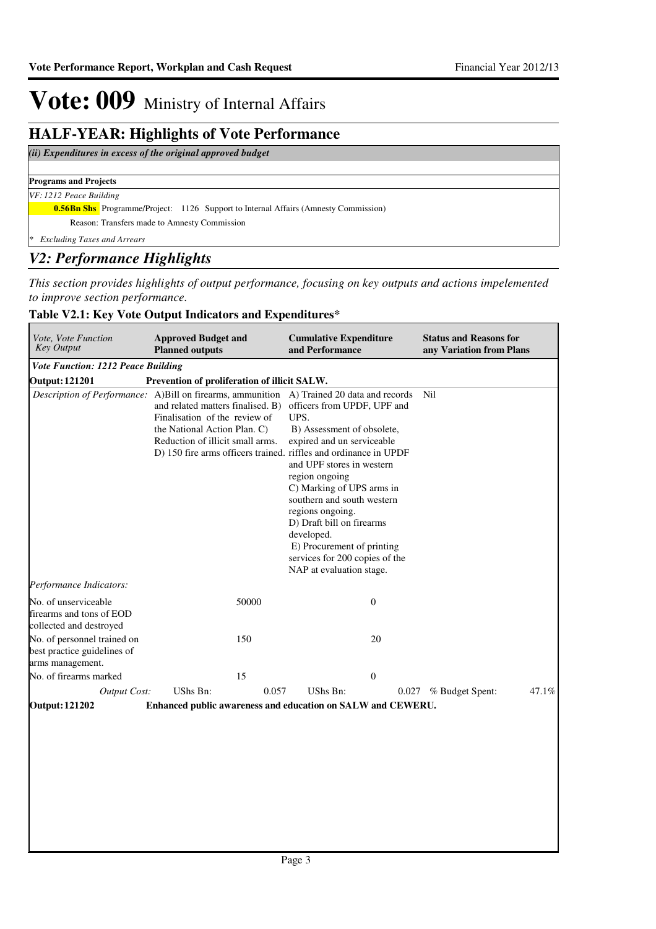### **HALF-YEAR: Highlights of Vote Performance**

### *(ii) Expenditures in excess of the original approved budget*

### **Programs and Projects**

### *VF: 1212 Peace Building*

**0.56Bn Shs** Programme/Project: 1126 Support to Internal Affairs (Amnesty Commission)

Reason: Transfers made to Amnesty Commission

*\* Excluding Taxes and Arrears*

### *V2: Performance Highlights*

*This section provides highlights of output performance, focusing on key outputs and actions impelemented to improve section performance.*

### **Table V2.1: Key Vote Output Indicators and Expenditures\***

| Vote, Vote Function<br><b>Key Output</b>                                                  | <b>Approved Budget and</b><br><b>Planned outputs</b>                                                                                                                                                       |       | <b>Cumulative Expenditure</b><br>and Performance                                                                                                                                                                                                                                                                                                                     |                |       | <b>Status and Reasons for</b><br>any Variation from Plans |       |
|-------------------------------------------------------------------------------------------|------------------------------------------------------------------------------------------------------------------------------------------------------------------------------------------------------------|-------|----------------------------------------------------------------------------------------------------------------------------------------------------------------------------------------------------------------------------------------------------------------------------------------------------------------------------------------------------------------------|----------------|-------|-----------------------------------------------------------|-------|
| <b>Vote Function: 1212 Peace Building</b>                                                 |                                                                                                                                                                                                            |       |                                                                                                                                                                                                                                                                                                                                                                      |                |       |                                                           |       |
| <b>Output: 121201</b>                                                                     | Prevention of proliferation of illicit SALW.                                                                                                                                                               |       |                                                                                                                                                                                                                                                                                                                                                                      |                |       |                                                           |       |
| Description of Performance: A)Bill on firearms, ammunition A) Trained 20 data and records | and related matters finalised. B)<br>Finalisation of the review of<br>the National Action Plan. C)<br>Reduction of illicit small arms.<br>D) 150 fire arms officers trained. riffles and ordinance in UPDF |       | officers from UPDF, UPF and<br>UPS.<br>B) Assessment of obsolete,<br>expired and un serviceable<br>and UPF stores in western<br>region ongoing<br>C) Marking of UPS arms in<br>southern and south western<br>regions ongoing.<br>D) Draft bill on firearms<br>developed.<br>E) Procurement of printing<br>services for 200 copies of the<br>NAP at evaluation stage. |                |       | Nil                                                       |       |
| Performance Indicators:                                                                   |                                                                                                                                                                                                            |       |                                                                                                                                                                                                                                                                                                                                                                      |                |       |                                                           |       |
| No. of unserviceable<br>firearms and tons of EOD<br>collected and destroyed               | 50000                                                                                                                                                                                                      |       |                                                                                                                                                                                                                                                                                                                                                                      | $\overline{0}$ |       |                                                           |       |
| No. of personnel trained on<br>best practice guidelines of<br>arms management.            | 150                                                                                                                                                                                                        |       |                                                                                                                                                                                                                                                                                                                                                                      | 20             |       |                                                           |       |
| No. of firearms marked                                                                    | 15                                                                                                                                                                                                         |       |                                                                                                                                                                                                                                                                                                                                                                      | $\overline{0}$ |       |                                                           |       |
| Output Cost:                                                                              | UShs Bn:                                                                                                                                                                                                   | 0.057 | UShs Bn:                                                                                                                                                                                                                                                                                                                                                             |                | 0.027 | % Budget Spent:                                           | 47.1% |
| <b>Output: 121202</b>                                                                     | Enhanced public awareness and education on SALW and CEWERU.                                                                                                                                                |       |                                                                                                                                                                                                                                                                                                                                                                      |                |       |                                                           |       |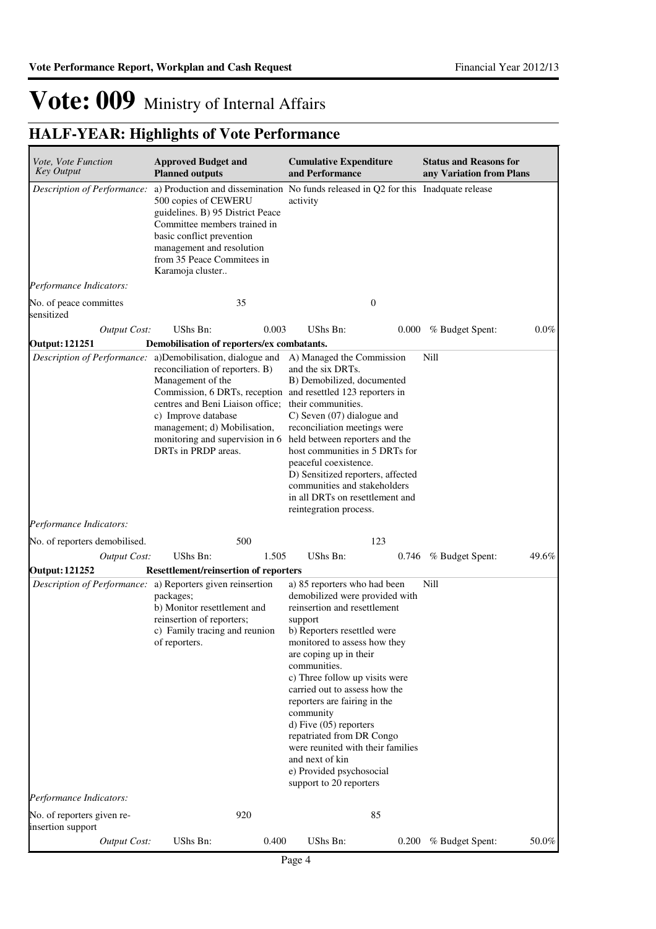| Vote, Vote Function<br><b>Key Output</b>        | <b>Approved Budget and</b><br><b>Planned outputs</b>                                                                                                                                                                                                                                                        | <b>Cumulative Expenditure</b><br>and Performance                                                                                                                                                                                                                                                                                                                                                                                                                                                         | <b>Status and Reasons for</b><br>any Variation from Plans |
|-------------------------------------------------|-------------------------------------------------------------------------------------------------------------------------------------------------------------------------------------------------------------------------------------------------------------------------------------------------------------|----------------------------------------------------------------------------------------------------------------------------------------------------------------------------------------------------------------------------------------------------------------------------------------------------------------------------------------------------------------------------------------------------------------------------------------------------------------------------------------------------------|-----------------------------------------------------------|
|                                                 | 500 copies of CEWERU<br>guidelines. B) 95 District Peace<br>Committee members trained in<br>basic conflict prevention<br>management and resolution<br>from 35 Peace Commitees in<br>Karamoja cluster                                                                                                        | Description of Performance: a) Production and dissemination No funds released in Q2 for this Inadquate release<br>activity                                                                                                                                                                                                                                                                                                                                                                               |                                                           |
| Performance Indicators:                         |                                                                                                                                                                                                                                                                                                             |                                                                                                                                                                                                                                                                                                                                                                                                                                                                                                          |                                                           |
| No. of peace committes<br>sensitized            | 35                                                                                                                                                                                                                                                                                                          | $\mathbf{0}$                                                                                                                                                                                                                                                                                                                                                                                                                                                                                             |                                                           |
| <b>Output Cost:</b>                             | UShs Bn:<br>0.003                                                                                                                                                                                                                                                                                           | UShs Bn:<br>0.000                                                                                                                                                                                                                                                                                                                                                                                                                                                                                        | % Budget Spent:<br>$0.0\%$                                |
| <b>Output: 121251</b>                           | Demobilisation of reporters/ex combatants.                                                                                                                                                                                                                                                                  |                                                                                                                                                                                                                                                                                                                                                                                                                                                                                                          |                                                           |
| Description of Performance:                     | a)Demobilisation, dialogue and<br>reconciliation of reporters. B)<br>Management of the<br>Commission, 6 DRTs, reception and resettled 123 reporters in<br>centres and Beni Liaison office;<br>c) Improve database<br>management; d) Mobilisation,<br>monitoring and supervision in 6<br>DRTs in PRDP areas. | A) Managed the Commission<br>and the six DRTs.<br>B) Demobilized, documented<br>their communities.<br>C) Seven (07) dialogue and<br>reconciliation meetings were<br>held between reporters and the<br>host communities in 5 DRTs for<br>peaceful coexistence.<br>D) Sensitized reporters, affected<br>communities and stakeholders<br>in all DRTs on resettlement and<br>reintegration process.                                                                                                          | Nill                                                      |
| Performance Indicators:                         |                                                                                                                                                                                                                                                                                                             |                                                                                                                                                                                                                                                                                                                                                                                                                                                                                                          |                                                           |
| No. of reporters demobilised.                   | 500                                                                                                                                                                                                                                                                                                         | 123                                                                                                                                                                                                                                                                                                                                                                                                                                                                                                      |                                                           |
| <b>Output Cost:</b>                             | UShs Bn:<br>1.505                                                                                                                                                                                                                                                                                           | UShs Bn:                                                                                                                                                                                                                                                                                                                                                                                                                                                                                                 | 0.746 % Budget Spent:<br>49.6%                            |
| <b>Output: 121252</b>                           | <b>Resettlement/reinsertion of reporters</b><br>Description of Performance: a) Reporters given reinsertion<br>packages;<br>b) Monitor resettlement and<br>reinsertion of reporters;<br>c) Family tracing and reunion<br>of reporters.                                                                       | a) 85 reporters who had been<br>demobilized were provided with<br>reinsertion and resettlement<br>support<br>b) Reporters resettled were<br>monitored to assess how they<br>are coping up in their<br>communities.<br>c) Three follow up visits were<br>carried out to assess how the<br>reporters are fairing in the<br>community<br>d) Five (05) reporters<br>repatriated from DR Congo<br>were reunited with their families<br>and next of kin<br>e) Provided psychosocial<br>support to 20 reporters | Nill                                                      |
| Performance Indicators:                         |                                                                                                                                                                                                                                                                                                             |                                                                                                                                                                                                                                                                                                                                                                                                                                                                                                          |                                                           |
| No. of reporters given re-<br>insertion support | 920                                                                                                                                                                                                                                                                                                         | 85                                                                                                                                                                                                                                                                                                                                                                                                                                                                                                       |                                                           |
| <b>Output Cost:</b>                             | UShs Bn:<br>0.400                                                                                                                                                                                                                                                                                           | UShs Bn:                                                                                                                                                                                                                                                                                                                                                                                                                                                                                                 | 0.200 % Budget Spent:<br>50.0%                            |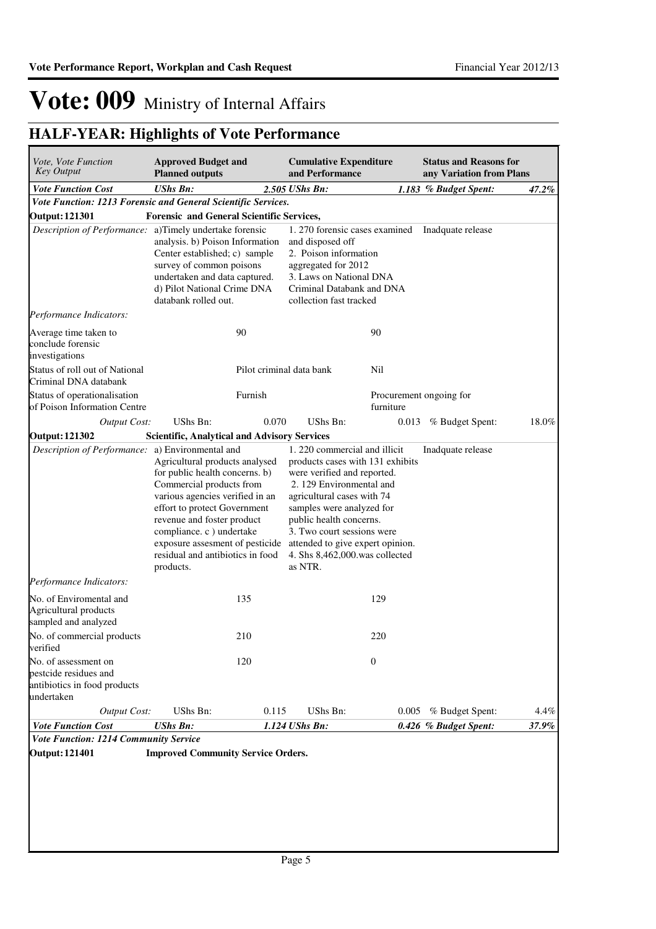| Vote, Vote Function<br><b>Approved Budget and</b><br><b>Key Output</b><br><b>Planned outputs</b> |                                                                                                                                                                                                                                                                                                                | <b>Cumulative Expenditure</b><br>and Performance |                                                                                                                                                                                                                                                                                                                                                          | <b>Status and Reasons for</b><br>any Variation from Plans |                       |       |
|--------------------------------------------------------------------------------------------------|----------------------------------------------------------------------------------------------------------------------------------------------------------------------------------------------------------------------------------------------------------------------------------------------------------------|--------------------------------------------------|----------------------------------------------------------------------------------------------------------------------------------------------------------------------------------------------------------------------------------------------------------------------------------------------------------------------------------------------------------|-----------------------------------------------------------|-----------------------|-------|
| <b>Vote Function Cost</b>                                                                        | <b>UShs Bn:</b>                                                                                                                                                                                                                                                                                                |                                                  | 2.505 UShs Bn:                                                                                                                                                                                                                                                                                                                                           |                                                           | 1.183 % Budget Spent: | 47.2% |
| Vote Function: 1213 Forensic and General Scientific Services.                                    |                                                                                                                                                                                                                                                                                                                |                                                  |                                                                                                                                                                                                                                                                                                                                                          |                                                           |                       |       |
| <b>Output: 121301</b>                                                                            | <b>Forensic and General Scientific Services,</b>                                                                                                                                                                                                                                                               |                                                  |                                                                                                                                                                                                                                                                                                                                                          |                                                           |                       |       |
| Description of Performance: a)Timely undertake forensic                                          | analysis. b) Poison Information<br>Center established; c) sample<br>survey of common poisons<br>undertaken and data captured.<br>d) Pilot National Crime DNA<br>databank rolled out.                                                                                                                           |                                                  | 1. 270 forensic cases examined<br>and disposed off<br>2. Poison information<br>aggregated for 2012<br>3. Laws on National DNA<br>Criminal Databank and DNA<br>collection fast tracked                                                                                                                                                                    |                                                           | Inadquate release     |       |
| Performance Indicators:                                                                          |                                                                                                                                                                                                                                                                                                                |                                                  |                                                                                                                                                                                                                                                                                                                                                          |                                                           |                       |       |
| Average time taken to<br>conclude forensic<br>investigations                                     |                                                                                                                                                                                                                                                                                                                | 90                                               |                                                                                                                                                                                                                                                                                                                                                          | 90                                                        |                       |       |
| Status of roll out of National<br>Criminal DNA databank                                          |                                                                                                                                                                                                                                                                                                                | Pilot criminal data bank                         |                                                                                                                                                                                                                                                                                                                                                          | Nil                                                       |                       |       |
| Status of operationalisation<br>of Poison Information Centre                                     |                                                                                                                                                                                                                                                                                                                | Furnish                                          |                                                                                                                                                                                                                                                                                                                                                          | Procurement ongoing for<br>furniture                      |                       |       |
| <b>Output Cost:</b>                                                                              | UShs Bn:                                                                                                                                                                                                                                                                                                       | 0.070                                            | UShs Bn:                                                                                                                                                                                                                                                                                                                                                 | 0.013                                                     | % Budget Spent:       | 18.0% |
| <b>Output: 121302</b>                                                                            | <b>Scientific, Analytical and Advisory Services</b>                                                                                                                                                                                                                                                            |                                                  |                                                                                                                                                                                                                                                                                                                                                          |                                                           |                       |       |
|                                                                                                  | Agricultural products analysed<br>for public health concerns. b)<br>Commercial products from<br>various agencies verified in an<br>effort to protect Government<br>revenue and foster product<br>compliance. c ) undertake<br>exposure assesment of pesticide<br>residual and antibiotics in food<br>products. |                                                  | a) Environmental and<br>1.220 commercial and illicit<br>products cases with 131 exhibits<br>were verified and reported.<br>2. 129 Environmental and<br>agricultural cases with 74<br>samples were analyzed for<br>public health concerns.<br>3. Two court sessions were<br>attended to give expert opinion.<br>4. Shs 8,462,000.was collected<br>as NTR. |                                                           |                       |       |
| Performance Indicators:                                                                          |                                                                                                                                                                                                                                                                                                                |                                                  |                                                                                                                                                                                                                                                                                                                                                          |                                                           |                       |       |
| No. of Enviromental and<br>Agricultural products<br>sampled and analyzed                         |                                                                                                                                                                                                                                                                                                                | 135                                              |                                                                                                                                                                                                                                                                                                                                                          | 129                                                       |                       |       |
| No. of commercial products<br>verified                                                           |                                                                                                                                                                                                                                                                                                                | 210                                              |                                                                                                                                                                                                                                                                                                                                                          | 220                                                       |                       |       |
| No. of assessment on<br>pestcide residues and<br>antibiotics in food products<br>undertaken      |                                                                                                                                                                                                                                                                                                                | 120                                              |                                                                                                                                                                                                                                                                                                                                                          | $\mathbf{0}$                                              |                       |       |
| <b>Output Cost:</b>                                                                              | UShs Bn:                                                                                                                                                                                                                                                                                                       | 0.115                                            | UShs Bn:                                                                                                                                                                                                                                                                                                                                                 | 0.005                                                     | % Budget Spent:       | 4.4%  |
| <b>Vote Function Cost</b>                                                                        | <b>UShs Bn:</b>                                                                                                                                                                                                                                                                                                |                                                  | 1.124 UShs Bn:                                                                                                                                                                                                                                                                                                                                           |                                                           | 0.426 % Budget Spent: | 37.9% |
| Vote Function: 1214 Community Service                                                            |                                                                                                                                                                                                                                                                                                                |                                                  |                                                                                                                                                                                                                                                                                                                                                          |                                                           |                       |       |
| <b>Output: 121401</b>                                                                            | <b>Improved Community Service Orders.</b>                                                                                                                                                                                                                                                                      |                                                  |                                                                                                                                                                                                                                                                                                                                                          |                                                           |                       |       |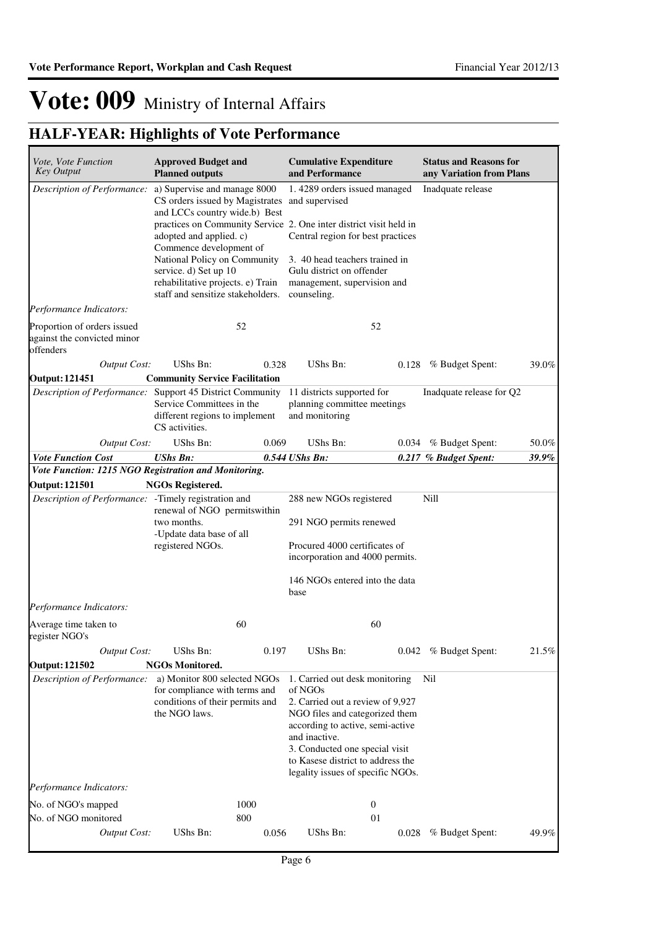| Vote, Vote Function                                                     | <b>Approved Budget and</b>                                                                                                      |                                                                                               | <b>Cumulative Expenditure</b>                                                                             |                                   | <b>Status and Reasons for</b> |       |  |
|-------------------------------------------------------------------------|---------------------------------------------------------------------------------------------------------------------------------|-----------------------------------------------------------------------------------------------|-----------------------------------------------------------------------------------------------------------|-----------------------------------|-------------------------------|-------|--|
| <b>Key Output</b>                                                       | <b>Planned outputs</b>                                                                                                          |                                                                                               | and Performance                                                                                           |                                   | any Variation from Plans      |       |  |
| Description of Performance:                                             | a) Supervise and manage 8000<br>CS orders issued by Magistrates<br>and LCCs country wide.b) Best                                |                                                                                               | 1.4289 orders issued managed<br>and supervised                                                            |                                   | Inadquate release             |       |  |
|                                                                         | Commence development of                                                                                                         | practices on Community Service 2. One inter district visit held in<br>adopted and applied. c) |                                                                                                           | Central region for best practices |                               |       |  |
|                                                                         | National Policy on Community<br>service. d) Set up 10<br>rehabilitative projects. e) Train<br>staff and sensitize stakeholders. |                                                                                               | 3. 40 head teachers trained in<br>Gulu district on offender<br>management, supervision and<br>counseling. |                                   |                               |       |  |
| Performance Indicators:                                                 |                                                                                                                                 |                                                                                               |                                                                                                           |                                   |                               |       |  |
| Proportion of orders issued<br>against the convicted minor<br>offenders |                                                                                                                                 | 52                                                                                            |                                                                                                           | 52                                |                               |       |  |
| <b>Output Cost:</b>                                                     | UShs Bn:                                                                                                                        | 0.328                                                                                         | UShs Bn:                                                                                                  | 0.128                             | % Budget Spent:               | 39.0% |  |
| <b>Output: 121451</b>                                                   | <b>Community Service Facilitation</b>                                                                                           |                                                                                               |                                                                                                           |                                   |                               |       |  |
| <i>Description of Performance:</i> Support 45 District Community        | Service Committees in the<br>different regions to implement<br>CS activities.                                                   |                                                                                               | 11 districts supported for<br>planning committee meetings<br>and monitoring                               |                                   | Inadquate release for Q2      |       |  |
| <b>Output Cost:</b>                                                     | UShs Bn:                                                                                                                        | 0.069                                                                                         | UShs Bn:                                                                                                  | 0.034                             | % Budget Spent:               | 50.0% |  |
| <b>Vote Function Cost</b>                                               | <b>UShs Bn:</b>                                                                                                                 |                                                                                               | 0.544 UShs Bn:                                                                                            |                                   | 0.217 % Budget Spent:         | 39.9% |  |
| Vote Function: 1215 NGO Registration and Monitoring.                    |                                                                                                                                 |                                                                                               |                                                                                                           |                                   |                               |       |  |
| <b>Output: 121501</b>                                                   | <b>NGOs Registered.</b>                                                                                                         |                                                                                               |                                                                                                           |                                   |                               |       |  |
| Description of Performance: - Timely registration and                   | renewal of NGO permitswithin                                                                                                    |                                                                                               | 288 new NGOs registered                                                                                   |                                   | Nill                          |       |  |
|                                                                         | two months.                                                                                                                     |                                                                                               | 291 NGO permits renewed                                                                                   |                                   |                               |       |  |
|                                                                         | -Update data base of all<br>registered NGOs.                                                                                    |                                                                                               | Procured 4000 certificates of<br>incorporation and 4000 permits.                                          |                                   |                               |       |  |
|                                                                         |                                                                                                                                 |                                                                                               | 146 NGOs entered into the data<br>base                                                                    |                                   |                               |       |  |
| Performance Indicators:                                                 |                                                                                                                                 |                                                                                               |                                                                                                           |                                   |                               |       |  |
| Average time taken to<br>register NGO's                                 |                                                                                                                                 | 60                                                                                            |                                                                                                           | 60                                |                               |       |  |
| <b>Output Cost:</b>                                                     | UShs Bn:                                                                                                                        | 0.197                                                                                         | UShs Bn:                                                                                                  |                                   | 0.042 % Budget Spent:         | 21.5% |  |
| <b>Output: 121502</b>                                                   | <b>NGOs Monitored.</b>                                                                                                          |                                                                                               |                                                                                                           |                                   |                               |       |  |
| Description of Performance:                                             | a) Monitor 800 selected NGOs<br>for compliance with terms and                                                                   |                                                                                               | 1. Carried out desk monitoring<br>of NGOs                                                                 |                                   | Nil                           |       |  |
|                                                                         | conditions of their permits and<br>the NGO laws.                                                                                |                                                                                               | 2. Carried out a review of 9,927<br>NGO files and categorized them                                        |                                   |                               |       |  |
|                                                                         |                                                                                                                                 |                                                                                               | according to active, semi-active                                                                          |                                   |                               |       |  |
|                                                                         |                                                                                                                                 |                                                                                               | and inactive.                                                                                             |                                   |                               |       |  |
|                                                                         |                                                                                                                                 |                                                                                               | 3. Conducted one special visit<br>to Kasese district to address the                                       |                                   |                               |       |  |
|                                                                         |                                                                                                                                 |                                                                                               | legality issues of specific NGOs.                                                                         |                                   |                               |       |  |
| Performance Indicators:                                                 |                                                                                                                                 |                                                                                               |                                                                                                           |                                   |                               |       |  |
| No. of NGO's mapped                                                     |                                                                                                                                 | 1000                                                                                          |                                                                                                           | $\boldsymbol{0}$                  |                               |       |  |
| No. of NGO monitored                                                    |                                                                                                                                 | 800                                                                                           |                                                                                                           | 01                                |                               |       |  |
| <b>Output Cost:</b>                                                     | UShs Bn:                                                                                                                        | 0.056                                                                                         | UShs Bn:                                                                                                  | 0.028                             | % Budget Spent:               | 49.9% |  |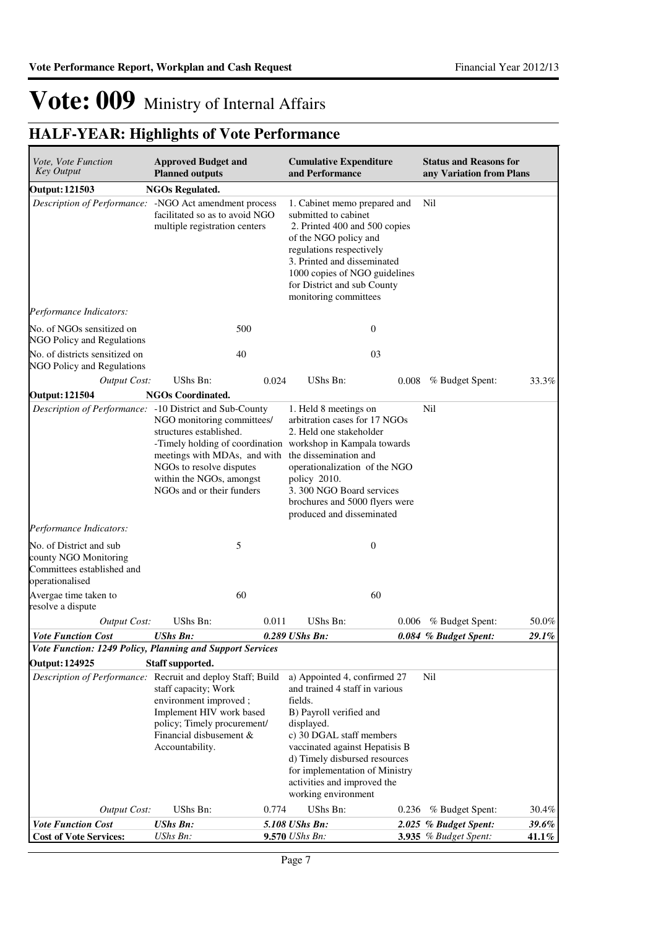| Vote, Vote Function<br><b>Key Output</b>                                                          | <b>Approved Budget and</b><br><b>Planned outputs</b>                                                                                                                                                                                      |       | <b>Cumulative Expenditure</b><br>and Performance                                                                                                                                                                                                                                                          |       | <b>Status and Reasons for</b><br>any Variation from Plans |                |
|---------------------------------------------------------------------------------------------------|-------------------------------------------------------------------------------------------------------------------------------------------------------------------------------------------------------------------------------------------|-------|-----------------------------------------------------------------------------------------------------------------------------------------------------------------------------------------------------------------------------------------------------------------------------------------------------------|-------|-----------------------------------------------------------|----------------|
| <b>Output: 121503</b>                                                                             | <b>NGOs Regulated.</b>                                                                                                                                                                                                                    |       |                                                                                                                                                                                                                                                                                                           |       |                                                           |                |
| Description of Performance: - NGO Act amendment process                                           | facilitated so as to avoid NGO<br>multiple registration centers                                                                                                                                                                           |       | 1. Cabinet memo prepared and<br>submitted to cabinet<br>2. Printed 400 and 500 copies<br>of the NGO policy and<br>regulations respectively<br>3. Printed and disseminated<br>1000 copies of NGO guidelines<br>for District and sub County<br>monitoring committees                                        |       | Nil                                                       |                |
| Performance Indicators:                                                                           |                                                                                                                                                                                                                                           |       |                                                                                                                                                                                                                                                                                                           |       |                                                           |                |
| No. of NGOs sensitized on<br>NGO Policy and Regulations                                           | 500                                                                                                                                                                                                                                       |       | $\mathbf{0}$                                                                                                                                                                                                                                                                                              |       |                                                           |                |
| No. of districts sensitized on<br>NGO Policy and Regulations                                      | 40                                                                                                                                                                                                                                        |       | 03                                                                                                                                                                                                                                                                                                        |       |                                                           |                |
| <b>Output Cost:</b>                                                                               | UShs Bn:                                                                                                                                                                                                                                  | 0.024 | UShs Bn:                                                                                                                                                                                                                                                                                                  | 0.008 | % Budget Spent:                                           | 33.3%          |
| <b>Output: 121504</b>                                                                             | <b>NGOs Coordinated.</b>                                                                                                                                                                                                                  |       |                                                                                                                                                                                                                                                                                                           |       |                                                           |                |
| Description of Performance: -10 District and Sub-County                                           | NGO monitoring committees/<br>structures established.<br>-Timely holding of coordination workshop in Kampala towards<br>meetings with MDAs, and with<br>NGOs to resolve disputes<br>within the NGOs, amongst<br>NGOs and or their funders |       | 1. Held 8 meetings on<br>arbitration cases for 17 NGOs<br>2. Held one stakeholder<br>the dissemination and<br>operationalization of the NGO<br>policy 2010.<br>3.300 NGO Board services<br>brochures and 5000 flyers were<br>produced and disseminated                                                    |       | Nil                                                       |                |
| Performance Indicators:                                                                           |                                                                                                                                                                                                                                           |       |                                                                                                                                                                                                                                                                                                           |       |                                                           |                |
| No. of District and sub<br>county NGO Monitoring<br>Committees established and<br>operationalised | 5                                                                                                                                                                                                                                         |       | $\boldsymbol{0}$                                                                                                                                                                                                                                                                                          |       |                                                           |                |
| Avergae time taken to<br>resolve a dispute                                                        | 60                                                                                                                                                                                                                                        |       | 60                                                                                                                                                                                                                                                                                                        |       |                                                           |                |
| <b>Output Cost:</b>                                                                               | UShs Bn:                                                                                                                                                                                                                                  | 0.011 | UShs Bn:                                                                                                                                                                                                                                                                                                  | 0.006 | % Budget Spent:                                           | 50.0%          |
| <b>Vote Function Cost</b>                                                                         | <b>UShs Bn:</b>                                                                                                                                                                                                                           |       | 0.289 UShs Bn:                                                                                                                                                                                                                                                                                            |       | 0.084 % Budget Spent:                                     | 29.1%          |
| Vote Function: 1249 Policy, Planning and Support Services                                         |                                                                                                                                                                                                                                           |       |                                                                                                                                                                                                                                                                                                           |       |                                                           |                |
| <b>Output: 124925</b>                                                                             | Staff supported.                                                                                                                                                                                                                          |       |                                                                                                                                                                                                                                                                                                           |       |                                                           |                |
| Description of Performance: Recruit and deploy Staff; Build                                       | staff capacity; Work<br>environment improved;<br>Implement HIV work based<br>policy; Timely procurement/<br>Financial disbusement &<br>Accountability.                                                                                    |       | a) Appointed 4, confirmed 27<br>and trained 4 staff in various<br>fields.<br>B) Payroll verified and<br>displayed.<br>c) 30 DGAL staff members<br>vaccinated against Hepatisis B<br>d) Timely disbursed resources<br>for implementation of Ministry<br>activities and improved the<br>working environment |       | Nil                                                       |                |
| Output Cost:                                                                                      | UShs Bn:                                                                                                                                                                                                                                  | 0.774 | UShs Bn:                                                                                                                                                                                                                                                                                                  | 0.236 | % Budget Spent:                                           | 30.4%          |
| <b>Vote Function Cost</b><br><b>Cost of Vote Services:</b>                                        | <b>UShs Bn:</b><br>UShs Bn:                                                                                                                                                                                                               |       | 5.108 UShs Bn:<br>9.570 UShs Bn:                                                                                                                                                                                                                                                                          |       | 2.025 % Budget Spent:<br>3.935 % Budget Spent:            | 39.6%<br>41.1% |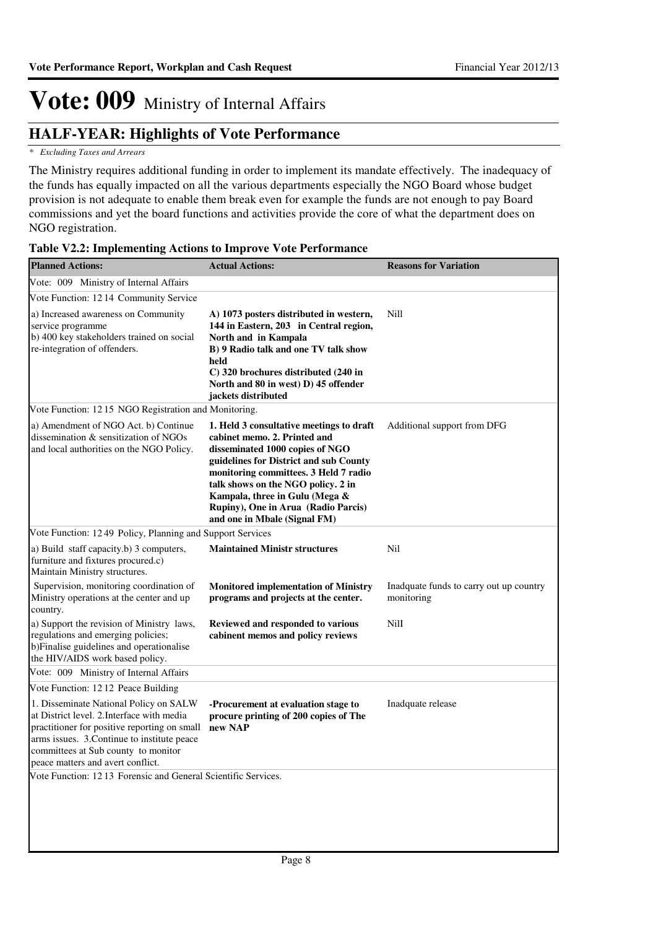### **HALF-YEAR: Highlights of Vote Performance**

### *\* Excluding Taxes and Arrears*

The Ministry requires additional funding in order to implement its mandate effectively. The inadequacy of the funds has equally impacted on all the various departments especially the NGO Board whose budget provision is not adequate to enable them break even for example the funds are not enough to pay Board commissions and yet the board functions and activities provide the core of what the department does on NGO registration.

| <b>Planned Actions:</b>                                                                                                                                                                                                                                         | <b>Actual Actions:</b>                                                                                                                                                                                                                                                                                                                        | <b>Reasons for Variation</b>                          |
|-----------------------------------------------------------------------------------------------------------------------------------------------------------------------------------------------------------------------------------------------------------------|-----------------------------------------------------------------------------------------------------------------------------------------------------------------------------------------------------------------------------------------------------------------------------------------------------------------------------------------------|-------------------------------------------------------|
| Vote: 009 Ministry of Internal Affairs                                                                                                                                                                                                                          |                                                                                                                                                                                                                                                                                                                                               |                                                       |
| Vote Function: 1214 Community Service                                                                                                                                                                                                                           |                                                                                                                                                                                                                                                                                                                                               |                                                       |
| a) Increased awareness on Community<br>service programme<br>b) 400 key stakeholders trained on social<br>re-integration of offenders.                                                                                                                           | A) 1073 posters distributed in western,<br>144 in Eastern, 203 in Central region,<br>North and in Kampala<br>B) 9 Radio talk and one TV talk show<br>held<br>C) 320 brochures distributed (240 in<br>North and 80 in west) D) 45 offender<br>jackets distributed                                                                              | Nill                                                  |
| Vote Function: 1215 NGO Registration and Monitoring.                                                                                                                                                                                                            |                                                                                                                                                                                                                                                                                                                                               |                                                       |
| a) Amendment of NGO Act. b) Continue<br>dissemination & sensitization of NGOs<br>and local authorities on the NGO Policy.                                                                                                                                       | 1. Held 3 consultative meetings to draft<br>cabinet memo. 2. Printed and<br>disseminated 1000 copies of NGO<br>guidelines for District and sub County<br>monitoring committees. 3 Held 7 radio<br>talk shows on the NGO policy. 2 in<br>Kampala, three in Gulu (Mega &<br>Rupiny), One in Arua (Radio Parcis)<br>and one in Mbale (Signal FM) | Additional support from DFG                           |
| Vote Function: 12 49 Policy, Planning and Support Services                                                                                                                                                                                                      |                                                                                                                                                                                                                                                                                                                                               |                                                       |
| a) Build staff capacity.b) 3 computers,<br>furniture and fixtures procured.c)<br>Maintain Ministry structures.                                                                                                                                                  | <b>Maintained Ministr structures</b>                                                                                                                                                                                                                                                                                                          | Nil                                                   |
| Supervision, monitoring coordination of<br>Ministry operations at the center and up<br>country.                                                                                                                                                                 | <b>Monitored implementation of Ministry</b><br>programs and projects at the center.                                                                                                                                                                                                                                                           | Inadquate funds to carry out up country<br>monitoring |
| a) Support the revision of Ministry laws,<br>regulations and emerging policies;<br>b)Finalise guidelines and operationalise<br>the HIV/AIDS work based policy.                                                                                                  | Reviewed and responded to various<br>cabinent memos and policy reviews                                                                                                                                                                                                                                                                        | Nill                                                  |
| Vote: 009 Ministry of Internal Affairs                                                                                                                                                                                                                          |                                                                                                                                                                                                                                                                                                                                               |                                                       |
| Vote Function: 12 12 Peace Building                                                                                                                                                                                                                             |                                                                                                                                                                                                                                                                                                                                               |                                                       |
| 1. Disseminate National Policy on SALW<br>at District level. 2. Interface with media<br>practitioner for positive reporting on small<br>arms issues. 3. Continue to institute peace<br>committees at Sub county to monitor<br>peace matters and avert conflict. | -Procurement at evaluation stage to<br>procure printing of 200 copies of The<br>new NAP                                                                                                                                                                                                                                                       | Inadquate release                                     |
| Vote Function: 1213 Forensic and General Scientific Services.                                                                                                                                                                                                   |                                                                                                                                                                                                                                                                                                                                               |                                                       |
|                                                                                                                                                                                                                                                                 |                                                                                                                                                                                                                                                                                                                                               |                                                       |

### **Table V2.2: Implementing Actions to Improve Vote Performance**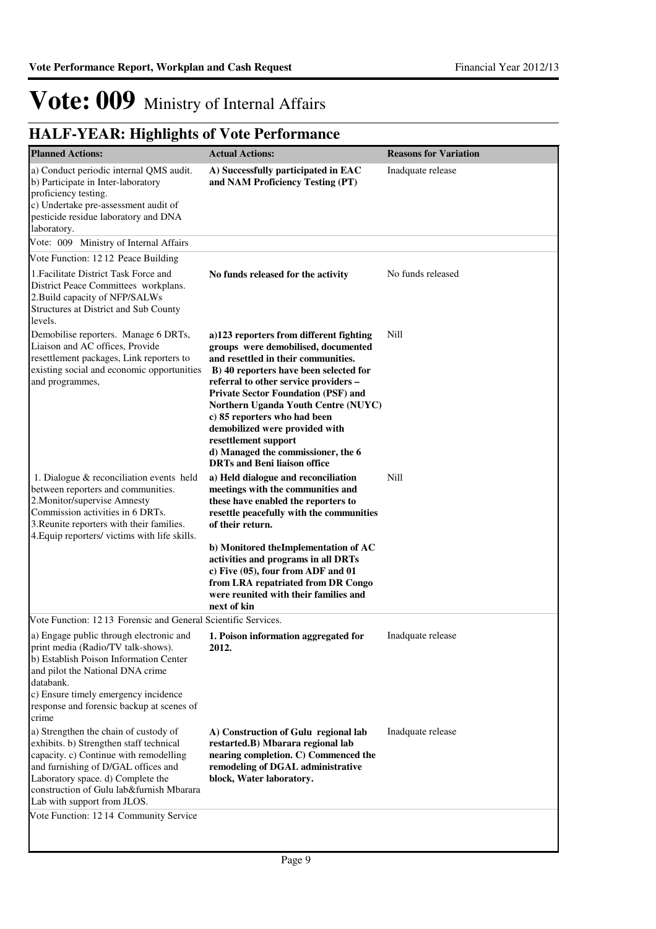| <b>Planned Actions:</b>                                                                                                                                                                                                                                                                                            | <b>Actual Actions:</b>                                                                                                                                                                                                                                                                                                                                                                                                                                               | <b>Reasons for Variation</b> |
|--------------------------------------------------------------------------------------------------------------------------------------------------------------------------------------------------------------------------------------------------------------------------------------------------------------------|----------------------------------------------------------------------------------------------------------------------------------------------------------------------------------------------------------------------------------------------------------------------------------------------------------------------------------------------------------------------------------------------------------------------------------------------------------------------|------------------------------|
| a) Conduct periodic internal QMS audit.<br>b) Participate in Inter-laboratory<br>proficiency testing.<br>c) Undertake pre-assessment audit of<br>pesticide residue laboratory and DNA<br>laboratory.                                                                                                               | A) Successfully participated in EAC<br>and NAM Proficiency Testing (PT)                                                                                                                                                                                                                                                                                                                                                                                              | Inadquate release            |
| Vote: 009 Ministry of Internal Affairs                                                                                                                                                                                                                                                                             |                                                                                                                                                                                                                                                                                                                                                                                                                                                                      |                              |
| Vote Function: 12 12 Peace Building                                                                                                                                                                                                                                                                                |                                                                                                                                                                                                                                                                                                                                                                                                                                                                      |                              |
| 1. Facilitate District Task Force and<br>District Peace Committees workplans.<br>2. Build capacity of NFP/SALWs<br>Structures at District and Sub County<br>levels.                                                                                                                                                | No funds released for the activity                                                                                                                                                                                                                                                                                                                                                                                                                                   | No funds released            |
| Demobilise reporters. Manage 6 DRTs,<br>Liaison and AC offices, Provide<br>resettlement packages, Link reporters to<br>existing social and economic opportunities<br>and programmes,                                                                                                                               | a)123 reporters from different fighting<br>groups were demobilised, documented<br>and resettled in their communities.<br>B) 40 reporters have been selected for<br>referral to other service providers -<br><b>Private Sector Foundation (PSF) and</b><br>Northern Uganda Youth Centre (NUYC)<br>c) 85 reporters who had been<br>demobilized were provided with<br>resettlement support<br>d) Managed the commissioner, the 6<br><b>DRTs and Beni liaison office</b> | Nill                         |
| 1. Dialogue & reconciliation events held<br>between reporters and communities.<br>2. Monitor/supervise Amnesty<br>Commission activities in 6 DRTs.<br>3. Reunite reporters with their families.<br>4. Equip reporters/victims with life skills.                                                                    | a) Held dialogue and reconciliation<br>meetings with the communities and<br>these have enabled the reporters to<br>resettle peacefully with the communities<br>of their return.<br>b) Monitored the Implementation of AC<br>activities and programs in all DRTs                                                                                                                                                                                                      | Nill                         |
|                                                                                                                                                                                                                                                                                                                    | c) Five (05), four from ADF and 01<br>from LRA repatriated from DR Congo<br>were reunited with their families and<br>next of kin                                                                                                                                                                                                                                                                                                                                     |                              |
| Vote Function: 1213 Forensic and General Scientific Services.                                                                                                                                                                                                                                                      |                                                                                                                                                                                                                                                                                                                                                                                                                                                                      |                              |
| a) Engage public through electronic and <b>1. Poison information aggregated for</b><br>print media (Radio/TV talk-shows).<br>b) Establish Poison Information Center<br>and pilot the National DNA crime<br>databank.<br>c) Ensure timely emergency incidence<br>response and forensic backup at scenes of<br>crime | 2012.                                                                                                                                                                                                                                                                                                                                                                                                                                                                | Inadquate release            |
| a) Strengthen the chain of custody of<br>exhibits. b) Strengthen staff technical<br>capacity. c) Continue with remodelling<br>and furnishing of D/GAL offices and<br>Laboratory space. d) Complete the<br>construction of Gulu lab&furnish Mbarara<br>Lab with support from JLOS.                                  | A) Construction of Gulu regional lab<br>restarted.B) Mbarara regional lab<br>nearing completion. C) Commenced the<br>remodeling of DGAL administrative<br>block, Water laboratory.                                                                                                                                                                                                                                                                                   | Inadquate release            |
| Vote Function: 12 14 Community Service                                                                                                                                                                                                                                                                             |                                                                                                                                                                                                                                                                                                                                                                                                                                                                      |                              |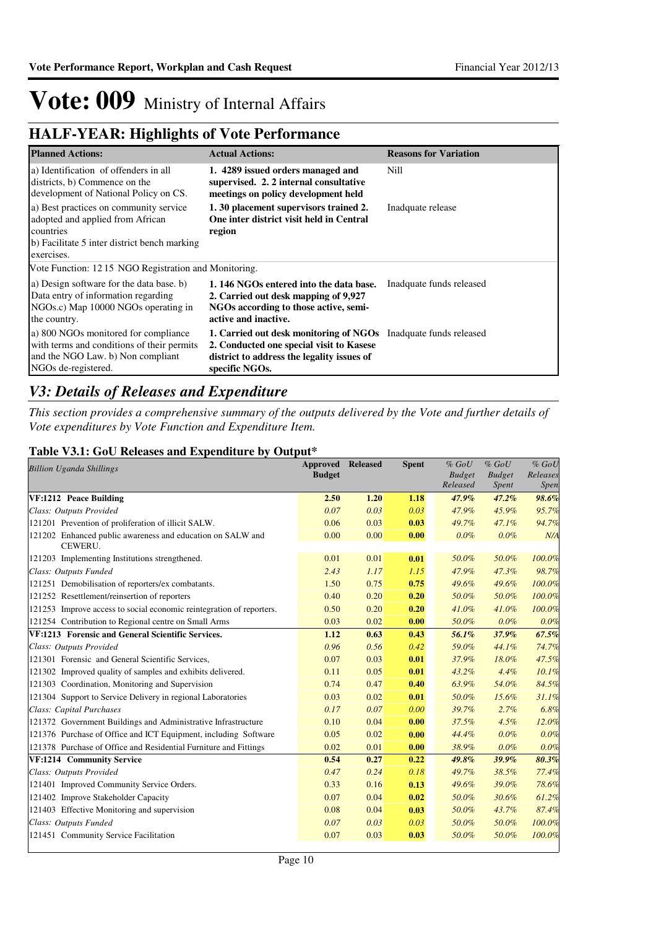### **HALF-YEAR: Highlights of Vote Performance**

| <b>Planned Actions:</b>                                                                                                                               | <b>Actual Actions:</b>                                                                                                                                                             | <b>Reasons for Variation</b> |
|-------------------------------------------------------------------------------------------------------------------------------------------------------|------------------------------------------------------------------------------------------------------------------------------------------------------------------------------------|------------------------------|
| a) Identification of offenders in all<br>districts, b) Commence on the<br>development of National Policy on CS.                                       | 1. 4289 issued orders managed and<br>supervised. 2. 2 internal consultative<br>meetings on policy development held                                                                 | Nill                         |
| a) Best practices on community service<br>adopted and applied from African<br>countries<br>b) Facilitate 5 inter district bench marking<br>exercises. | 1.30 placement supervisors trained 2.<br>One inter district visit held in Central<br>region                                                                                        | Inadquate release            |
| Vote Function: 12.15 NGO Registration and Monitoring.                                                                                                 |                                                                                                                                                                                    |                              |
| a) Design software for the data base. b)<br>Data entry of information regarding<br>NGOs.c) Map 10000 NGOs operating in<br>the country.                | 1.146 NGOs entered into the data base.<br>2. Carried out desk mapping of 9,927<br>NGOs according to those active, semi-<br>active and inactive.                                    | Inadquate funds released     |
| a) 800 NGOs monitored for compliance<br>with terms and conditions of their permits<br>and the NGO Law. b) Non compliant<br>NGOs de-registered.        | <b>1. Carried out desk monitoring of NGOs</b> Inadquate funds released<br>2. Conducted one special visit to Kasese<br>district to address the legality issues of<br>specific NGOs. |                              |

### *V3: Details of Releases and Expenditure*

*This section provides a comprehensive summary of the outputs delivered by the Vote and further details of Vote expenditures by Vote Function and Expenditure Item.*

### **Table V3.1: GoU Releases and Expenditure by Output\***

| TULET OUT INTERNED WHEN HIS<br><b>Billion Uganda Shillings</b>        | <b>Approved</b><br><b>Budget</b> | <b>Released</b> | <b>Spent</b> | $%$ $GoU$<br><b>Budget</b><br>Released | $%$ GoU<br><b>Budget</b><br><i>Spent</i> | $%$ $GoU$<br>Releases<br><i>Spen</i> |
|-----------------------------------------------------------------------|----------------------------------|-----------------|--------------|----------------------------------------|------------------------------------------|--------------------------------------|
| VF:1212 Peace Building                                                | 2.50                             | 1.20            | 1.18         | 47.9%                                  | 47.2%                                    | 98.6%                                |
| Class: Outputs Provided                                               | 0.07                             | 0.03            | 0.03         | 47.9%                                  | 45.9%                                    | 95.7%                                |
| 121201 Prevention of proliferation of illicit SALW.                   | 0.06                             | 0.03            | 0.03         | 49.7%                                  | 47.1%                                    | 94.7%                                |
| 121202 Enhanced public awareness and education on SALW and<br>CEWERU. | 0.00                             | 0.00            | 0.00         | 0.0%                                   | $0.0\%$                                  | N/A                                  |
| 121203 Implementing Institutions strengthened.                        | 0.01                             | 0.01            | 0.01         | 50.0%                                  | 50.0%                                    | 100.0%                               |
| Class: Outputs Funded                                                 | 2.43                             | 1.17            | 1.15         | 47.9%                                  | 47.3%                                    | 98.7%                                |
| 121251 Demobilisation of reporters/ex combatants.                     | 1.50                             | 0.75            | 0.75         | 49.6%                                  | 49.6%                                    | 100.0%                               |
| 121252 Resettlement/reinsertion of reporters                          | 0.40                             | 0.20            | 0.20         | 50.0%                                  | 50.0%                                    | 100.0%                               |
| 121253 Improve access to social economic reintegration of reporters.  | 0.50                             | 0.20            | 0.20         | 41.0%                                  | 41.0%                                    | 100.0%                               |
| 121254 Contribution to Regional centre on Small Arms                  | 0.03                             | 0.02            | 0.00         | 50.0%                                  | 0.0%                                     | 0.0%                                 |
| VF:1213 Forensic and General Scientific Services.                     | 1.12                             | 0.63            | 0.43         | 56.1%                                  | 37.9%                                    | 67.5%                                |
| Class: Outputs Provided                                               | 0.96                             | 0.56            | 0.42         | 59.0%                                  | 44.1%                                    | 74.7%                                |
| 121301 Forensic and General Scientific Services,                      | 0.07                             | 0.03            | 0.01         | 37.9%                                  | 18.0%                                    | 47.5%                                |
| 121302 Improved quality of samples and exhibits delivered.            | 0.11                             | 0.05            | 0.01         | 43.2%                                  | 4.4%                                     | 10.1%                                |
| 121303 Coordination, Monitoring and Supervision                       | 0.74                             | 0.47            | 0.40         | 63.9%                                  | 54.0%                                    | 84.5%                                |
| 121304 Support to Service Delivery in regional Laboratories           | 0.03                             | 0.02            | 0.01         | 50.0%                                  | 15.6%                                    | 31.1%                                |
| Class: Capital Purchases                                              | 0.17                             | 0.07            | 0.00         | 39.7%                                  | 2.7%                                     | 6.8%                                 |
| 121372 Government Buildings and Administrative Infrastructure         | 0.10                             | 0.04            | 0.00         | 37.5%                                  | 4.5%                                     | 12.0%                                |
| 121376 Purchase of Office and ICT Equipment, including Software       | 0.05                             | 0.02            | 0.00         | 44.4%                                  | $0.0\%$                                  | 0.0%                                 |
| 121378 Purchase of Office and Residential Furniture and Fittings      | 0.02                             | 0.01            | 0.00         | 38.9%                                  | $0.0\%$                                  | 0.0%                                 |
| VF:1214 Community Service                                             | 0.54                             | 0.27            | 0.22         | 49.8%                                  | 39.9%                                    | 80.3%                                |
| Class: Outputs Provided                                               | 0.47                             | 0.24            | 0.18         | 49.7%                                  | 38.5%                                    | 77.4%                                |
| 121401 Improved Community Service Orders.                             | 0.33                             | 0.16            | 0.13         | 49.6%                                  | 39.0%                                    | 78.6%                                |
| 121402 Improve Stakeholder Capacity                                   | 0.07                             | 0.04            | 0.02         | 50.0%                                  | 30.6%                                    | 61.2%                                |
| 121403 Effective Monitoring and supervision                           | 0.08                             | 0.04            | 0.03         | 50.0%                                  | 43.7%                                    | 87.4%                                |
| Class: Outputs Funded                                                 | 0.07                             | 0.03            | 0.03         | 50.0%                                  | 50.0%                                    | 100.0%                               |
| 121451 Community Service Facilitation                                 | 0.07                             | 0.03            | 0.03         | 50.0%                                  | 50.0%                                    | 100.0%                               |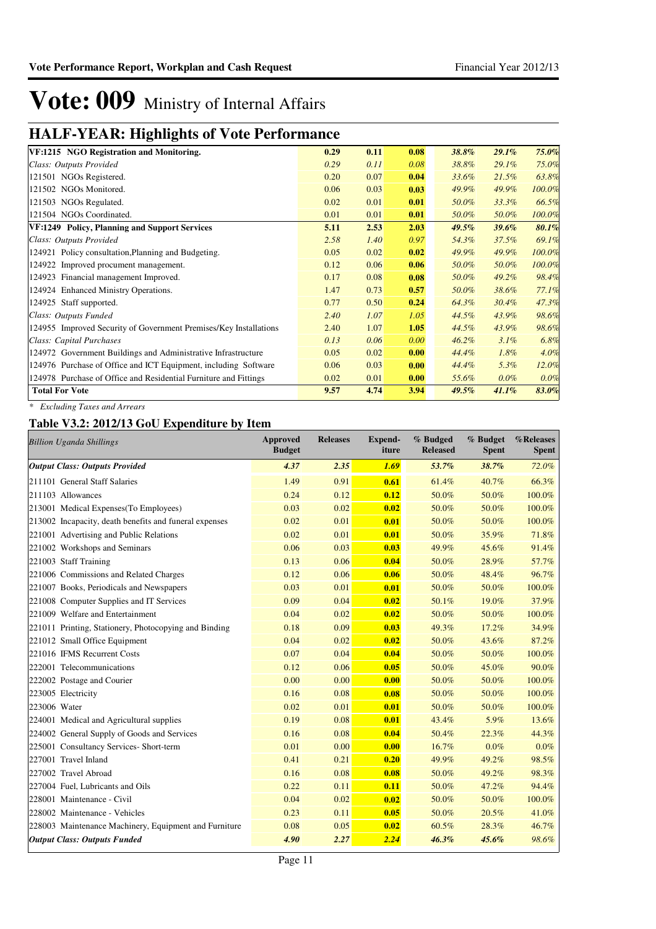### **HALF-YEAR: Highlights of Vote Performance**

| VF:1215 NGO Registration and Monitoring.                          | 0.29 | 0.11 | 0.08 | 38.8% | 29.1%    | 75.0%  |
|-------------------------------------------------------------------|------|------|------|-------|----------|--------|
| Class: Outputs Provided                                           | 0.29 | 0.11 | 0.08 | 38.8% | 29.1%    | 75.0%  |
| 121501 NGOs Registered.                                           | 0.20 | 0.07 | 0.04 | 33.6% | 21.5%    | 63.8%  |
| 121502 NGOs Monitored.                                            | 0.06 | 0.03 | 0.03 | 49.9% | 49.9%    | 100.0% |
| 121503 NGOs Regulated.                                            | 0.02 | 0.01 | 0.01 | 50.0% | 33.3%    | 66.5%  |
| 121504 NGOs Coordinated.                                          | 0.01 | 0.01 | 0.01 | 50.0% | 50.0%    | 100.0% |
| VF:1249 Policy, Planning and Support Services                     | 5.11 | 2.53 | 2.03 | 49.5% | $39.6\%$ | 80.1%  |
| Class: Outputs Provided                                           | 2.58 | 1.40 | 0.97 | 54.3% | 37.5%    | 69.1%  |
| 124921 Policy consultation, Planning and Budgeting.               | 0.05 | 0.02 | 0.02 | 49.9% | 49.9%    | 100.0% |
| 124922 Improved procument management.                             | 0.12 | 0.06 | 0.06 | 50.0% | 50.0%    | 100.0% |
| 124923 Financial management Improved.                             | 0.17 | 0.08 | 0.08 | 50.0% | 49.2%    | 98.4%  |
| 124924 Enhanced Ministry Operations.                              | 1.47 | 0.73 | 0.57 | 50.0% | 38.6%    | 77.1%  |
| 124925 Staff supported.                                           | 0.77 | 0.50 | 0.24 | 64.3% | 30.4%    | 47.3%  |
| Class: Outputs Funded                                             | 2.40 | 1.07 | 1.05 | 44.5% | 43.9%    | 98.6%  |
| 124955 Improved Security of Government Premises/Key Installations | 2.40 | 1.07 | 1.05 | 44.5% | 43.9%    | 98.6%  |
| Class: Capital Purchases                                          | 0.13 | 0.06 | 0.00 | 46.2% | 3.1%     | 6.8%   |
| 124972 Government Buildings and Administrative Infrastructure     | 0.05 | 0.02 | 0.00 | 44.4% | 1.8%     | 4.0%   |
| 124976 Purchase of Office and ICT Equipment, including Software   | 0.06 | 0.03 | 0.00 | 44.4% | 5.3%     | 12.0%  |
| 124978 Purchase of Office and Residential Furniture and Fittings  | 0.02 | 0.01 | 0.00 | 55.6% | 0.0%     | 0.0%   |
| <b>Total For Vote</b>                                             | 9.57 | 4.74 | 3.94 | 49.5% | 41.1%    | 83.0%  |

*\* Excluding Taxes and Arrears*

### **Table V3.2: 2012/13 GoU Expenditure by Item**

| <b>Billion Uganda Shillings</b>                        | Approved<br><b>Budget</b> | <b>Releases</b> | <b>Expend-</b><br>iture | % Budged<br><b>Released</b> | % Budget<br><b>Spent</b> | %Releases<br><b>Spent</b> |
|--------------------------------------------------------|---------------------------|-----------------|-------------------------|-----------------------------|--------------------------|---------------------------|
| <b>Output Class: Outputs Provided</b>                  | 4.37                      | 2.35            | 1.69                    | 53.7%                       | 38.7%                    | 72.0%                     |
| 211101 General Staff Salaries                          | 1.49                      | 0.91            | 0.61                    | 61.4%                       | 40.7%                    | 66.3%                     |
| 211103 Allowances                                      | 0.24                      | 0.12            | 0.12                    | 50.0%                       | 50.0%                    | 100.0%                    |
| 213001 Medical Expenses (To Employees)                 | 0.03                      | 0.02            | 0.02                    | 50.0%                       | 50.0%                    | 100.0%                    |
| 213002 Incapacity, death benefits and funeral expenses | 0.02                      | 0.01            | 0.01                    | 50.0%                       | 50.0%                    | 100.0%                    |
| 221001 Advertising and Public Relations                | 0.02                      | 0.01            | 0.01                    | 50.0%                       | 35.9%                    | 71.8%                     |
| 221002 Workshops and Seminars                          | 0.06                      | 0.03            | 0.03                    | 49.9%                       | 45.6%                    | 91.4%                     |
| 221003 Staff Training                                  | 0.13                      | 0.06            | 0.04                    | 50.0%                       | 28.9%                    | 57.7%                     |
| 221006 Commissions and Related Charges                 | 0.12                      | 0.06            | 0.06                    | 50.0%                       | 48.4%                    | 96.7%                     |
| 221007 Books, Periodicals and Newspapers               | 0.03                      | 0.01            | 0.01                    | 50.0%                       | 50.0%                    | 100.0%                    |
| 221008 Computer Supplies and IT Services               | 0.09                      | 0.04            | 0.02                    | 50.1%                       | 19.0%                    | 37.9%                     |
| 221009 Welfare and Entertainment                       | 0.04                      | 0.02            | 0.02                    | 50.0%                       | 50.0%                    | 100.0%                    |
| 221011 Printing, Stationery, Photocopying and Binding  | 0.18                      | 0.09            | 0.03                    | 49.3%                       | 17.2%                    | 34.9%                     |
| 221012 Small Office Equipment                          | 0.04                      | 0.02            | 0.02                    | 50.0%                       | 43.6%                    | 87.2%                     |
| 221016 IFMS Recurrent Costs                            | 0.07                      | 0.04            | 0.04                    | 50.0%                       | 50.0%                    | 100.0%                    |
| 222001 Telecommunications                              | 0.12                      | 0.06            | 0.05                    | 50.0%                       | 45.0%                    | 90.0%                     |
| 222002 Postage and Courier                             | 0.00                      | 0.00            | 0.00                    | 50.0%                       | 50.0%                    | 100.0%                    |
| 223005 Electricity                                     | 0.16                      | 0.08            | 0.08                    | 50.0%                       | 50.0%                    | 100.0%                    |
| 223006 Water                                           | 0.02                      | 0.01            | 0.01                    | 50.0%                       | 50.0%                    | 100.0%                    |
| 224001 Medical and Agricultural supplies               | 0.19                      | 0.08            | 0.01                    | 43.4%                       | 5.9%                     | 13.6%                     |
| 224002 General Supply of Goods and Services            | 0.16                      | 0.08            | 0.04                    | 50.4%                       | 22.3%                    | 44.3%                     |
| 225001 Consultancy Services- Short-term                | 0.01                      | 0.00            | 0.00                    | 16.7%                       | 0.0%                     | 0.0%                      |
| 227001 Travel Inland                                   | 0.41                      | 0.21            | 0.20                    | 49.9%                       | 49.2%                    | 98.5%                     |
| 227002 Travel Abroad                                   | 0.16                      | 0.08            | 0.08                    | 50.0%                       | 49.2%                    | 98.3%                     |
| 227004 Fuel, Lubricants and Oils                       | 0.22                      | 0.11            | 0.11                    | 50.0%                       | 47.2%                    | 94.4%                     |
| 228001 Maintenance - Civil                             | 0.04                      | 0.02            | 0.02                    | 50.0%                       | 50.0%                    | 100.0%                    |
| 228002 Maintenance - Vehicles                          | 0.23                      | 0.11            | 0.05                    | 50.0%                       | 20.5%                    | 41.0%                     |
| 228003 Maintenance Machinery, Equipment and Furniture  | 0.08                      | 0.05            | 0.02                    | 60.5%                       | 28.3%                    | 46.7%                     |
| <b>Output Class: Outputs Funded</b>                    | 4.90                      | 2.27            | 2.24                    | 46.3%                       | 45.6%                    | 98.6%                     |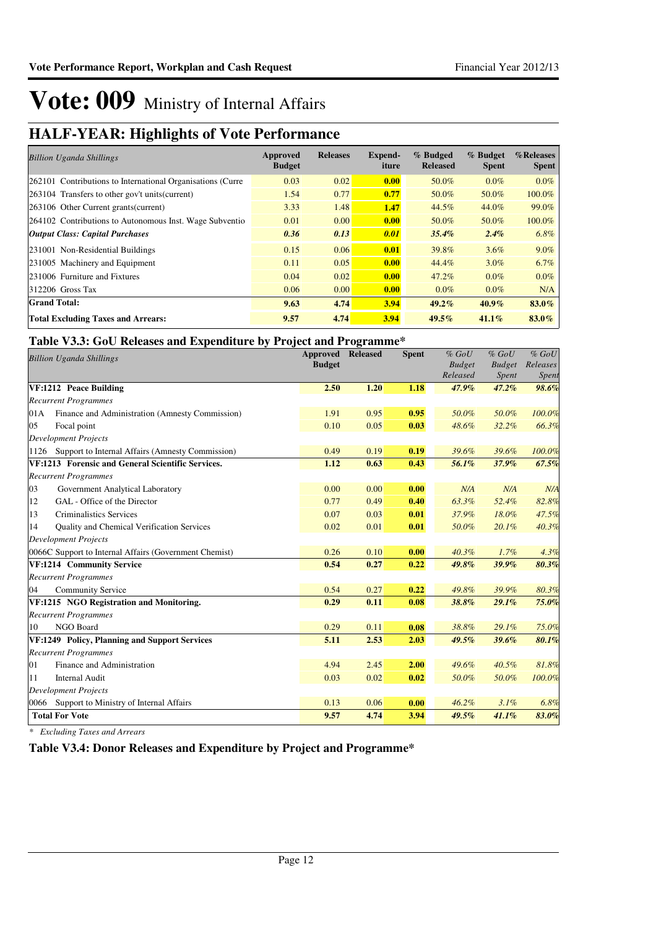### **HALF-YEAR: Highlights of Vote Performance**

| <b>Billion Uganda Shillings</b>                            | Approved<br><b>Budget</b> | <b>Releases</b> | <b>Expend-</b><br>iture | % Budged<br><b>Released</b> | % Budget<br><b>Spent</b> | %Releases<br><b>Spent</b> |
|------------------------------------------------------------|---------------------------|-----------------|-------------------------|-----------------------------|--------------------------|---------------------------|
| 262101 Contributions to International Organisations (Curre | 0.03                      | 0.02            | 0.00                    | 50.0%                       | $0.0\%$                  | $0.0\%$                   |
| 263104 Transfers to other gov't units (current)            | 1.54                      | 0.77            | 0.77                    | 50.0%                       | 50.0%                    | 100.0%                    |
| 263106 Other Current grants (current)                      | 3.33                      | 1.48            | 1.47                    | 44.5%                       | 44.0%                    | 99.0%                     |
| 264102 Contributions to Autonomous Inst. Wage Subventio    | 0.01                      | 0.00            | 0.00                    | 50.0%                       | 50.0%                    | 100.0%                    |
| <b>Output Class: Capital Purchases</b>                     | 0.36                      | 0.13            | 0.01                    | 35.4%                       | $2.4\%$                  | 6.8%                      |
| 231001 Non-Residential Buildings                           | 0.15                      | 0.06            | 0.01                    | 39.8%                       | $3.6\%$                  | $9.0\%$                   |
| 231005 Machinery and Equipment                             | 0.11                      | 0.05            | 0.00                    | 44.4%                       | $3.0\%$                  | 6.7%                      |
| 231006 Furniture and Fixtures                              | 0.04                      | 0.02            | 0.00                    | 47.2%                       | $0.0\%$                  | $0.0\%$                   |
| 312206 Gross Tax                                           | 0.06                      | 0.00            | 0.00                    | $0.0\%$                     | $0.0\%$                  | N/A                       |
| <b>Grand Total:</b>                                        | 9.63                      | 4.74            | 3.94                    | $49.2\%$                    | $40.9\%$                 | 83.0%                     |
| <b>Total Excluding Taxes and Arrears:</b>                  | 9.57                      | 4.74            | 3.94                    | $49.5\%$                    | $41.1\%$                 | 83.0%                     |

### **Table V3.3: GoU Releases and Expenditure by Project and Programme\***

| <b>Billion Uganda Shillings</b>                        | <b>Approved Released</b><br><b>Budget</b> |      | <b>Spent</b> | $%$ GoU<br><b>Budget</b><br>Released | $%$ GoU<br><b>Budget</b><br><b>Spent</b> | $%$ $GoU$<br>Releases<br>Spent |
|--------------------------------------------------------|-------------------------------------------|------|--------------|--------------------------------------|------------------------------------------|--------------------------------|
| VF:1212 Peace Building                                 | 2.50                                      | 1.20 | 1.18         | 47.9%                                | 47.2%                                    | 98.6%                          |
| <b>Recurrent Programmes</b>                            |                                           |      |              |                                      |                                          |                                |
| Finance and Administration (Amnesty Commission)<br>01A | 1.91                                      | 0.95 | 0.95         | 50.0%                                | 50.0%                                    | 100.0%                         |
| 05<br>Focal point                                      | 0.10                                      | 0.05 | 0.03         | 48.6%                                | 32.2%                                    | 66.3%                          |
| <b>Development Projects</b>                            |                                           |      |              |                                      |                                          |                                |
| 1126 Support to Internal Affairs (Amnesty Commission)  | 0.49                                      | 0.19 | 0.19         | 39.6%                                | 39.6%                                    | 100.0%                         |
| VF:1213 Forensic and General Scientific Services.      | 1.12                                      | 0.63 | 0.43         | 56.1%                                | 37.9%                                    | 67.5%                          |
| <b>Recurrent Programmes</b>                            |                                           |      |              |                                      |                                          |                                |
| 03<br>Government Analytical Laboratory                 | 0.00                                      | 0.00 | 0.00         | N/A                                  | N/A                                      | N/A                            |
| 12<br>GAL - Office of the Director                     | 0.77                                      | 0.49 | 0.40         | 63.3%                                | 52.4%                                    | 82.8%                          |
| 13<br><b>Criminalistics Services</b>                   | 0.07                                      | 0.03 | 0.01         | 37.9%                                | 18.0%                                    | 47.5%                          |
| 14<br>Quality and Chemical Verification Services       | 0.02                                      | 0.01 | 0.01         | 50.0%                                | 20.1%                                    | 40.3%                          |
| <b>Development Projects</b>                            |                                           |      |              |                                      |                                          |                                |
| 0066C Support to Internal Affairs (Government Chemist) | 0.26                                      | 0.10 | 0.00         | 40.3%                                | 1.7%                                     | 4.3%                           |
| VF:1214 Community Service                              | 0.54                                      | 0.27 | 0.22         | 49.8%                                | 39.9%                                    | 80.3%                          |
| <b>Recurrent Programmes</b>                            |                                           |      |              |                                      |                                          |                                |
| 04<br><b>Community Service</b>                         | 0.54                                      | 0.27 | 0.22         | 49.8%                                | 39.9%                                    | 80.3%                          |
| VF:1215 NGO Registration and Monitoring.               | 0.29                                      | 0.11 | 0.08         | 38.8%                                | 29.1%                                    | 75.0%                          |
| <b>Recurrent Programmes</b>                            |                                           |      |              |                                      |                                          |                                |
| NGO Board<br>10                                        | 0.29                                      | 0.11 | 0.08         | 38.8%                                | 29.1%                                    | 75.0%                          |
| VF:1249 Policy, Planning and Support Services          | 5.11                                      | 2.53 | 2.03         | 49.5%                                | 39.6%                                    | 80.1%                          |
| <b>Recurrent Programmes</b>                            |                                           |      |              |                                      |                                          |                                |
| Finance and Administration<br>01                       | 4.94                                      | 2.45 | 2.00         | 49.6%                                | 40.5%                                    | 81.8%                          |
| 11<br><b>Internal Audit</b>                            | 0.03                                      | 0.02 | 0.02         | 50.0%                                | 50.0%                                    | 100.0%                         |
| <b>Development Projects</b>                            |                                           |      |              |                                      |                                          |                                |
| 0066 Support to Ministry of Internal Affairs           | 0.13                                      | 0.06 | 0.00         | 46.2%                                | 3.1%                                     | 6.8%                           |
| <b>Total For Vote</b>                                  | 9.57                                      | 4.74 | 3.94         | 49.5%                                | 41.1%                                    | 83.0%                          |

*\* Excluding Taxes and Arrears*

**Table V3.4: Donor Releases and Expenditure by Project and Programme\***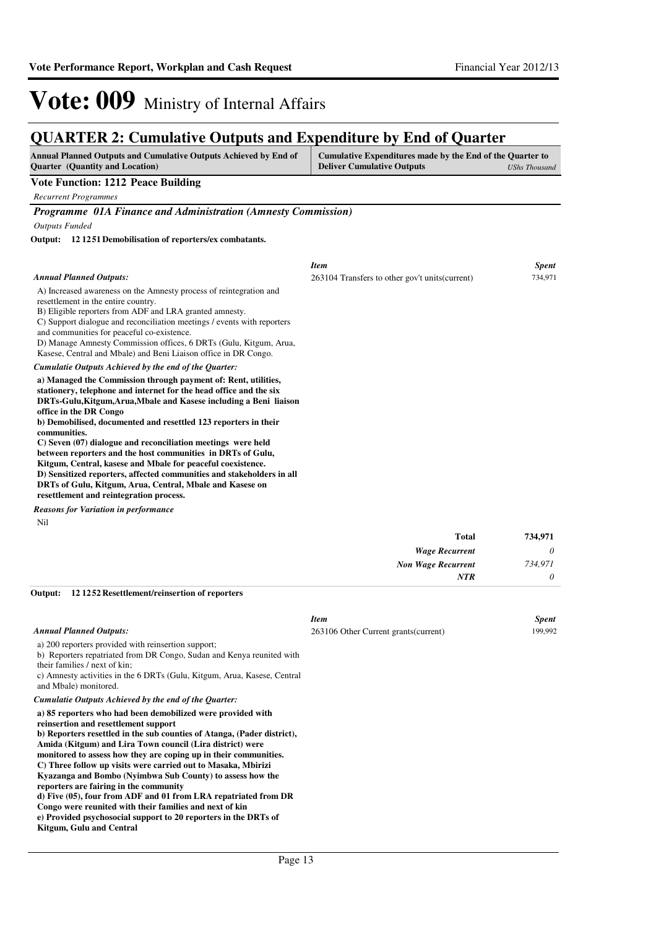### **QUARTER 2: Cumulative Outputs and Expenditure by End of Quarter**

| <b>Annual Planned Outputs and Cumulative Outputs Achieved by End of</b><br><b>Ouarter</b> (Quantity and Location) | Cumulative Expenditures made by the End of the Quarter to<br><b>Deliver Cumulative Outputs</b> | UShs Thousand |
|-------------------------------------------------------------------------------------------------------------------|------------------------------------------------------------------------------------------------|---------------|
| Vote Function: 1212 Peace Building                                                                                |                                                                                                |               |
| Recurrent Programmes                                                                                              |                                                                                                |               |

*Programme 01A Finance and Administration (Amnesty Commission)*

*Outputs Funded*

**12 1251 Demobilisation of reporters/ex combatants. Output:**

|                                                                                                                                                                                                                                                                                                                                                                                                                                                                                                                                                                                                                                                                                                       | <b>Item</b>                                     | <b>Spent</b> |
|-------------------------------------------------------------------------------------------------------------------------------------------------------------------------------------------------------------------------------------------------------------------------------------------------------------------------------------------------------------------------------------------------------------------------------------------------------------------------------------------------------------------------------------------------------------------------------------------------------------------------------------------------------------------------------------------------------|-------------------------------------------------|--------------|
| <b>Annual Planned Outputs:</b>                                                                                                                                                                                                                                                                                                                                                                                                                                                                                                                                                                                                                                                                        | 263104 Transfers to other gov't units (current) | 734,971      |
| A) Increased awareness on the Amnesty process of reintegration and<br>resettlement in the entire country.<br>B) Eligible reporters from ADF and LRA granted amnesty.<br>C) Support dialogue and reconciliation meetings / events with reporters<br>and communities for peaceful co-existence.<br>D) Manage Amnesty Commission offices, 6 DRTs (Gulu, Kitgum, Arua,<br>Kasese, Central and Mbale) and Beni Liaison office in DR Congo.                                                                                                                                                                                                                                                                 |                                                 |              |
| Cumulatie Outputs Achieved by the end of the Quarter:                                                                                                                                                                                                                                                                                                                                                                                                                                                                                                                                                                                                                                                 |                                                 |              |
| a) Managed the Commission through payment of: Rent, utilities,<br>stationery, telephone and internet for the head office and the six<br>DRTs-Gulu, Kitgum, Arua, Mbale and Kasese including a Beni liaison<br>office in the DR Congo<br>b) Demobilised, documented and resettled 123 reporters in their<br>communities.<br>C) Seven (07) dialogue and reconciliation meetings were held<br>between reporters and the host communities in DRTs of Gulu,<br>Kitgum, Central, kasese and Mbale for peaceful coexistence.<br>D) Sensitized reporters, affected communities and stakeholders in all<br>DRTs of Gulu, Kitgum, Arua, Central, Mbale and Kasese on<br>resettlement and reintegration process. |                                                 |              |
| <b>Reasons for Variation in performance</b>                                                                                                                                                                                                                                                                                                                                                                                                                                                                                                                                                                                                                                                           |                                                 |              |
| Nil                                                                                                                                                                                                                                                                                                                                                                                                                                                                                                                                                                                                                                                                                                   |                                                 |              |

| 734,971 | <b>Total</b>              |
|---------|---------------------------|
| 0       | <b>Wage Recurrent</b>     |
| 734,971 | <b>Non Wage Recurrent</b> |
| 0       | <b>NTR</b>                |

**12 1252 Resettlement/reinsertion of reporters Output:**

| <b>Annual Planned Outputs:</b><br>a) 200 reporters provided with reinsertion support;<br>b) Reporters repatriated from DR Congo, Sudan and Kenya reunited with<br>their families / next of kin;<br>c) Amnesty activities in the 6 DRTs (Gulu, Kitgum, Arua, Kasese, Central<br>and Mbale) monitored.<br>Cumulatie Outputs Achieved by the end of the Quarter:<br>a) 85 reporters who had been demobilized were provided with<br>reinsertion and resettlement support<br>b) Reporters resettled in the sub counties of Atanga, (Pader district),<br>Amida (Kitgum) and Lira Town council (Lira district) were<br>monitored to assess how they are coping up in their communities.<br>C) Three follow up visits were carried out to Masaka, Mbirizi<br>Kyazanga and Bombo (Nyimbwa Sub County) to assess how the<br>reporters are fairing in the community<br>d) Five (05), four from ADF and 01 from LRA repatriated from DR<br>Congo were reunited with their families and next of kin<br>e) Provided psychosocial support to 20 reporters in the DRTs of<br>Kitgum, Gulu and Central | <b>Item</b><br>263106 Other Current grants (current) | <b>Spent</b><br>199,992 |
|---------------------------------------------------------------------------------------------------------------------------------------------------------------------------------------------------------------------------------------------------------------------------------------------------------------------------------------------------------------------------------------------------------------------------------------------------------------------------------------------------------------------------------------------------------------------------------------------------------------------------------------------------------------------------------------------------------------------------------------------------------------------------------------------------------------------------------------------------------------------------------------------------------------------------------------------------------------------------------------------------------------------------------------------------------------------------------------|------------------------------------------------------|-------------------------|
|                                                                                                                                                                                                                                                                                                                                                                                                                                                                                                                                                                                                                                                                                                                                                                                                                                                                                                                                                                                                                                                                                       |                                                      |                         |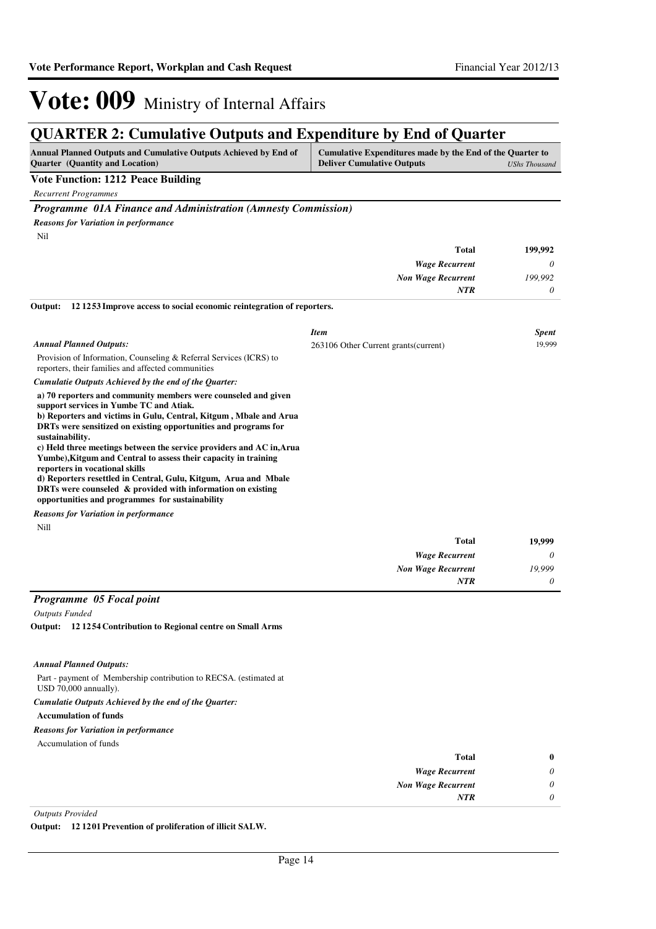*0*

*NTR*

## Vote: 009 Ministry of Internal Affairs

### **QUARTER 2: Cumulative Outputs and Expenditure by End of Quarter**

| <b>Annual Planned Outputs and Cumulative Outputs Achieved by End of</b> | Cumulative Expenditures made by the End of the Quarter to |               |
|-------------------------------------------------------------------------|-----------------------------------------------------------|---------------|
| <b>Ouarter</b> (Quantity and Location)                                  | <b>Deliver Cumulative Outputs</b>                         | UShs Thousand |
| <b>Vote Function: 1212 Peace Building</b>                               |                                                           |               |

*Recurrent Programmes*

*Programme 01A Finance and Administration (Amnesty Commission)*

*Reasons for Variation in performance*

Nil

| 199,992  | <b>Total</b>              |
|----------|---------------------------|
| $\theta$ | <b>Wage Recurrent</b>     |
| 199,992  | <b>Non Wage Recurrent</b> |
| $\theta$ | <b>NTR</b>                |
|          |                           |

#### **12 1253 Improve access to social economic reintegration of reporters. Output:**

| <b>Annual Planned Outputs:</b><br>Provision of Information, Counseling & Referral Services (ICRS) to<br>reporters, their families and affected communities<br>Cumulatie Outputs Achieved by the end of the Quarter:                                                                                                                                                                                                                                                                                                                                                                                                                    | <b>Item</b><br>263106 Other Current grants (current) | <b>Spent</b><br>19,999 |
|----------------------------------------------------------------------------------------------------------------------------------------------------------------------------------------------------------------------------------------------------------------------------------------------------------------------------------------------------------------------------------------------------------------------------------------------------------------------------------------------------------------------------------------------------------------------------------------------------------------------------------------|------------------------------------------------------|------------------------|
| a) 70 reporters and community members were counseled and given<br>support services in Yumbe TC and Atiak.<br>b) Reporters and victims in Gulu, Central, Kitgum, Mbale and Arua<br>DRTs were sensitized on existing opportunities and programs for<br>sustainability.<br>c) Held three meetings between the service providers and AC in, Arua<br>Yumbe), Kitgum and Central to assess their capacity in training<br>reporters in vocational skills<br>d) Reporters resettled in Central, Gulu, Kitgum, Arua and Mbale<br>DRTs were counseled & provided with information on existing<br>opportunities and programmes for sustainability |                                                      |                        |
| <b>Reasons for Variation in performance</b>                                                                                                                                                                                                                                                                                                                                                                                                                                                                                                                                                                                            |                                                      |                        |
| Nill                                                                                                                                                                                                                                                                                                                                                                                                                                                                                                                                                                                                                                   |                                                      |                        |
|                                                                                                                                                                                                                                                                                                                                                                                                                                                                                                                                                                                                                                        | <b>Total</b>                                         | 19,999                 |
|                                                                                                                                                                                                                                                                                                                                                                                                                                                                                                                                                                                                                                        | <b>Wage Recurrent</b>                                | 0                      |
|                                                                                                                                                                                                                                                                                                                                                                                                                                                                                                                                                                                                                                        | <b>Non Wage Recurrent</b>                            | 19,999                 |

### *Programme 05 Focal point*

*Outputs Funded*

**12 1254 Contribution to Regional centre on Small Arms Output:**

#### *Annual Planned Outputs:*

Part - payment of Membership contribution to RECSA. (estimated at

#### USD 70,000 annually). *Cumulatie Outputs Achieved by the end of the Quarter:*

**Accumulation of funds**

### *Reasons for Variation in performance*

Accumulation of funds

| $\bf{0}$ | <b>Total</b>              |
|----------|---------------------------|
| 0        | <b>Wage Recurrent</b>     |
| 0        | <b>Non Wage Recurrent</b> |
| 0        | <b>NTR</b>                |
|          |                           |

#### *Outputs Provided*

**Output: 12 1201 Prevention of proliferation of illicit SALW.**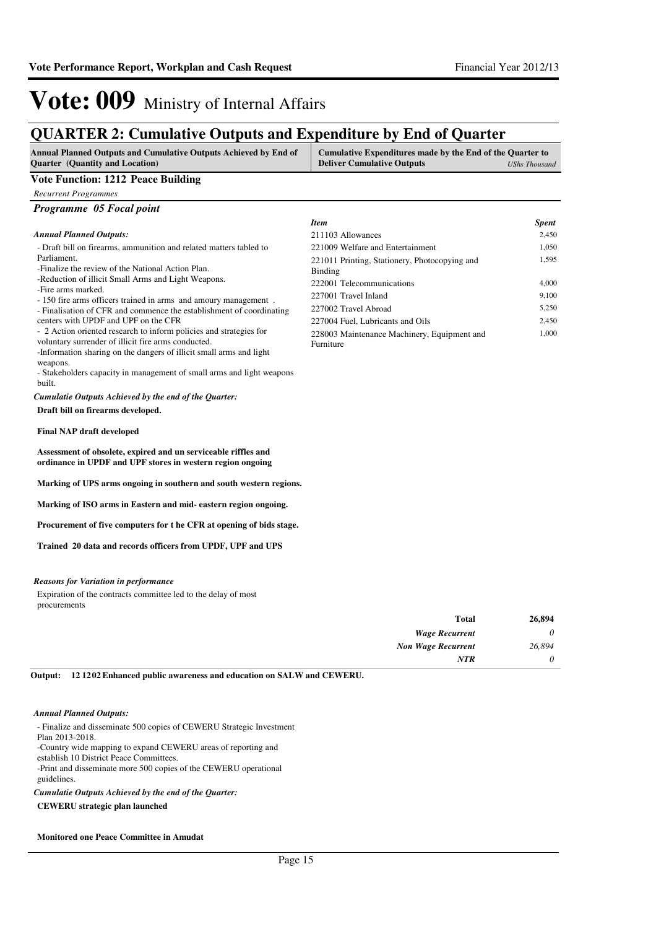1,595

1,000

*Item Spent* 211103 Allowances 2,450 221009 Welfare and Entertainment 1,050

222001 Telecommunications 4,000 227001 Travel Inland 9,100 227002 Travel Abroad 5,250 227004 Fuel, Lubricants and Oils 2,450

221011 Printing, Stationery, Photocopying and

228003 Maintenance Machinery, Equipment and

## Vote: 009 Ministry of Internal Affairs

### **QUARTER 2: Cumulative Outputs and Expenditure by End of Quarter**

| <b>Annual Planned Outputs and Cumulative Outputs Achieved by End of</b> | Cumulative Expenditures made by the End of the Quarter to |  |
|-------------------------------------------------------------------------|-----------------------------------------------------------|--|
| <b>Ouarter</b> (Quantity and Location)                                  | <b>Deliver Cumulative Outputs</b><br>UShs Thousand        |  |

Binding

Furniture

### **Vote Function: 1212 Peace Building**

*Recurrent Programmes*

#### *Annual Planned Outputs:*

| - Draft bill on firearms, ammunition and related matters tabled to |  |
|--------------------------------------------------------------------|--|
| Parliament.                                                        |  |

-Finalize the review of the National Action Plan.

-Reduction of illicit Small Arms and Light Weapons.

-Fire arms marked.

- 150 fire arms officers trained in arms and amoury management .

- Finalisation of CFR and commence the establishment of coordinating
- centers with UPDF and UPF on the CFR
- 2 Action oriented research to inform policies and strategies for
- voluntary surrender of illicit fire arms conducted.

-Information sharing on the dangers of illicit small arms and light weapons.

- Stakeholders capacity in management of small arms and light weapons built.

**Draft bill on firearms developed.** *Cumulatie Outputs Achieved by the end of the Quarter:*

#### **Final NAP draft developed**

**Assessment of obsolete, expired and un serviceable riffles and ordinance in UPDF and UPF stores in western region ongoing**

**Marking of UPS arms ongoing in southern and south western regions.**

**Marking of ISO arms in Eastern and mid- eastern region ongoing.**

**Procurement of five computers for t he CFR at opening of bids stage.**

**Trained 20 data and records officers from UPDF, UPF and UPS**

#### *Reasons for Variation in performance*

Expiration of the contracts committee led to the delay of most procurements

| <b>Total</b>              | 26,894 |
|---------------------------|--------|
| <b>Wage Recurrent</b>     | 0      |
| <b>Non Wage Recurrent</b> | 26,894 |
| <b>NTR</b>                | 0      |

**12 1202 Enhanced public awareness and education on SALW and CEWERU. Output:**

#### *Annual Planned Outputs:*

- Finalize and disseminate 500 copies of CEWERU Strategic Investment Plan 2013-2018. -Country wide mapping to expand CEWERU areas of reporting and establish 10 District Peace Committees. -Print and disseminate more 500 copies of the CEWERU operational

guidelines.

*Cumulatie Outputs Achieved by the end of the Quarter:*

#### **CEWERU strategic plan launched**

#### **Monitored one Peace Committee in Amudat**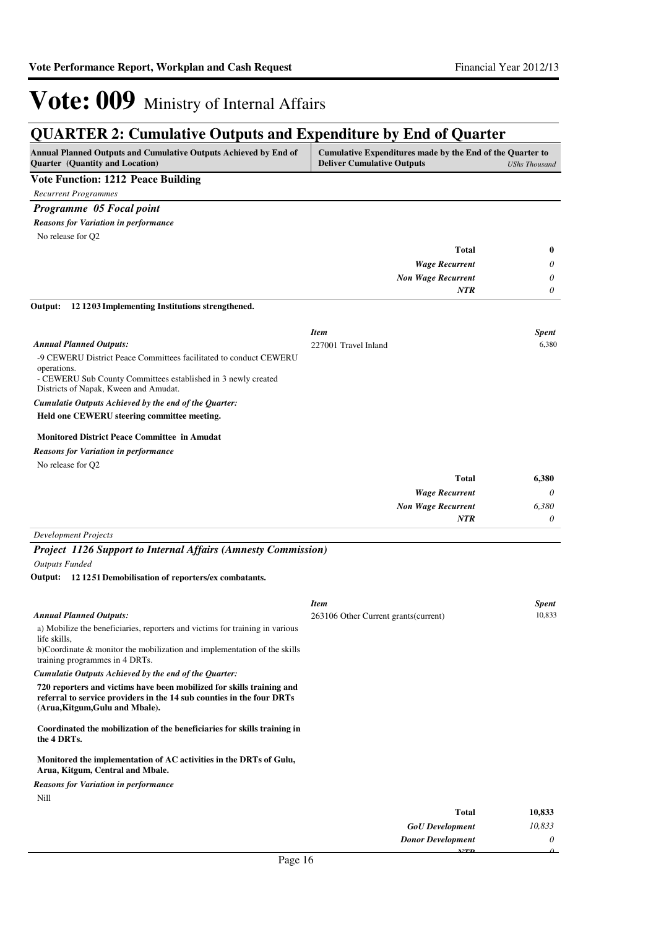### **QUARTER 2: Cumulative Outputs and Expenditure by End of Quarter**

| Annual Planned Outputs and Cumulative Outputs Achieved by End of<br>Quarter (Quantity and Location)                                                                               | Cumulative Expenditures made by the End of the Quarter to<br><b>Deliver Cumulative Outputs</b> | <b>UShs Thousand</b> |
|-----------------------------------------------------------------------------------------------------------------------------------------------------------------------------------|------------------------------------------------------------------------------------------------|----------------------|
| <b>Vote Function: 1212 Peace Building</b>                                                                                                                                         |                                                                                                |                      |
| <b>Recurrent Programmes</b>                                                                                                                                                       |                                                                                                |                      |
| Programme 05 Focal point                                                                                                                                                          |                                                                                                |                      |
| <b>Reasons for Variation in performance</b>                                                                                                                                       |                                                                                                |                      |
| No release for Q2                                                                                                                                                                 |                                                                                                |                      |
|                                                                                                                                                                                   | <b>Total</b>                                                                                   | 0                    |
|                                                                                                                                                                                   | <b>Wage Recurrent</b>                                                                          | 0                    |
|                                                                                                                                                                                   | <b>Non Wage Recurrent</b>                                                                      | 0                    |
|                                                                                                                                                                                   | <b>NTR</b>                                                                                     | 0                    |
| 12 12 03 Implementing Institutions strengthened.<br>Output:                                                                                                                       |                                                                                                |                      |
|                                                                                                                                                                                   | <b>Item</b>                                                                                    | <b>Spent</b>         |
| <b>Annual Planned Outputs:</b>                                                                                                                                                    | 227001 Travel Inland                                                                           | 6,380                |
| -9 CEWERU District Peace Committees facilitated to conduct CEWERU                                                                                                                 |                                                                                                |                      |
| operations.                                                                                                                                                                       |                                                                                                |                      |
| - CEWERU Sub County Committees established in 3 newly created<br>Districts of Napak, Kween and Amudat.                                                                            |                                                                                                |                      |
| Cumulatie Outputs Achieved by the end of the Quarter:                                                                                                                             |                                                                                                |                      |
| Held one CEWERU steering committee meeting.                                                                                                                                       |                                                                                                |                      |
| <b>Monitored District Peace Committee in Amudat</b>                                                                                                                               |                                                                                                |                      |
| <b>Reasons for Variation in performance</b>                                                                                                                                       |                                                                                                |                      |
| No release for Q2                                                                                                                                                                 |                                                                                                |                      |
|                                                                                                                                                                                   | <b>Total</b>                                                                                   | 6,380                |
|                                                                                                                                                                                   | <b>Wage Recurrent</b>                                                                          | 0                    |
|                                                                                                                                                                                   | <b>Non Wage Recurrent</b>                                                                      | 6,380                |
|                                                                                                                                                                                   | NTR                                                                                            | 0                    |
| <b>Development Projects</b>                                                                                                                                                       |                                                                                                |                      |
| <b>Project 1126 Support to Internal Affairs (Amnesty Commission)</b>                                                                                                              |                                                                                                |                      |
| <b>Outputs Funded</b>                                                                                                                                                             |                                                                                                |                      |
| Output: 12 12 51 Demobilisation of reporters/ex combatants.                                                                                                                       |                                                                                                |                      |
|                                                                                                                                                                                   | <b>Item</b>                                                                                    | Spent                |
| <b>Annual Planned Outputs:</b>                                                                                                                                                    | 263106 Other Current grants (current)                                                          | 10,833               |
| a) Mobilize the beneficiaries, reporters and victims for training in various<br>life skills,                                                                                      |                                                                                                |                      |
| b)Coordinate & monitor the mobilization and implementation of the skills                                                                                                          |                                                                                                |                      |
| training programmes in 4 DRTs.                                                                                                                                                    |                                                                                                |                      |
| Cumulatie Outputs Achieved by the end of the Quarter:                                                                                                                             |                                                                                                |                      |
| 720 reporters and victims have been mobilized for skills training and<br>referral to service providers in the 14 sub counties in the four DRTs<br>(Arua, Kitgum, Gulu and Mbale). |                                                                                                |                      |
| Coordinated the mobilization of the beneficiaries for skills training in<br>the 4 DRTs.                                                                                           |                                                                                                |                      |
| Monitored the implementation of AC activities in the DRTs of Gulu,<br>Arua, Kitgum, Central and Mbale.                                                                            |                                                                                                |                      |
| <b>Reasons for Variation in performance</b>                                                                                                                                       |                                                                                                |                      |
| Nill                                                                                                                                                                              |                                                                                                |                      |
|                                                                                                                                                                                   | Total                                                                                          | 10.833               |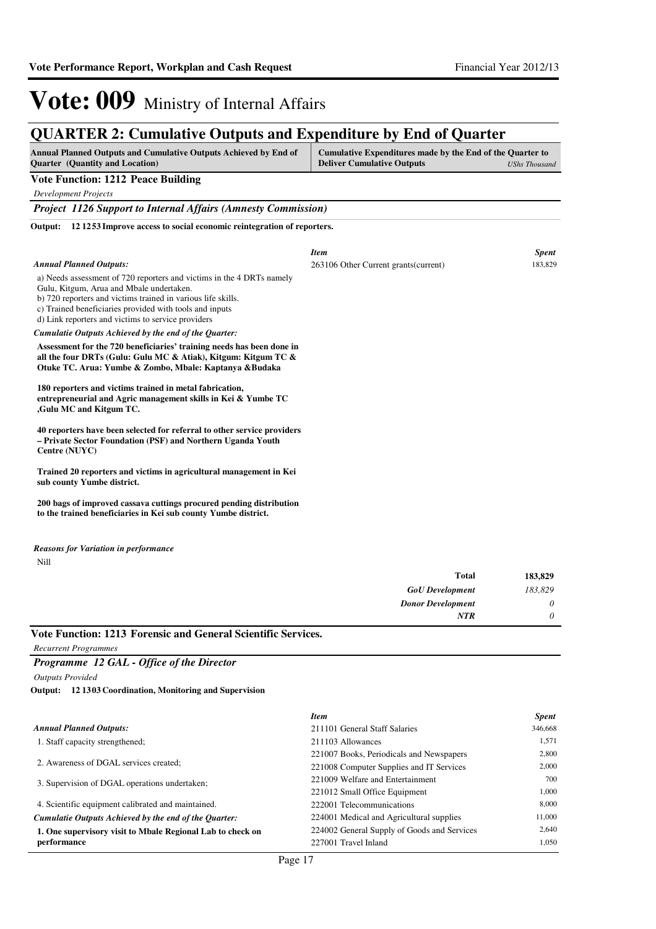### **QUARTER 2: Cumulative Outputs and Expenditure by End of Quarter**

| <b>Annual Planned Outputs and Cumulative Outputs Achieved by End of</b> | Cumulative Expenditures made by the End of the Quarter to |               |
|-------------------------------------------------------------------------|-----------------------------------------------------------|---------------|
| <b>Quarter</b> (Quantity and Location)                                  | <b>Deliver Cumulative Outputs</b>                         | UShs Thousand |

### **Vote Function: 1212 Peace Building**

*Development Projects*

*Project 1126 Support to Internal Affairs (Amnesty Commission)*

**12 1253 Improve access to social economic reintegration of reporters. Output:**

|                                                                                                                                                                                                                                                                                                                                                           | <b>Item</b>                           | <b>Spent</b> |
|-----------------------------------------------------------------------------------------------------------------------------------------------------------------------------------------------------------------------------------------------------------------------------------------------------------------------------------------------------------|---------------------------------------|--------------|
| <b>Annual Planned Outputs:</b>                                                                                                                                                                                                                                                                                                                            | 263106 Other Current grants (current) | 183,829      |
| a) Needs assessment of 720 reporters and victims in the 4 DRTs namely<br>Gulu, Kitgum, Arua and Mbale undertaken.<br>b) 720 reporters and victims trained in various life skills.<br>c) Trained beneficiaries provided with tools and inputs<br>d) Link reporters and victims to service providers                                                        |                                       |              |
| Cumulatie Outputs Achieved by the end of the Quarter:                                                                                                                                                                                                                                                                                                     |                                       |              |
| Assessment for the 720 beneficiaries' training needs has been done in<br>all the four DRTs (Gulu: Gulu MC & Atiak), Kitgum: Kitgum TC &<br>Otuke TC. Arua: Yumbe & Zombo, Mbale: Kaptanya & Budaka<br>180 reporters and victims trained in metal fabrication,<br>entrepreneurial and Agric management skills in Kei & Yumbe TC<br>,Gulu MC and Kitgum TC. |                                       |              |
| 40 reporters have been selected for referral to other service providers<br>- Private Sector Foundation (PSF) and Northern Uganda Youth<br>Centre (NUYC)                                                                                                                                                                                                   |                                       |              |
| Trained 20 reporters and victims in agricultural management in Kei<br>sub county Yumbe district.                                                                                                                                                                                                                                                          |                                       |              |
| 200 bags of improved cassava cuttings procured pending distribution<br>to the trained beneficiaries in Kei sub county Yumbe district.                                                                                                                                                                                                                     |                                       |              |
|                                                                                                                                                                                                                                                                                                                                                           |                                       |              |

```
Nill
Reasons for Variation in performance
```

| <b>Total</b>             | 183,829  |
|--------------------------|----------|
| <b>GoU</b> Development   | 183,829  |
| <b>Donor Development</b> | 0        |
| <b>NTR</b>               | $\theta$ |

**Vote Function: 1213 Forensic and General Scientific Services.**

*Recurrent Programmes*

*Programme 12 GAL - Office of the Director*

*Outputs Provided*

**12 1303 Coordination, Monitoring and Supervision Output:**

|                                                            | <b>Item</b>                                 | <b>Spent</b> |
|------------------------------------------------------------|---------------------------------------------|--------------|
| <b>Annual Planned Outputs:</b>                             | 211101 General Staff Salaries               | 346,668      |
| 1. Staff capacity strengthened;                            | 211103 Allowances                           | 1.571        |
|                                                            | 221007 Books, Periodicals and Newspapers    | 2,800        |
| 2. Awareness of DGAL services created;                     | 221008 Computer Supplies and IT Services    | 2,000        |
| 3. Supervision of DGAL operations undertaken;              | 221009 Welfare and Entertainment            | 700          |
|                                                            | 221012 Small Office Equipment               | 1,000        |
| 4. Scientific equipment calibrated and maintained.         | 222001 Telecommunications                   | 8.000        |
| Cumulatie Outputs Achieved by the end of the Ouarter:      | 224001 Medical and Agricultural supplies    | 11,000       |
| 1. One supervisory visit to Mbale Regional Lab to check on | 224002 General Supply of Goods and Services | 2.640        |
| performance                                                | 227001 Travel Inland                        | 1.050        |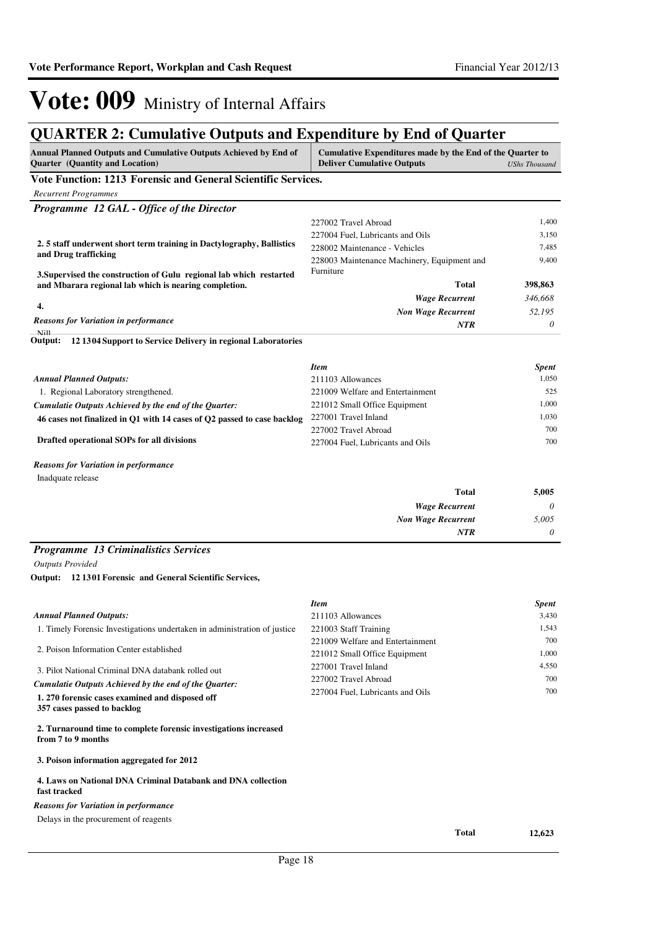### **QUARTER 2: Cumulative Outputs and Expenditure by End of Quarter**

| <b>Annual Planned Outputs and Cumulative Outputs Achieved by End of</b><br><b>Quarter</b> (Quantity and Location) | Cumulative Expenditures made by the End of the Quarter to<br><b>Deliver Cumulative Outputs</b> | <b>UShs Thousand</b>  |
|-------------------------------------------------------------------------------------------------------------------|------------------------------------------------------------------------------------------------|-----------------------|
| Vote Function: 1213 Forensic and General Scientific Services.                                                     |                                                                                                |                       |
| <b>Recurrent Programmes</b>                                                                                       |                                                                                                |                       |
| Programme 12 GAL - Office of the Director                                                                         |                                                                                                |                       |
|                                                                                                                   | 227002 Travel Abroad                                                                           | 1,400                 |
|                                                                                                                   | 227004 Fuel, Lubricants and Oils                                                               | 3,150                 |
| 2.5 staff underwent short term training in Dactylography, Ballistics<br>and Drug trafficking                      | 228002 Maintenance - Vehicles                                                                  | 7,485                 |
|                                                                                                                   | 228003 Maintenance Machinery, Equipment and                                                    | 9,400                 |
| 3. Supervised the construction of Gulu regional lab which restarted                                               | Furniture                                                                                      |                       |
| and Mbarara regional lab which is nearing completion.                                                             | Total                                                                                          | 398,863               |
| 4.                                                                                                                | <b>Wage Recurrent</b>                                                                          | 346,668               |
| <b>Reasons for Variation in performance</b>                                                                       | <b>Non Wage Recurrent</b>                                                                      | 52,195                |
| N <sub>i</sub> 11                                                                                                 | NTR                                                                                            | 0                     |
| 12 1304 Support to Service Delivery in regional Laboratories<br>Output:                                           |                                                                                                |                       |
|                                                                                                                   | <b>Item</b>                                                                                    |                       |
| <b>Annual Planned Outputs:</b>                                                                                    | 211103 Allowances                                                                              | <b>Spent</b><br>1,050 |
| 1. Regional Laboratory strengthened.                                                                              | 221009 Welfare and Entertainment                                                               | 525                   |
| Cumulatie Outputs Achieved by the end of the Quarter:                                                             | 221012 Small Office Equipment                                                                  | 1,000                 |
| 46 cases not finalized in Q1 with 14 cases of Q2 passed to case backlog                                           | 227001 Travel Inland                                                                           | 1,030                 |
|                                                                                                                   | 227002 Travel Abroad                                                                           | 700                   |
| Drafted operational SOPs for all divisions                                                                        | 227004 Fuel, Lubricants and Oils                                                               | 700                   |
| <b>Reasons for Variation in performance</b>                                                                       |                                                                                                |                       |
| Inadquate release                                                                                                 |                                                                                                |                       |
|                                                                                                                   | Total                                                                                          | 5,005                 |
|                                                                                                                   | <b>Wage Recurrent</b>                                                                          | 0                     |
|                                                                                                                   | <b>Non Wage Recurrent</b>                                                                      | 5,005                 |
|                                                                                                                   | NTR                                                                                            | 0                     |
| <b>Programme 13 Criminalistics Services</b>                                                                       |                                                                                                |                       |
| <b>Outputs Provided</b>                                                                                           |                                                                                                |                       |
| Output: 12 1301 Forensic and General Scientific Services,                                                         |                                                                                                |                       |
|                                                                                                                   | <b>Item</b>                                                                                    | <b>Spent</b>          |
| <b>Annual Planned Outputs:</b>                                                                                    | 211103 Allowances                                                                              | 3,430                 |
| 1. Timely Forensic Investigations undertaken in administration of justice                                         | 221003 Staff Training                                                                          | 1,543                 |
|                                                                                                                   | 221009 Welfare and Entertainment                                                               | 700                   |
| 2. Poison Information Center established                                                                          | 221012 Small Office Equipment                                                                  | 1,000                 |
| 3. Pilot National Criminal DNA databank rolled out                                                                | 227001 Travel Inland                                                                           | 4,550                 |
| Cumulatie Outputs Achieved by the end of the Quarter:                                                             | 227002 Travel Abroad                                                                           | 700                   |
| 1.270 forensic cases examined and disposed off                                                                    | 227004 Fuel, Lubricants and Oils                                                               | 700                   |
| 357 cases passed to backlog                                                                                       |                                                                                                |                       |
| 2. Turnaround time to complete forensic investigations increased<br>from 7 to 9 months                            |                                                                                                |                       |
| 3. Poison information aggregated for 2012                                                                         |                                                                                                |                       |
| 4. Laws on National DNA Criminal Databank and DNA collection<br>fast tracked                                      |                                                                                                |                       |
| <b>Reasons for Variation in performance</b>                                                                       |                                                                                                |                       |
| Delays in the procurement of reagents                                                                             |                                                                                                |                       |
|                                                                                                                   | Total                                                                                          | 12,623                |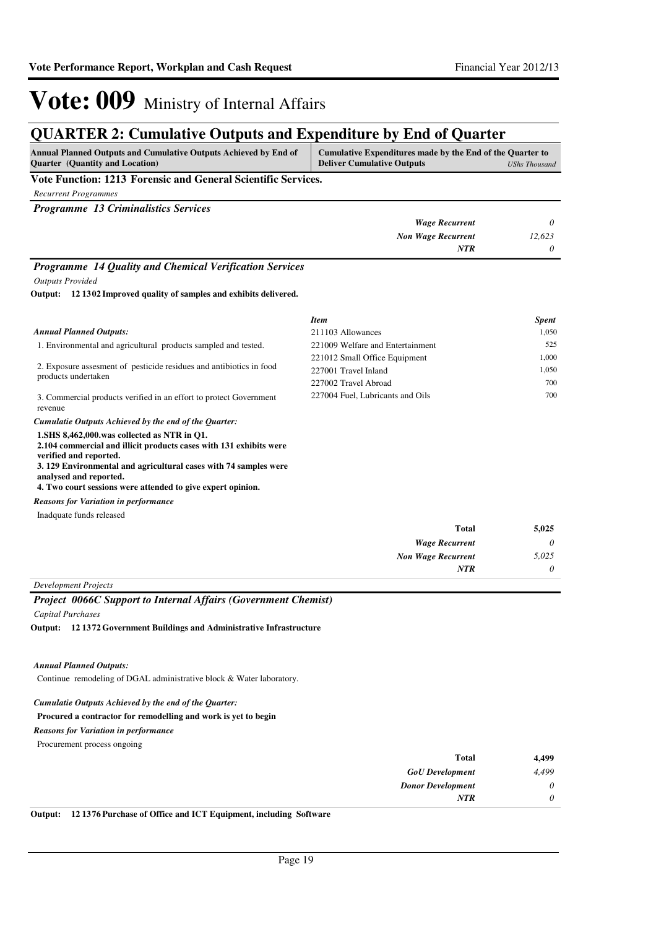### **QUARTER 2: Cumulative Outputs and Expenditure by End of Quarter**

| Annual Planned Outputs and Cumulative Outputs Achieved by End of<br><b>Quarter</b> (Quantity and Location) | Cumulative Expenditures made by the End of the Quarter to<br><b>Deliver Cumulative Outputs</b> | UShs Thousand |
|------------------------------------------------------------------------------------------------------------|------------------------------------------------------------------------------------------------|---------------|
| Vote Function: 1213 Forensic and General Scientific Services.                                              |                                                                                                |               |
| <b>Recurrent Programmes</b>                                                                                |                                                                                                |               |
| <b>Programme 13 Criminalistics Services</b>                                                                |                                                                                                |               |
|                                                                                                            | <b>Wage Recurrent</b>                                                                          |               |
|                                                                                                            | <b>Non Wage Recurrent</b>                                                                      | 12.623        |
|                                                                                                            | <b>NTR</b>                                                                                     |               |

### *Programme 14 Quality and Chemical Verification Services*

*Outputs Provided*

**12 1302 Improved quality of samples and exhibits delivered. Output:**

|                                                                                                                                                                                                                                          | <b>Item</b>                      | <b>Spent</b> |
|------------------------------------------------------------------------------------------------------------------------------------------------------------------------------------------------------------------------------------------|----------------------------------|--------------|
| <b>Annual Planned Outputs:</b>                                                                                                                                                                                                           | 211103 Allowances                | 1,050        |
| 1. Environmental and agricultural products sampled and tested.                                                                                                                                                                           | 221009 Welfare and Entertainment | 525          |
| 2. Exposure assessment of pesticide residues and antibiotics in food<br>products undertaken                                                                                                                                              | 221012 Small Office Equipment    | 1,000        |
|                                                                                                                                                                                                                                          | 227001 Travel Inland             | 1,050        |
|                                                                                                                                                                                                                                          | 227002 Travel Abroad             | 700          |
| 3. Commercial products verified in an effort to protect Government<br>revenue                                                                                                                                                            | 227004 Fuel, Lubricants and Oils | 700          |
| Cumulatie Outputs Achieved by the end of the Ouarter:                                                                                                                                                                                    |                                  |              |
| 1.SHS 8,462,000.was collected as NTR in O1.<br>2.104 commercial and illicit products cases with 131 exhibits were<br>verified and reported.<br>3.129 Environmental and agricultural cases with 74 samples were<br>analysed and reported. |                                  |              |
| 4. Two court sessions were attended to give expert opinion.                                                                                                                                                                              |                                  |              |

### *Reasons for Variation in performance*

| 5,025    | <b>Total</b>              |
|----------|---------------------------|
| $\theta$ | <b>Wage Recurrent</b>     |
| 5,025    | <b>Non Wage Recurrent</b> |
| 0        | <b>NTR</b>                |

*Development Projects*

### *Project 0066C Support to Internal Affairs (Government Chemist)*

*Capital Purchases*

**12 1372 Government Buildings and Administrative Infrastructure Output:**

### *Annual Planned Outputs:*

Continue remodeling of DGAL administrative block & Water laboratory.

### *Cumulatie Outputs Achieved by the end of the Quarter:*

### **Procured a contractor for remodelling and work is yet to begin**

Procurement process ongoing *Reasons for Variation in performance*

| 4,499    | <b>Total</b>             |
|----------|--------------------------|
| 4,499    | <b>GoU</b> Development   |
| $\theta$ | <b>Donor Development</b> |
| 0        | <b>NTR</b>               |
|          |                          |

**Output: 12 1376 Purchase of Office and ICT Equipment, including Software**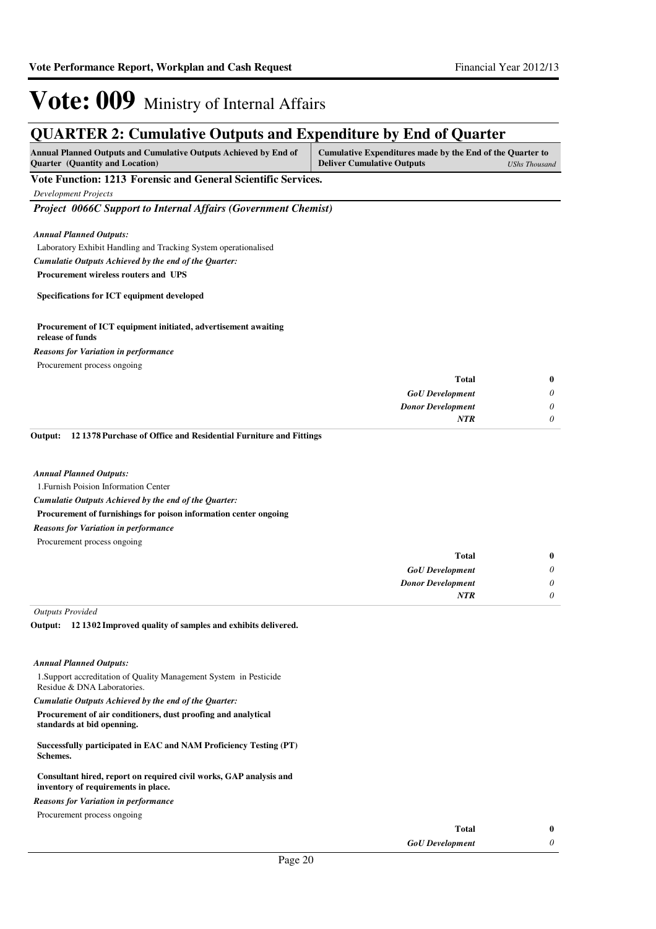### **QUARTER 2: Cumulative Outputs and Expenditure by End of Quarter**

| <b>Annual Planned Outputs and Cumulative Outputs Achieved by End of</b> | Cumulative Expenditures made by the End of the Quarter to |
|-------------------------------------------------------------------------|-----------------------------------------------------------|
| <b>Ouarter</b> (Quantity and Location)                                  | <b>Deliver Cumulative Outputs</b><br>UShs Thousand        |
| <b>TT . TT</b>                                                          |                                                           |

**Vote Function: 1213 Forensic and General Scientific Services.**

*Development Projects*

*Project 0066C Support to Internal Affairs (Government Chemist)*

*Annual Planned Outputs:*

Laboratory Exhibit Handling and Tracking System operationalised

*Cumulatie Outputs Achieved by the end of the Quarter:*

**Procurement wireless routers and UPS**

**Specifications for ICT equipment developed**

#### **Procurement of ICT equipment initiated, advertisement awaiting release of funds**

Procurement process ongoing *Reasons for Variation in performance*

| $\bf{0}$ | Total                    |
|----------|--------------------------|
| $\theta$ | <b>GoU</b> Development   |
| $\theta$ | <b>Donor Development</b> |
|          | <b>NTR</b>               |
|          |                          |

**12 1378 Purchase of Office and Residential Furniture and Fittings Output:**

#### *Annual Planned Outputs:*

1.Furnish Poision Information Center

*Cumulatie Outputs Achieved by the end of the Quarter:*

**Procurement of furnishings for poison information center ongoing**

- *Reasons for Variation in performance*
- Procurement process ongoing

|   | Total                    |
|---|--------------------------|
| 0 | <b>GoU</b> Development   |
| 0 | <b>Donor Development</b> |
| 0 | <b>NTR</b>               |
|   |                          |

*Outputs Provided*

**12 1302 Improved quality of samples and exhibits delivered. Output:**

#### *Annual Planned Outputs:*

1.Support accreditation of Quality Management System in Pesticide Residue & DNA Laboratories.

*Cumulatie Outputs Achieved by the end of the Quarter:*

**Procurement of air conditioners, dust proofing and analytical standards at bid openning.**

**Successfully participated in EAC and NAM Proficiency Testing (PT) Schemes.**

**Consultant hired, report on required civil works, GAP analysis and inventory of requirements in place.**

*Reasons for Variation in performance*

Procurement process ongoing

| Total                  |  |
|------------------------|--|
| <b>GoU</b> Development |  |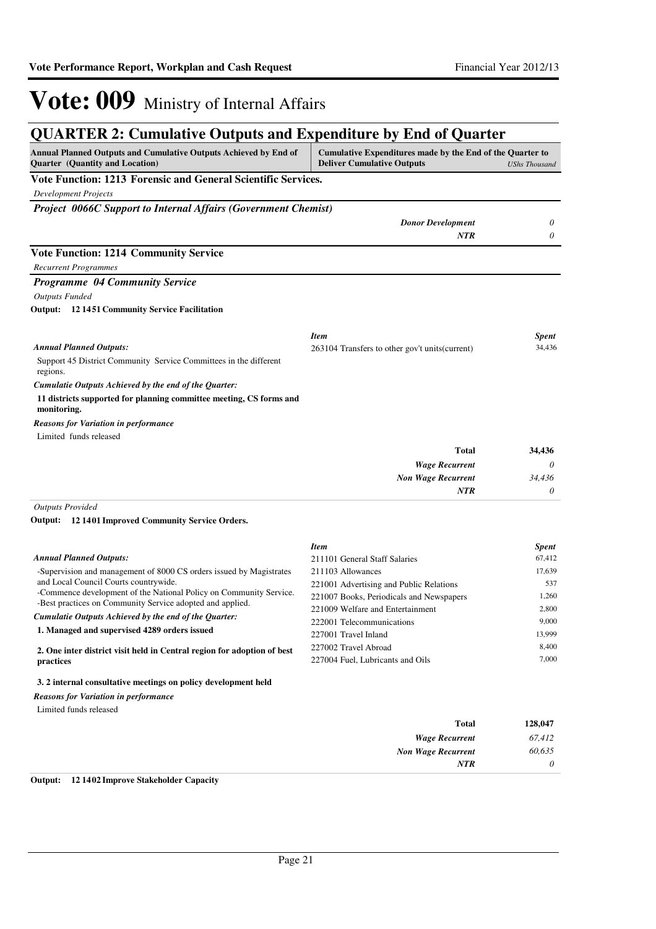### **QUARTER 2: Cumulative Outputs and Expenditure by End of Quarter**

| Annual Planned Outputs and Cumulative Outputs Achieved by End of<br><b>Quarter</b> (Quantity and Location)  | Cumulative Expenditures made by the End of the Quarter to<br><b>Deliver Cumulative Outputs</b> | <b>UShs Thousand</b> |
|-------------------------------------------------------------------------------------------------------------|------------------------------------------------------------------------------------------------|----------------------|
| Vote Function: 1213 Forensic and General Scientific Services.                                               |                                                                                                |                      |
| <b>Development Projects</b>                                                                                 |                                                                                                |                      |
| <b>Project 0066C Support to Internal Affairs (Government Chemist)</b>                                       |                                                                                                |                      |
|                                                                                                             | <b>Donor Development</b>                                                                       | 0                    |
|                                                                                                             | <b>NTR</b>                                                                                     | $\theta$             |
| <b>Vote Function: 1214 Community Service</b>                                                                |                                                                                                |                      |
| <b>Recurrent Programmes</b>                                                                                 |                                                                                                |                      |
| Programme 04 Community Service                                                                              |                                                                                                |                      |
| <b>Outputs Funded</b>                                                                                       |                                                                                                |                      |
| <b>Output:</b> 12 1451 Community Service Facilitation                                                       |                                                                                                |                      |
|                                                                                                             | <b>Item</b>                                                                                    | Spent                |
| <b>Annual Planned Outputs:</b>                                                                              | 263104 Transfers to other gov't units (current)                                                | 34,436               |
| Support 45 District Community Service Committees in the different<br>regions.                               |                                                                                                |                      |
| Cumulatie Outputs Achieved by the end of the Quarter:                                                       |                                                                                                |                      |
| 11 districts supported for planning committee meeting, CS forms and<br>monitoring.                          |                                                                                                |                      |
| <b>Reasons for Variation in performance</b>                                                                 |                                                                                                |                      |
| Limited funds released                                                                                      |                                                                                                |                      |
|                                                                                                             | <b>Total</b>                                                                                   | 34,436               |
|                                                                                                             | <b>Wage Recurrent</b>                                                                          | 0                    |
|                                                                                                             | <b>Non Wage Recurrent</b>                                                                      | 34,436               |
|                                                                                                             | <b>NTR</b>                                                                                     | 0                    |
| <b>Outputs Provided</b>                                                                                     |                                                                                                |                      |
| Output: 12 1401 Improved Community Service Orders.                                                          |                                                                                                |                      |
|                                                                                                             | <b>Item</b>                                                                                    | <b>Spent</b>         |
| <b>Annual Planned Outputs:</b>                                                                              | 211101 General Staff Salaries                                                                  | 67,412               |
| -Supervision and management of 8000 CS orders issued by Magistrates                                         | 211103 Allowances                                                                              | 17,639               |
| and Local Council Courts countrywide.<br>-Commence development of the National Policy on Community Service. | 221001 Advertising and Public Relations                                                        | 537                  |
| -Best practices on Community Service adopted and applied.                                                   | 221007 Books, Periodicals and Newspapers<br>221009 Welfare and Entertainment                   | 1,260<br>2,800       |
|                                                                                                             |                                                                                                |                      |

#### *Cumulatie Outputs Achieved by the end of the Quarter:*

**1. Managed and supervised 4289 orders issued**

**2. One inter district visit held in Central region for adoption of best practices**

### **3. 2 internal consultative meetings on policy development held**

#### *Reasons for Variation in performance*

Limited funds released

| 128,047  | Total                     |
|----------|---------------------------|
| 67,412   | <b>Wage Recurrent</b>     |
| 60,635   | <b>Non Wage Recurrent</b> |
| $\theta$ | <b>NTR</b>                |
|          |                           |

222001 Telecommunications 9,000 227001 Travel Inland 13,999 227002 Travel Abroad 8,400 227004 Fuel, Lubricants and Oils 7,000

### **Output: 12 1402 Improve Stakeholder Capacity**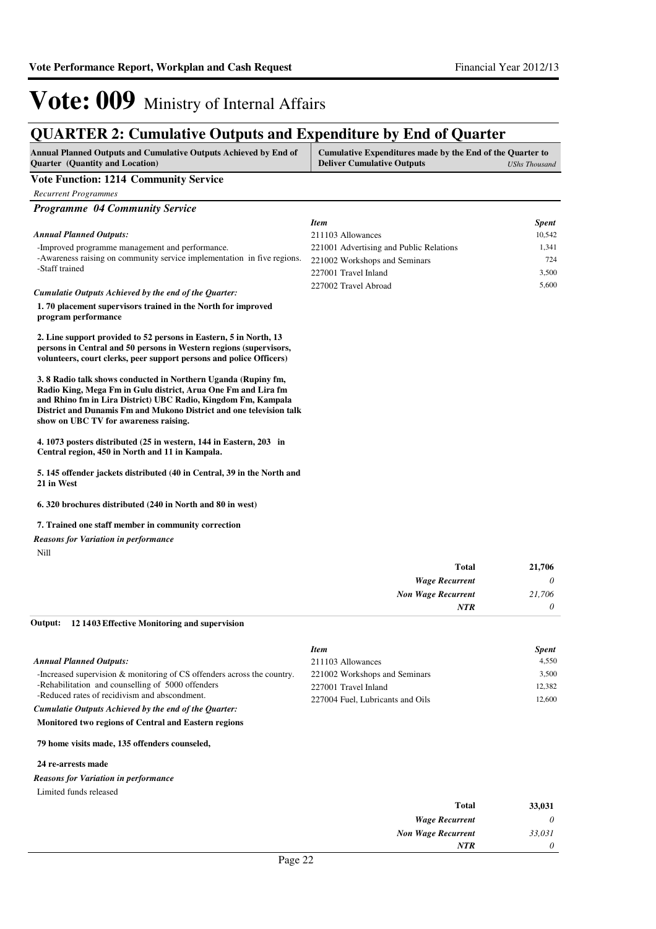### **QUARTER 2: Cumulative Outputs and Expenditure by End of Quarter**

| <b>Annual Planned Outputs and Cumulative Outputs Achieved by End of</b>                                                                                                                                                                                                                                                            | Cumulative Expenditures made by the End of the Quarter to |               |
|------------------------------------------------------------------------------------------------------------------------------------------------------------------------------------------------------------------------------------------------------------------------------------------------------------------------------------|-----------------------------------------------------------|---------------|
| <b>Ouarter</b> (Quantity and Location)                                                                                                                                                                                                                                                                                             | <b>Deliver Cumulative Outputs</b>                         | UShs Thousand |
| $\mathbf{v}$ $\mathbf{v}$ $\mathbf{v}$ $\mathbf{v}$ $\mathbf{v}$ $\mathbf{v}$ $\mathbf{v}$ $\mathbf{v}$ $\mathbf{v}$ $\mathbf{v}$ $\mathbf{v}$ $\mathbf{v}$ $\mathbf{v}$ $\mathbf{v}$ $\mathbf{v}$ $\mathbf{v}$ $\mathbf{v}$ $\mathbf{v}$ $\mathbf{v}$ $\mathbf{v}$ $\mathbf{v}$ $\mathbf{v}$ $\mathbf{v}$ $\mathbf{v}$ $\mathbf{$ |                                                           |               |

### **Vote Function: 1214 Community Service**

*Recurrent Programmes*

| <b>Programme 04 Community Service</b>                                                                                                                                                                                                                                                                           |                                         |              |
|-----------------------------------------------------------------------------------------------------------------------------------------------------------------------------------------------------------------------------------------------------------------------------------------------------------------|-----------------------------------------|--------------|
|                                                                                                                                                                                                                                                                                                                 | <b>Item</b>                             | <b>Spent</b> |
| <b>Annual Planned Outputs:</b>                                                                                                                                                                                                                                                                                  | 211103 Allowances                       | 10,542       |
| -Improved programme management and performance.                                                                                                                                                                                                                                                                 | 221001 Advertising and Public Relations | 1.341        |
| -Awareness raising on community service implementation in five regions.                                                                                                                                                                                                                                         | 221002 Workshops and Seminars           | 724          |
| -Staff trained                                                                                                                                                                                                                                                                                                  | 227001 Travel Inland                    | 3,500        |
| Cumulatie Outputs Achieved by the end of the Quarter:                                                                                                                                                                                                                                                           | 227002 Travel Abroad                    | 5,600        |
| 1.70 placement supervisors trained in the North for improved<br>program performance                                                                                                                                                                                                                             |                                         |              |
| 2. Line support provided to 52 persons in Eastern, 5 in North, 13<br>persons in Central and 50 persons in Western regions (supervisors,<br>volunteers, court clerks, peer support persons and police Officers)                                                                                                  |                                         |              |
| 3.8 Radio talk shows conducted in Northern Uganda (Rupiny fm,<br>Radio King, Mega Fm in Gulu district, Arua One Fm and Lira fm<br>and Rhino fm in Lira District) UBC Radio, Kingdom Fm, Kampala<br>District and Dunamis Fm and Mukono District and one television talk<br>show on UBC TV for awareness raising. |                                         |              |
| 4. 1073 posters distributed (25 in western, 144 in Eastern, 203 in<br>Central region, 450 in North and 11 in Kampala.                                                                                                                                                                                           |                                         |              |
| 5. 145 offender jackets distributed (40 in Central, 39 in the North and<br>21 in West                                                                                                                                                                                                                           |                                         |              |
| 6. 320 brochures distributed (240 in North and 80 in west)                                                                                                                                                                                                                                                      |                                         |              |
| 7. Trained one staff member in community correction                                                                                                                                                                                                                                                             |                                         |              |
| <b>Reasons for Variation in performance</b>                                                                                                                                                                                                                                                                     |                                         |              |

Nill

| <b>Total</b>              | 21,706   |
|---------------------------|----------|
| <b>Wage Recurrent</b>     | $\theta$ |
| <b>Non Wage Recurrent</b> | 21,706   |
| NTR                       | $\theta$ |

#### **12 1403 Effective Monitoring and supervision Output:**

|                                                                            | <b>Item</b>                      | <b>Spent</b> |
|----------------------------------------------------------------------------|----------------------------------|--------------|
| <b>Annual Planned Outputs:</b>                                             | 211103 Allowances                | 4,550        |
| -Increased supervision $\&$ monitoring of CS offenders across the country. | 221002 Workshops and Seminars    | 3.500        |
| -Rehabilitation and counselling of 5000 offenders                          | 227001 Travel Inland             | 12,382       |
| -Reduced rates of recidivism and abscondment.                              | 227004 Fuel, Lubricants and Oils | 12,600       |
| Cumulatie Outputs Achieved by the end of the Quarter:                      |                                  |              |
| Monitored two regions of Central and Eastern regions                       |                                  |              |

#### **79 home visits made, 135 offenders counseled,**

#### **24 re-arrests made**

### *Reasons for Variation in performance*

#### Limited funds released

| 33,031   | <b>Total</b>              |
|----------|---------------------------|
| $\theta$ | <b>Wage Recurrent</b>     |
| 33,031   | <b>Non Wage Recurrent</b> |
| $\theta$ | <b>NTR</b>                |
|          |                           |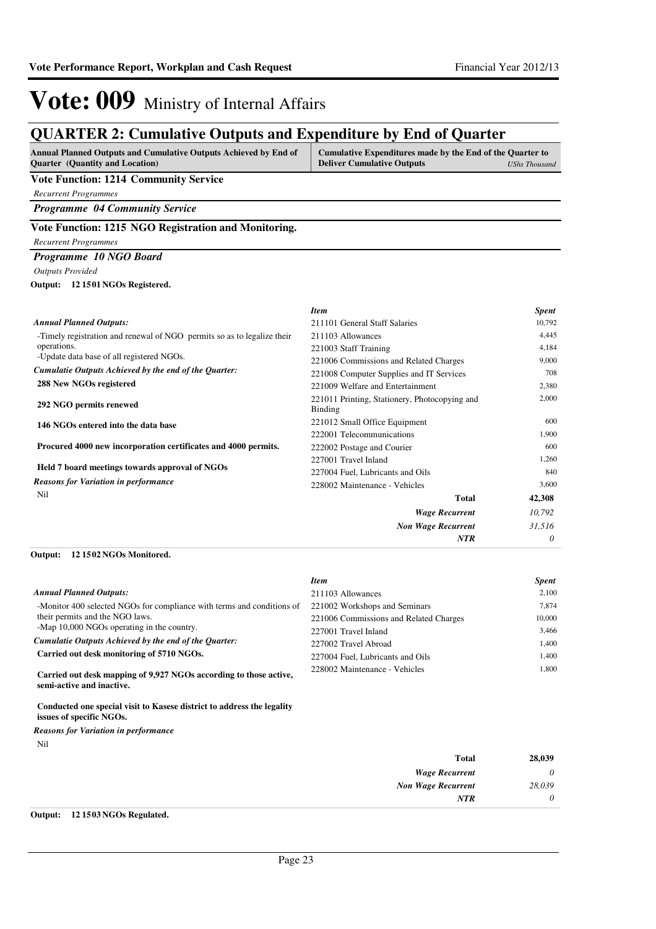### **QUARTER 2: Cumulative Outputs and Expenditure by End of Quarter**

| <b>Annual Planned Outputs and Cumulative Outputs Achieved by End of</b> | Cumulative Expenditures made by the End of the Quarter to |               |
|-------------------------------------------------------------------------|-----------------------------------------------------------|---------------|
| <b>Ouarter</b> (Quantity and Location)                                  | <b>Deliver Cumulative Outputs</b>                         | UShs Thousand |

### **Vote Function: 1214 Community Service**

*Recurrent Programmes*

*Programme 04 Community Service*

### **Vote Function: 1215 NGO Registration and Monitoring.**

### *Recurrent Programmes*

*Programme 10 NGO Board*

*Outputs Provided*

#### **12 1501 NGOs Registered. Output:**

|                                                                         | <b>Item</b>                                              | <b>Spent</b> |
|-------------------------------------------------------------------------|----------------------------------------------------------|--------------|
| <b>Annual Planned Outputs:</b>                                          | 211101 General Staff Salaries                            | 10,792       |
| -Timely registration and renewal of NGO permits so as to legalize their | 211103 Allowances                                        | 4,445        |
| operations.                                                             | 221003 Staff Training                                    | 4,184        |
| -Update data base of all registered NGOs.                               | 221006 Commissions and Related Charges                   | 9,000        |
| Cumulatie Outputs Achieved by the end of the Quarter:                   | 221008 Computer Supplies and IT Services                 | 708          |
| 288 New NGOs registered                                                 | 221009 Welfare and Entertainment                         | 2,380        |
| 292 NGO permits renewed                                                 | 221011 Printing, Stationery, Photocopying and<br>Binding | 2,000        |
| 146 NGOs entered into the data base                                     | 221012 Small Office Equipment                            | 600          |
|                                                                         | 222001 Telecommunications                                | 1,900        |
| Procured 4000 new incorporation certificates and 4000 permits.          | 222002 Postage and Courier                               | 600          |
|                                                                         | 227001 Travel Inland                                     | 1,260        |
| Held 7 board meetings towards approval of NGOs                          | 227004 Fuel, Lubricants and Oils                         | 840          |
| <b>Reasons for Variation in performance</b>                             | 228002 Maintenance - Vehicles                            | 3,600        |
| Nil                                                                     | <b>Total</b>                                             | 42,308       |
|                                                                         | <b>Wage Recurrent</b>                                    | 10,792       |
|                                                                         | <b>Non Wage Recurrent</b>                                | 31,516       |
|                                                                         | <b>NTR</b>                                               | 0            |

#### **12 1502 NGOs Monitored. Output:**

|                                                                        | <b>Item</b>                            | <b>Spent</b> |
|------------------------------------------------------------------------|----------------------------------------|--------------|
| <b>Annual Planned Outputs:</b>                                         | 211103 Allowances                      | 2,100        |
| -Monitor 400 selected NGOs for compliance with terms and conditions of | 221002 Workshops and Seminars          | 7.874        |
| their permits and the NGO laws.                                        | 221006 Commissions and Related Charges | 10,000       |
| -Map 10,000 NGOs operating in the country.                             | 227001 Travel Inland                   | 3.466        |
| Cumulatie Outputs Achieved by the end of the Ouarter:                  | 227002 Travel Abroad                   | 1.400        |
| Carried out desk monitoring of 5710 NGOs.                              | 227004 Fuel, Lubricants and Oils       | 1.400        |
| Carried out desk manning of 0.027 NCOs according to those active       | 228002 Maintenance - Vehicles          | 1.800        |

**Carried out desk mapping of 9,927 NGOs according to those active, semi-active and inactive.**

**Conducted one special visit to Kasese district to address the legality issues of specific NGOs.**

#### *Reasons for Variation in performance*

Nil

| 28,039   | <b>Total</b>              |
|----------|---------------------------|
| 0        | <b>Wage Recurrent</b>     |
| 28,039   | <b>Non Wage Recurrent</b> |
| $\theta$ | <b>NTR</b>                |
|          |                           |

### **Output: 12 1503 NGOs Regulated.**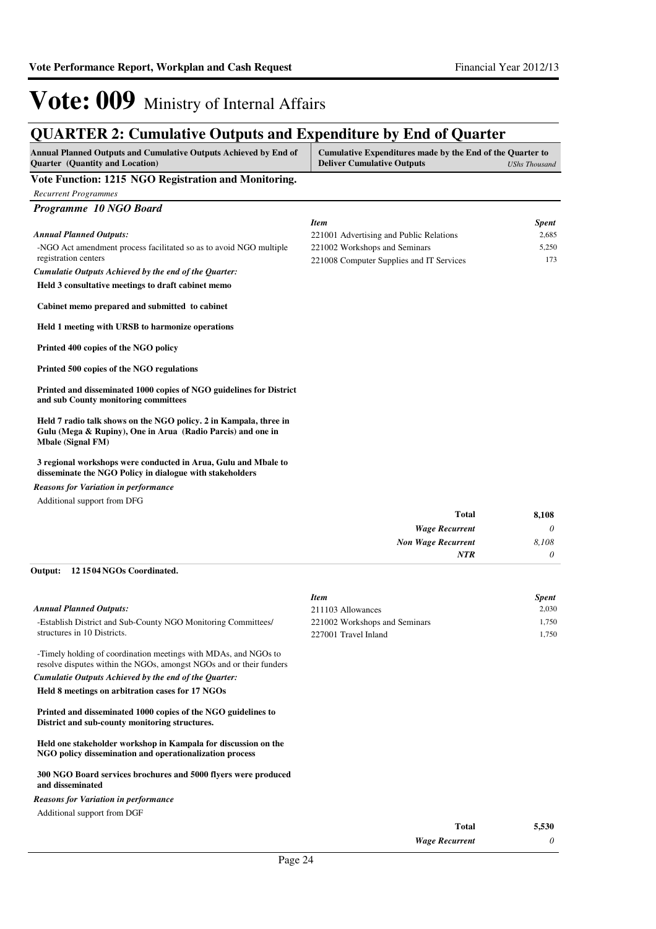### **QUARTER 2: Cumulative Outputs and Expenditure by End of Quarter**

| Annual Planned Outputs and Cumulative Outputs Achieved by End of<br>Quarter (Quantity and Location)                                                          | Cumulative Expenditures made by the End of the Quarter to<br><b>Deliver Cumulative Outputs</b><br><b>UShs Thousand</b> |                       |
|--------------------------------------------------------------------------------------------------------------------------------------------------------------|------------------------------------------------------------------------------------------------------------------------|-----------------------|
| Vote Function: 1215 NGO Registration and Monitoring.                                                                                                         |                                                                                                                        |                       |
| <b>Recurrent Programmes</b>                                                                                                                                  |                                                                                                                        |                       |
| Programme 10 NGO Board                                                                                                                                       |                                                                                                                        |                       |
|                                                                                                                                                              |                                                                                                                        |                       |
| <b>Annual Planned Outputs:</b>                                                                                                                               | <b>Item</b><br>221001 Advertising and Public Relations                                                                 | <b>Spent</b><br>2,685 |
| -NGO Act amendment process facilitated so as to avoid NGO multiple                                                                                           | 221002 Workshops and Seminars                                                                                          | 5,250                 |
| registration centers                                                                                                                                         | 221008 Computer Supplies and IT Services                                                                               | 173                   |
| Cumulatie Outputs Achieved by the end of the Quarter:                                                                                                        |                                                                                                                        |                       |
| Held 3 consultative meetings to draft cabinet memo                                                                                                           |                                                                                                                        |                       |
| Cabinet memo prepared and submitted to cabinet                                                                                                               |                                                                                                                        |                       |
| Held 1 meeting with URSB to harmonize operations                                                                                                             |                                                                                                                        |                       |
| Printed 400 copies of the NGO policy                                                                                                                         |                                                                                                                        |                       |
| Printed 500 copies of the NGO regulations                                                                                                                    |                                                                                                                        |                       |
| Printed and disseminated 1000 copies of NGO guidelines for District<br>and sub County monitoring committees                                                  |                                                                                                                        |                       |
| Held 7 radio talk shows on the NGO policy. 2 in Kampala, three in<br>Gulu (Mega & Rupiny), One in Arua (Radio Parcis) and one in<br><b>Mbale (Signal FM)</b> |                                                                                                                        |                       |
| 3 regional workshops were conducted in Arua, Gulu and Mbale to<br>disseminate the NGO Policy in dialogue with stakeholders                                   |                                                                                                                        |                       |
| <b>Reasons for Variation in performance</b>                                                                                                                  |                                                                                                                        |                       |
| Additional support from DFG                                                                                                                                  |                                                                                                                        |                       |
|                                                                                                                                                              | <b>Total</b>                                                                                                           | 8,108                 |
|                                                                                                                                                              | <b>Wage Recurrent</b>                                                                                                  | 0                     |
|                                                                                                                                                              | <b>Non Wage Recurrent</b>                                                                                              | 8,108                 |
|                                                                                                                                                              | NTR                                                                                                                    | 0                     |
| Output:<br>12 1504 NGOs Coordinated.                                                                                                                         |                                                                                                                        |                       |
|                                                                                                                                                              | <b>Item</b>                                                                                                            | <b>Spent</b>          |
| <b>Annual Planned Outputs:</b>                                                                                                                               | 211103 Allowances                                                                                                      | 2,030                 |
| -Establish District and Sub-County NGO Monitoring Committees/                                                                                                | 221002 Workshops and Seminars                                                                                          | 1,750                 |
| structures in 10 Districts.                                                                                                                                  | 227001 Travel Inland                                                                                                   | 1,750                 |
| -Timely holding of coordination meetings with MDAs, and NGOs to<br>resolve disputes within the NGOs, amongst NGOs and or their funders                       |                                                                                                                        |                       |
| Cumulatie Outputs Achieved by the end of the Quarter:                                                                                                        |                                                                                                                        |                       |
| Held 8 meetings on arbitration cases for 17 NGOs                                                                                                             |                                                                                                                        |                       |
| Printed and disseminated 1000 copies of the NGO guidelines to<br>District and sub-county monitoring structures.                                              |                                                                                                                        |                       |

**Held one stakeholder workshop in Kampala for discussion on the NGO policy dissemination and operationalization process**

**300 NGO Board services brochures and 5000 flyers were produced and disseminated**

Additional support from DGF *Reasons for Variation in performance*

| Total                 | 5,530 |
|-----------------------|-------|
| <b>Wage Recurrent</b> |       |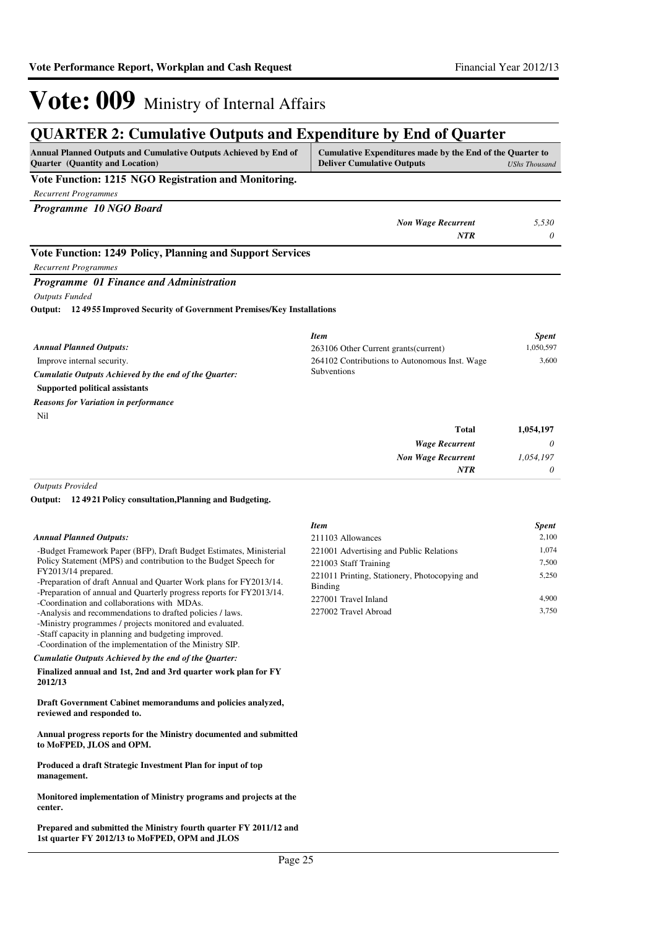*0*

## Vote: 009 Ministry of Internal Affairs

### **QUARTER 2: Cumulative Outputs and Expenditure by End of Quarter**

| Annual Planned Outputs and Cumulative Outputs Achieved by End of<br><b>Quarter</b> (Quantity and Location) | Cumulative Expenditures made by the End of the Quarter to<br><b>Deliver Cumulative Outputs</b> | <b>UShs Thousand</b> |
|------------------------------------------------------------------------------------------------------------|------------------------------------------------------------------------------------------------|----------------------|
| Vote Function: 1215 NGO Registration and Monitoring.                                                       |                                                                                                |                      |
| <b>Recurrent Programmes</b>                                                                                |                                                                                                |                      |
| Programme 10 NGO Board                                                                                     |                                                                                                |                      |
|                                                                                                            | <b>Non Wage Recurrent</b>                                                                      | 5,530                |
|                                                                                                            | <b>NTR</b>                                                                                     | 0                    |
| Vote Function: 1249 Policy, Planning and Support Services                                                  |                                                                                                |                      |
| <b>Recurrent Programmes</b>                                                                                |                                                                                                |                      |
| Programme 01 Finance and Administration                                                                    |                                                                                                |                      |
| <b>Outputs Funded</b>                                                                                      |                                                                                                |                      |
| Output: 124955 Improved Security of Government Premises/Key Installations                                  |                                                                                                |                      |
|                                                                                                            |                                                                                                |                      |
|                                                                                                            | <b>Item</b>                                                                                    | <b>Spent</b>         |
| <b>Annual Planned Outputs:</b>                                                                             | 263106 Other Current grants (current)                                                          | 1,050,597            |
| Improve internal security.                                                                                 | 264102 Contributions to Autonomous Inst. Wage                                                  | 3,600                |
| Cumulatie Outputs Achieved by the end of the Quarter:                                                      | Subventions                                                                                    |                      |
| <b>Supported political assistants</b>                                                                      |                                                                                                |                      |
| <b>Reasons for Variation in performance</b>                                                                |                                                                                                |                      |
| Nil                                                                                                        |                                                                                                |                      |
|                                                                                                            | <b>Total</b>                                                                                   | 1,054,197            |
|                                                                                                            | <b>Wage Recurrent</b>                                                                          | $\theta$             |
|                                                                                                            | <b>Non Wage Recurrent</b>                                                                      | 1,054,197            |

*Outputs Provided*

**12 4921 Policy consultation,Planning and Budgeting. Output:**

#### *Annual Planned Outputs:*

-Budget Framework Paper (BFP), Draft Budget Estimates, Ministerial Policy Statement (MPS) and contribution to the Budget Speech for FY2013/14 prepared.

- -Preparation of draft Annual and Quarter Work plans for FY2013/14.
- -Preparation of annual and Quarterly progress reports for FY2013/14.

-Coordination and collaborations with MDAs.

-Analysis and recommendations to drafted policies / laws.

-Ministry programmes / projects monitored and evaluated. -Staff capacity in planning and budgeting improved.

-Coordination of the implementation of the Ministry SIP.

*Cumulatie Outputs Achieved by the end of the Quarter:*

**Finalized annual and 1st, 2nd and 3rd quarter work plan for FY 2012/13** 

**Draft Government Cabinet memorandums and policies analyzed, reviewed and responded to.**

**Annual progress reports for the Ministry documented and submitted to MoFPED, JLOS and OPM.**

**Produced a draft Strategic Investment Plan for input of top management.**

**Monitored implementation of Ministry programs and projects at the center.**

**Prepared and submitted the Ministry fourth quarter FY 2011/12 and 1st quarter FY 2012/13 to MoFPED, OPM and JLOS**

| <b>Item</b>                                   | <b>Spent</b> |
|-----------------------------------------------|--------------|
| 211103 Allowances                             | 2,100        |
| 221001 Advertising and Public Relations       | 1,074        |
| 221003 Staff Training                         | 7,500        |
| 221011 Printing, Stationery, Photocopying and | 5,250        |
| Binding                                       |              |
| 227001 Travel Inland                          | 4.900        |
| 227002 Travel Abroad                          | 3.750        |

*NTR*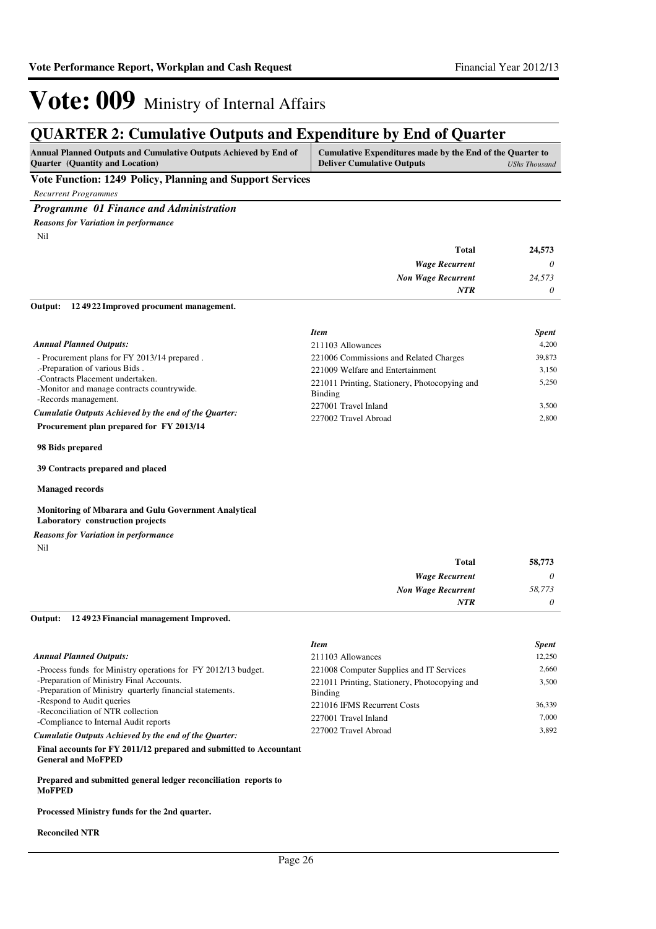### **QUARTER 2: Cumulative Outputs and Expenditure by End of Quarter**

| <b>Annual Planned Outputs and Cumulative Outputs Achieved by End of</b> | Cumulative Expenditures made by the End of the Quarter to |  |
|-------------------------------------------------------------------------|-----------------------------------------------------------|--|
| <b>Ouarter</b> (Quantity and Location)                                  | <b>Deliver Cumulative Outputs</b><br>UShs Thousand        |  |
| and the property of the property of                                     |                                                           |  |

**Vote Function: 1249 Policy, Planning and Support Services**

*Recurrent Programmes*

*Programme 01 Finance and Administration*

Nil *Reasons for Variation in performance*

| 24,573   | <b>Total</b>              |
|----------|---------------------------|
| $\theta$ | <b>Wage Recurrent</b>     |
| 24,573   | <b>Non Wage Recurrent</b> |
| $\theta$ | <b>NTR</b>                |
|          |                           |

**12 4922 Improved procument management. Output:**

|                                                                                                   | <b>Item</b>                                              | <b>Spent</b> |
|---------------------------------------------------------------------------------------------------|----------------------------------------------------------|--------------|
| <b>Annual Planned Outputs:</b>                                                                    | 211103 Allowances                                        | 4.200        |
| - Procurement plans for FY 2013/14 prepared.                                                      | 221006 Commissions and Related Charges                   | 39,873       |
| .-Preparation of various Bids.                                                                    | 221009 Welfare and Entertainment                         | 3.150        |
| -Contracts Placement undertaken.<br>-Monitor and manage contracts countrywide.                    | 221011 Printing, Stationery, Photocopying and<br>Binding | 5.250        |
| -Records management.                                                                              | 227001 Travel Inland                                     | 3.500        |
| Cumulatie Outputs Achieved by the end of the Quarter:<br>Procurement plan prepared for FY 2013/14 | 227002 Travel Abroad                                     | 2.800        |

**98 Bids prepared**

**39 Contracts prepared and placed**

**Managed records**

#### **Monitoring of Mbarara and Gulu Government Analytical Laboratory construction projects**

*Reasons for Variation in performance*

Nil

| 58,773   | <b>Total</b>              |
|----------|---------------------------|
| $\theta$ | <b>Wage Recurrent</b>     |
| 58,773   | <b>Non Wage Recurrent</b> |
| $\theta$ | <b>NTR</b>                |

#### **12 4923 Financial management Improved. Output:**

|                                                                                                      | <b>Item</b>                                              | <b>Spent</b> |
|------------------------------------------------------------------------------------------------------|----------------------------------------------------------|--------------|
| <b>Annual Planned Outputs:</b>                                                                       | 211103 Allowances                                        | 12.250       |
| -Process funds for Ministry operations for FY 2012/13 budget.                                        | 221008 Computer Supplies and IT Services                 | 2.660        |
| -Preparation of Ministry Final Accounts.<br>-Preparation of Ministry quarterly financial statements. | 221011 Printing, Stationery, Photocopying and<br>Binding | 3.500        |
| -Respond to Audit queries                                                                            | 221016 IFMS Recurrent Costs                              | 36,339       |
| -Reconciliation of NTR collection<br>-Compliance to Internal Audit reports                           | 227001 Travel Inland                                     | 7.000        |
| Cumulatie Outputs Achieved by the end of the Quarter:                                                | 227002 Travel Abroad                                     | 3.892        |
| Final accounts for FV 2011/12 proposed and submitted to Accountant                                   |                                                          |              |

**Final accounts for FY 2011/12 prepared and submitted to Accountant General and MoFPED**

**Prepared and submitted general ledger reconciliation reports to MoFPED**

**Processed Ministry funds for the 2nd quarter.**

#### **Reconciled NTR**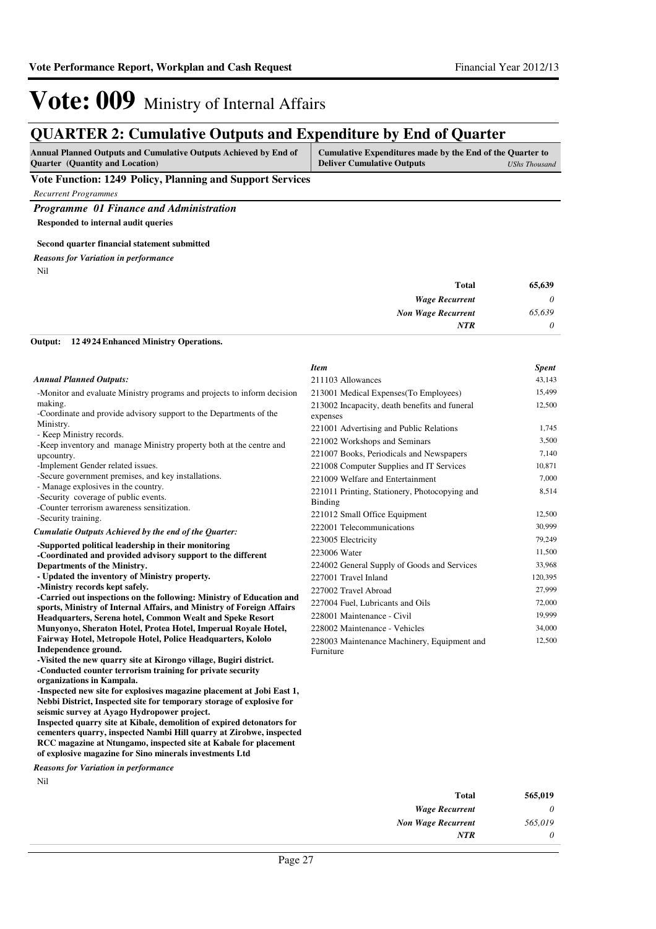### **QUARTER 2: Cumulative Outputs and Expenditure by End of Quarter**

| <b>Annual Planned Outputs and Cumulative Outputs Achieved by End of</b> | Cumulative Expenditures made by the End of the Quarter to |               |
|-------------------------------------------------------------------------|-----------------------------------------------------------|---------------|
| <b>Ouarter</b> (Quantity and Location)                                  | <b>Deliver Cumulative Outputs</b>                         | UShs Thousand |

**Vote Function: 1249 Policy, Planning and Support Services**

*Recurrent Programmes*

*Programme 01 Finance and Administration*

**Responded to internal audit queries**

#### **Second quarter financial statement submitted**

*Reasons for Variation in performance*

Nil

| 65,639   | <b>Total</b>              |
|----------|---------------------------|
| $\theta$ | <b>Wage Recurrent</b>     |
| 65,639   | <b>Non Wage Recurrent</b> |
| $\theta$ | <b>NTR</b>                |
|          |                           |

#### **12 4924 Enhanced Ministry Operations. Output:**

|                                                                                                                                              | <b>Item</b>                                               | <b>Spent</b> |
|----------------------------------------------------------------------------------------------------------------------------------------------|-----------------------------------------------------------|--------------|
| <b>Annual Planned Outputs:</b>                                                                                                               | 211103 Allowances                                         | 43,143       |
| -Monitor and evaluate Ministry programs and projects to inform decision                                                                      | 213001 Medical Expenses (To Employees)                    | 15,499       |
| making.<br>-Coordinate and provide advisory support to the Departments of the                                                                | 213002 Incapacity, death benefits and funeral<br>expenses | 12,500       |
| Ministry.                                                                                                                                    | 221001 Advertising and Public Relations                   | 1,745        |
| - Keep Ministry records.<br>-Keep inventory and manage Ministry property both at the centre and                                              | 221002 Workshops and Seminars                             | 3,500        |
| upcountry.                                                                                                                                   | 221007 Books, Periodicals and Newspapers                  | 7,140        |
| -Implement Gender related issues.                                                                                                            | 221008 Computer Supplies and IT Services                  | 10,871       |
| -Secure government premises, and key installations.                                                                                          | 221009 Welfare and Entertainment                          | 7,000        |
| - Manage explosives in the country.<br>-Security coverage of public events.<br>-Counter terrorism awareness sensitization.                   | 221011 Printing, Stationery, Photocopying and<br>Binding  | 8,514        |
| -Security training.                                                                                                                          | 221012 Small Office Equipment                             | 12,500       |
| Cumulatie Outputs Achieved by the end of the Quarter:                                                                                        | 222001 Telecommunications                                 | 30,999       |
|                                                                                                                                              | 223005 Electricity                                        | 79,249       |
| -Supported political leadership in their monitoring<br>-Coordinated and provided advisory support to the different                           | 223006 Water                                              | 11,500       |
| Departments of the Ministry.                                                                                                                 | 224002 General Supply of Goods and Services               | 33,968       |
| - Updated the inventory of Ministry property.                                                                                                | 227001 Travel Inland                                      | 120,395      |
| -Ministry records kept safely.                                                                                                               | 227002 Travel Abroad                                      | 27,999       |
| -Carried out inspections on the following: Ministry of Education and                                                                         | 227004 Fuel, Lubricants and Oils                          | 72,000       |
| sports, Ministry of Internal Affairs, and Ministry of Foreign Affairs                                                                        | 228001 Maintenance - Civil                                | 19,999       |
| Headquarters, Serena hotel, Common Wealt and Speke Resort<br>Munyonyo, Sheraton Hotel, Protea Hotel, Imperual Royale Hotel,                  | 228002 Maintenance - Vehicles                             | 34,000       |
| Fairway Hotel, Metropole Hotel, Police Headquarters, Kololo                                                                                  |                                                           | 12,500       |
| Independence ground.                                                                                                                         | 228003 Maintenance Machinery, Equipment and<br>Furniture  |              |
| -Visited the new quarry site at Kirongo village, Bugiri district.                                                                            |                                                           |              |
| -Conducted counter terrorism training for private security                                                                                   |                                                           |              |
| organizations in Kampala.                                                                                                                    |                                                           |              |
| -Inspected new site for explosives magazine placement at Jobi East 1,                                                                        |                                                           |              |
| Nebbi District, Inspected site for temporary storage of explosive for                                                                        |                                                           |              |
| seismic survey at Ayago Hydropower project.                                                                                                  |                                                           |              |
| Inspected quarry site at Kibale, demolition of expired detonators for<br>cementers quarry, inspected Nambi Hill quarry at Zirobwe, inspected |                                                           |              |
| $\ldots$ . The set $M$ is a set $\ldots$ is a set of the set $V$ above $f$ . And $\ldots$                                                    |                                                           |              |

**RCC magazine at Ntungamo, inspected site at Kabale for placement of explosive magazine for Sino minerals investments Ltd**

*Reasons for Variation in performance*

Nil

| 565,019 |
|---------|
| 0       |
| 565,019 |
| O       |
|         |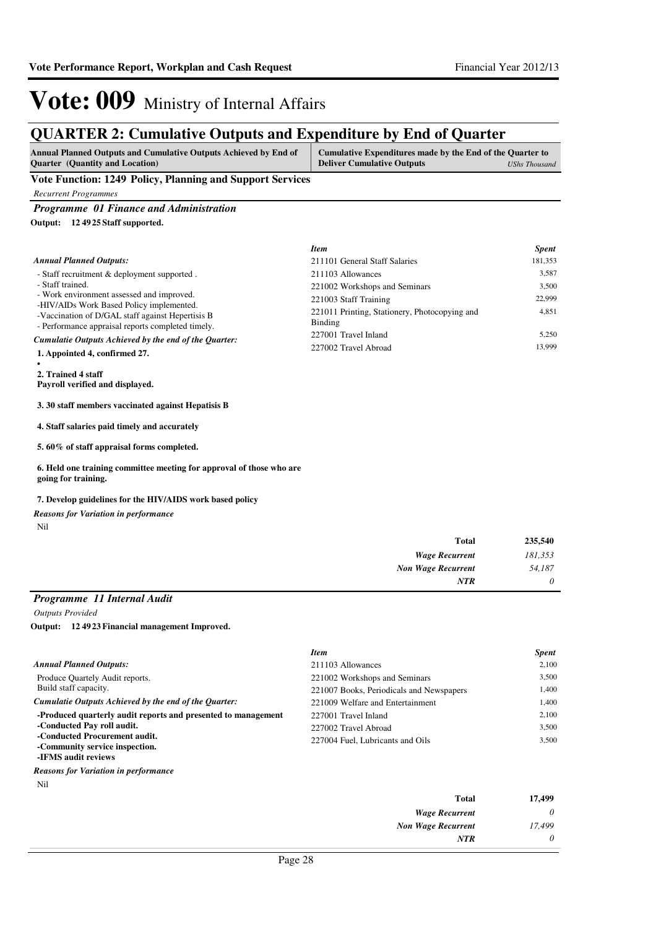### **QUARTER 2: Cumulative Outputs and Expenditure by End of Quarter**

| <b>Annual Planned Outputs and Cumulative Outputs Achieved by End of</b> | Cumulative Expenditures made by the End of the Quarter to |               |
|-------------------------------------------------------------------------|-----------------------------------------------------------|---------------|
| <b>Ouarter</b> (Quantity and Location)                                  | <b>Deliver Cumulative Outputs</b>                         | UShs Thousand |

### **Vote Function: 1249 Policy, Planning and Support Services**

*Recurrent Programmes*

*Programme 01 Finance and Administration*

**12 4925 Staff supported. Output:**

|                                                                                                                                                   | <b>Item</b>                                              | <b>Spent</b> |
|---------------------------------------------------------------------------------------------------------------------------------------------------|----------------------------------------------------------|--------------|
| <b>Annual Planned Outputs:</b>                                                                                                                    | 211101 General Staff Salaries                            | 181,353      |
| - Staff recruitment & deployment supported.                                                                                                       | 211103 Allowances                                        | 3,587        |
| - Staff trained.                                                                                                                                  | 221002 Workshops and Seminars                            | 3,500        |
| - Work environment assessed and improved.                                                                                                         | 221003 Staff Training                                    | 22.999       |
| -HIV/AIDs Work Based Policy implemented.<br>-Vaccination of D/GAL staff against Hepertisis B<br>- Performance appraisal reports completed timely. | 221011 Printing, Stationery, Photocopying and<br>Binding | 4,851        |
| Cumulatie Outputs Achieved by the end of the Ouarter:                                                                                             | 227001 Travel Inland                                     | 5,250        |
| 1. Appointed 4, confirmed 27.                                                                                                                     | 227002 Travel Abroad                                     | 13.999       |
| 2. Trained 4 staff                                                                                                                                |                                                          |              |

**Payroll verified and displayed.**

#### **3. 30 staff members vaccinated against Hepatisis B**

**4. Staff salaries paid timely and accurately**

**5. 60% of staff appraisal forms completed.**

**6. Held one training committee meeting for approval of those who are going for training.**

### **7. Develop guidelines for the HIV/AIDS work based policy**

*Reasons for Variation in performance*

Nil

| 235,540  | <b>Total</b>              |
|----------|---------------------------|
| 181,353  | <b>Wage Recurrent</b>     |
| 54,187   | <b>Non Wage Recurrent</b> |
| $\theta$ | <b>NTR</b>                |

### *Programme 11 Internal Audit*

*Outputs Provided*

**12 4923 Financial management Improved. Output:**

|                                                               | <b>Item</b>                              | <b>Spent</b> |
|---------------------------------------------------------------|------------------------------------------|--------------|
| Annual Planned Outputs:                                       | 211103 Allowances                        | 2.100        |
| Produce Quartely Audit reports.                               | 221002 Workshops and Seminars            | 3.500        |
| Build staff capacity.                                         | 221007 Books, Periodicals and Newspapers | 1.400        |
| Cumulatie Outputs Achieved by the end of the Ouarter:         | 221009 Welfare and Entertainment         | 1.400        |
| -Produced quarterly audit reports and presented to management | 227001 Travel Inland                     | 2.100        |
| -Conducted Pay roll audit.                                    | 227002 Travel Abroad                     | 3.500        |
| -Conducted Procurement audit.                                 | 227004 Fuel, Lubricants and Oils         | 3.500        |
| -Community service inspection.                                |                                          |              |
| -IFMS audit reviews                                           |                                          |              |

#### *Reasons for Variation in performance*

Nil

| 17,499   | <b>Total</b>              |
|----------|---------------------------|
| $\theta$ | <b>Wage Recurrent</b>     |
| 17,499   | <b>Non Wage Recurrent</b> |
| $\theta$ | <b>NTR</b>                |
|          |                           |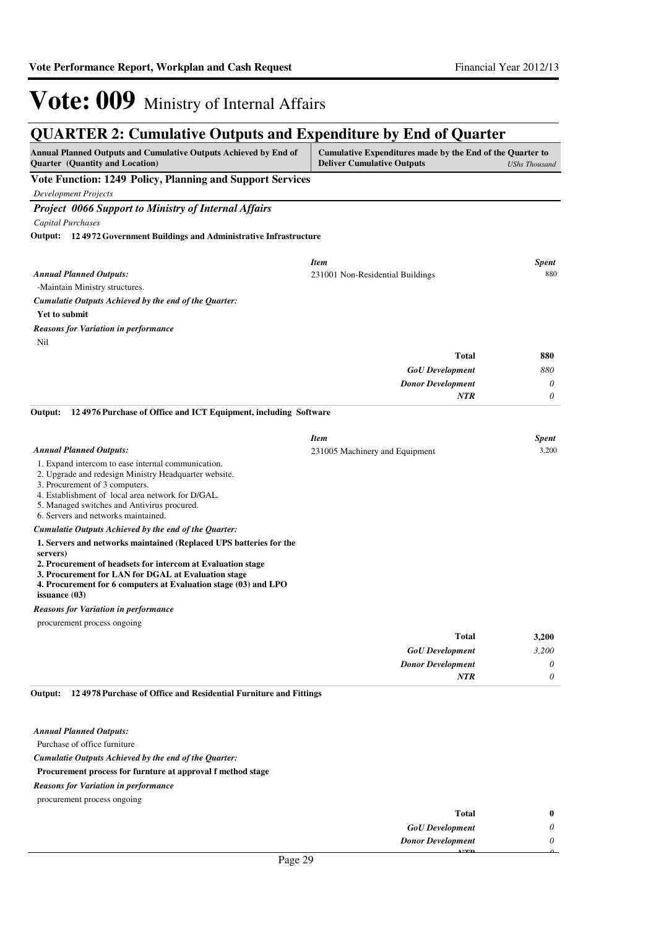### **QUARTER 2: Cumulative Outputs and Expenditure by End of Quarter**

| QUANTEN 2. Cumulative Outputs and Expenditure by Eini of Quarter<br><b>Annual Planned Outputs and Cumulative Outputs Achieved by End of</b><br>Cumulative Expenditures made by the End of the Quarter to                                                                                 |                                   |                      |
|------------------------------------------------------------------------------------------------------------------------------------------------------------------------------------------------------------------------------------------------------------------------------------------|-----------------------------------|----------------------|
| Quarter (Quantity and Location)                                                                                                                                                                                                                                                          | <b>Deliver Cumulative Outputs</b> | <b>UShs Thousand</b> |
| Vote Function: 1249 Policy, Planning and Support Services                                                                                                                                                                                                                                |                                   |                      |
| <b>Development Projects</b>                                                                                                                                                                                                                                                              |                                   |                      |
| <b>Project 0066 Support to Ministry of Internal Affairs</b>                                                                                                                                                                                                                              |                                   |                      |
| Capital Purchases                                                                                                                                                                                                                                                                        |                                   |                      |
| <b>Output:</b> 124972 Government Buildings and Administrative Infrastructure                                                                                                                                                                                                             |                                   |                      |
|                                                                                                                                                                                                                                                                                          | <b>Item</b>                       | <b>Spent</b>         |
| <b>Annual Planned Outputs:</b>                                                                                                                                                                                                                                                           | 231001 Non-Residential Buildings  | 880                  |
| -Maintain Ministry structures.                                                                                                                                                                                                                                                           |                                   |                      |
| Cumulatie Outputs Achieved by the end of the Quarter:                                                                                                                                                                                                                                    |                                   |                      |
| Yet to submit                                                                                                                                                                                                                                                                            |                                   |                      |
| <b>Reasons for Variation in performance</b>                                                                                                                                                                                                                                              |                                   |                      |
| Nil                                                                                                                                                                                                                                                                                      |                                   |                      |
|                                                                                                                                                                                                                                                                                          | <b>Total</b>                      | 880                  |
|                                                                                                                                                                                                                                                                                          | <b>GoU</b> Development            | 880                  |
|                                                                                                                                                                                                                                                                                          | <b>Donor Development</b>          | 0<br>$\theta$        |
|                                                                                                                                                                                                                                                                                          | <b>NTR</b>                        |                      |
| 124976 Purchase of Office and ICT Equipment, including Software<br>Output:                                                                                                                                                                                                               |                                   |                      |
|                                                                                                                                                                                                                                                                                          | <b>Item</b>                       | <b>Spent</b>         |
| <b>Annual Planned Outputs:</b>                                                                                                                                                                                                                                                           | 231005 Machinery and Equipment    | 3,200                |
| 1. Expand intercom to ease internal communication.<br>2. Upgrade and redesign Ministry Headquarter website.<br>3. Procurement of 3 computers.<br>4. Establishment of local area network for D/GAL.<br>5. Managed switches and Antivirus procured.<br>6. Servers and networks maintained. |                                   |                      |
| Cumulatie Outputs Achieved by the end of the Quarter:                                                                                                                                                                                                                                    |                                   |                      |
| 1. Servers and networks maintained (Replaced UPS batteries for the<br>servers)                                                                                                                                                                                                           |                                   |                      |
| 2. Procurement of headsets for intercom at Evaluation stage<br>3. Procurement for LAN for DGAL at Evaluation stage<br>4. Procurement for 6 computers at Evaluation stage (03) and LPO<br>issuance $(03)$                                                                                 |                                   |                      |
| <b>Reasons for Variation in performance</b>                                                                                                                                                                                                                                              |                                   |                      |
| procurement process ongoing                                                                                                                                                                                                                                                              |                                   |                      |
|                                                                                                                                                                                                                                                                                          | <b>Total</b>                      | 3,200                |
|                                                                                                                                                                                                                                                                                          | <b>GoU</b> Development            | 3,200                |
|                                                                                                                                                                                                                                                                                          | <b>Donor Development</b>          | $\theta$             |
|                                                                                                                                                                                                                                                                                          | <b>NTR</b>                        | 0                    |

#### **12 4978 Purchase of Office and Residential Furniture and Fittings Output:**

|  | Annual Planned Outputs: |  |
|--|-------------------------|--|
|  |                         |  |

Purchase of office furniture

*Cumulatie Outputs Achieved by the end of the Quarter:*

### **Procurement process for furnture at approval f method stage**

*Reasons for Variation in performance*

| <b>Total</b>             | $\bf{0}$ |
|--------------------------|----------|
| <b>GoU</b> Development   | U        |
| <b>Donor Development</b> | 0        |
| 3.757.73                 |          |
| $\mathbf{a}$             |          |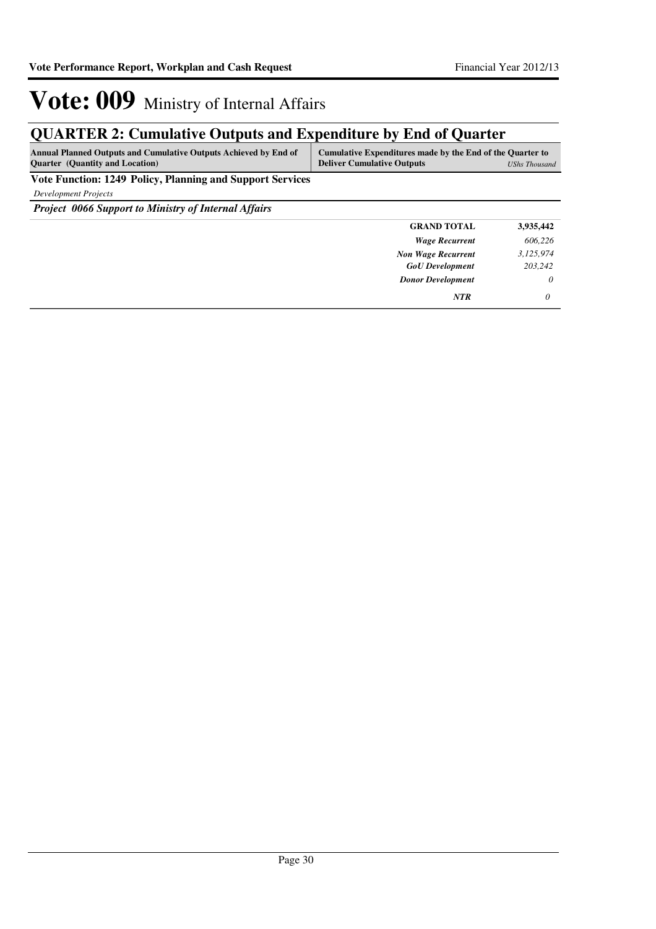### **QUARTER 2: Cumulative Outputs and Expenditure by End of Quarter**

| <b>Annual Planned Outputs and Cumulative Outputs Achieved by End of</b> | Cumulative Expenditures made by the End of the Quarter to |               |
|-------------------------------------------------------------------------|-----------------------------------------------------------|---------------|
| <b>Ouarter</b> (Quantity and Location)                                  | <b>Deliver Cumulative Outputs</b>                         | UShs Thousand |

**Vote Function: 1249 Policy, Planning and Support Services**

*Development Projects*

*Project 0066 Support to Ministry of Internal Affairs*

| <b>GRAND TOTAL</b>        | 3,935,442 |
|---------------------------|-----------|
| <b>Wage Recurrent</b>     | 606,226   |
| <b>Non Wage Recurrent</b> | 3,125,974 |
| <b>GoU</b> Development    | 203,242   |
| <b>Donor Development</b>  | $\theta$  |
| <b>NTR</b>                | 0         |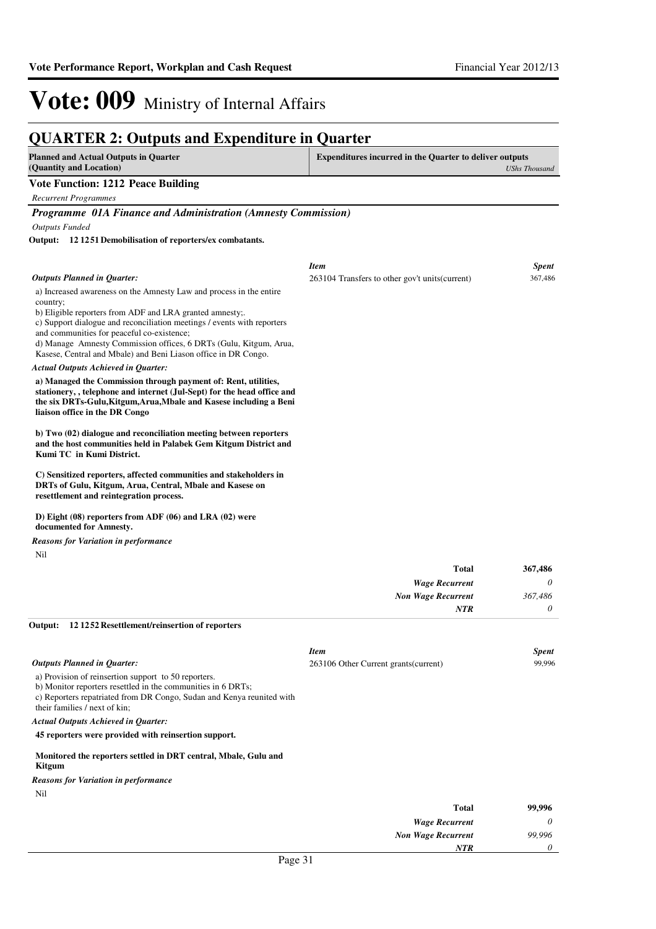#### **QUARTER 2: Outputs and Expenditure in Quarter Planned and Actual Outputs in Quarter (Quantity and Location) Expenditures incurred in the Quarter to deliver outputs**  *UShs Thousand* **Vote Function: 1212 Peace Building** *Recurrent Programmes Programme 01A Finance and Administration (Amnesty Commission) Outputs Funded* a) Increased awareness on the Amnesty Law and process in the entire country; b) Eligible reporters from ADF and LRA granted amnesty;. c) Support dialogue and reconciliation meetings / events with reporters and communities for peaceful co-existence; d) Manage Amnesty Commission offices, 6 DRTs (Gulu, Kitgum, Arua, Kasese, Central and Mbale) and Beni Liason office in DR Congo. **a) Managed the Commission through payment of: Rent, utilities, stationery, , telephone and internet (Jul-Sept) for the head office and the six DRTs-Gulu,Kitgum,Arua,Mbale and Kasese including a Beni liaison office in the DR Congo b) Two (02) dialogue and reconciliation meeting between reporters and the host communities held in Palabek Gem Kitgum District and Kumi TC in Kumi District. C) Sensitized reporters, affected communities and stakeholders in DRTs of Gulu, Kitgum, Arua, Central, Mbale and Kasese on resettlement and reintegration process. D) Eight (08) reporters from ADF (06) and LRA (02) were documented for Amnesty. 12 1251 Demobilisation of reporters/ex combatants. Output:** *Wage Recurrent Non Wage Recurrent* **Total** *0 367,486 0* **367,486** *Actual Outputs Achieved in Quarter: Outputs Planned in Quarter: NTR* Nil *Reasons for Variation in performance Item Spent* 263104 Transfers to other gov't units(current) 367,486 a) Provision of reinsertion support to 50 reporters. b) Monitor reporters resettled in the communities in 6 DRTs; c) Reporters repatriated from DR Congo, Sudan and Kenya reunited with their families / next of kin; **45 reporters were provided with reinsertion support. Monitored the reporters settled in DRT central, Mbale, Gulu and Kitgum 12 1252 Resettlement/reinsertion of reporters Output:** *Actual Outputs Achieved in Quarter: Outputs Planned in Quarter:* Nil *Reasons for Variation in performance Item Spent* 263106 Other Current grants(current) 99,996

| 99,996 | <b>Total</b>                  |
|--------|-------------------------------|
| 0      | <b>Wage Recurrent</b>         |
| 99,996 | <b>Non Wage Recurrent</b>     |
| 0      | <b>NTR</b>                    |
|        | $\overline{\phantom{a}}$<br>. |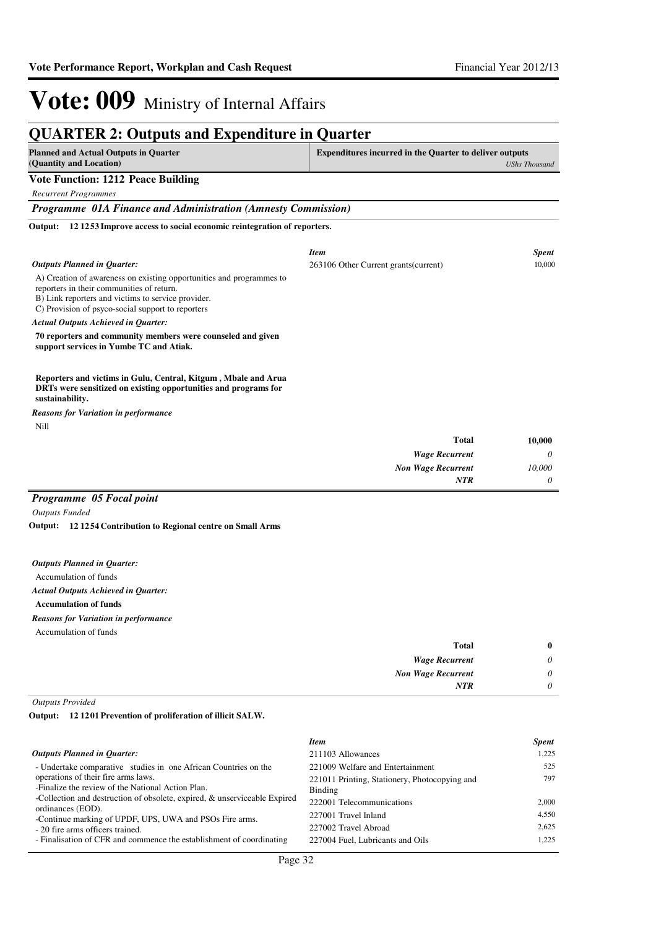### **QUARTER 2: Outputs and Expenditure in Quarter**

| <b>Planned and Actual Outputs in Quarter</b><br>(Quantity and Location)                                                                                                                                                      | <b>Expenditures incurred in the Quarter to deliver outputs</b><br><b>UShs Thousand</b> |              |
|------------------------------------------------------------------------------------------------------------------------------------------------------------------------------------------------------------------------------|----------------------------------------------------------------------------------------|--------------|
| <b>Vote Function: 1212 Peace Building</b>                                                                                                                                                                                    |                                                                                        |              |
| <b>Recurrent Programmes</b>                                                                                                                                                                                                  |                                                                                        |              |
| Programme 01A Finance and Administration (Amnesty Commission)                                                                                                                                                                |                                                                                        |              |
| 121253 Improve access to social economic reintegration of reporters.<br>Output:                                                                                                                                              |                                                                                        |              |
|                                                                                                                                                                                                                              | <b>Item</b>                                                                            | <b>Spent</b> |
| <b>Outputs Planned in Quarter:</b>                                                                                                                                                                                           | 263106 Other Current grants (current)                                                  | 10.000       |
| A) Creation of awareness on existing opportunities and programmes to<br>reporters in their communities of return.<br>B) Link reporters and victims to service provider.<br>C) Provision of psyco-social support to reporters |                                                                                        |              |
| <b>Actual Outputs Achieved in Ouarter:</b>                                                                                                                                                                                   |                                                                                        |              |
| 70 reporters and community members were counseled and given<br>support services in Yumbe TC and Atiak.                                                                                                                       |                                                                                        |              |
| Reporters and victims in Gulu, Central, Kitgum, Mbale and Arua<br>DRTs were sensitized on existing opportunities and programs for<br>sustainability.                                                                         |                                                                                        |              |
| <b>Reasons for Variation in performance</b>                                                                                                                                                                                  |                                                                                        |              |
| Nill                                                                                                                                                                                                                         |                                                                                        |              |
|                                                                                                                                                                                                                              | <b>Total</b>                                                                           | 10,000       |
|                                                                                                                                                                                                                              | <b>Wage Recurrent</b>                                                                  | 0            |
|                                                                                                                                                                                                                              | <b>Non Wage Recurrent</b>                                                              | 10,000       |
|                                                                                                                                                                                                                              | <b>NTR</b>                                                                             | 0            |
| Programme 05 Focal point                                                                                                                                                                                                     |                                                                                        |              |

*Outputs Funded*

**12 1254 Contribution to Regional centre on Small Arms Output:**

|  |  |  | <b>Outputs Planned in Quarter:</b> |
|--|--|--|------------------------------------|
|--|--|--|------------------------------------|

Accumulation of funds

*Actual Outputs Achieved in Quarter:*

**Accumulation of funds**

*Reasons for Variation in performance*

Accumulation of funds

| 0 | Total                     |
|---|---------------------------|
| 0 | <b>Wage Recurrent</b>     |
| 0 | <b>Non Wage Recurrent</b> |
| 0 | <b>NTR</b>                |
|   |                           |

*Outputs Provided*

**12 1201 Prevention of proliferation of illicit SALW. Output:**

|                                                                                          | <b>Item</b>                                              | <b>Spent</b> |
|------------------------------------------------------------------------------------------|----------------------------------------------------------|--------------|
| <b>Outputs Planned in Quarter:</b>                                                       | 211103 Allowances                                        | 1,225        |
| - Undertake comparative studies in one African Countries on the                          | 221009 Welfare and Entertainment                         | 525          |
| operations of their fire arms laws.<br>-Finalize the review of the National Action Plan. | 221011 Printing, Stationery, Photocopying and<br>Binding | 797          |
| -Collection and destruction of obsolete, expired, & unserviceable Expired                | 222001 Telecommunications                                | 2.000        |
| ordinances (EOD).<br>-Continue marking of UPDF, UPS, UWA and PSOs Fire arms.             | 227001 Travel Inland                                     | 4.550        |
| - 20 fire arms officers trained.                                                         | 227002 Travel Abroad                                     | 2.625        |
| - Finalisation of CFR and commence the establishment of coordinating                     | 227004 Fuel, Lubricants and Oils                         | 1.225        |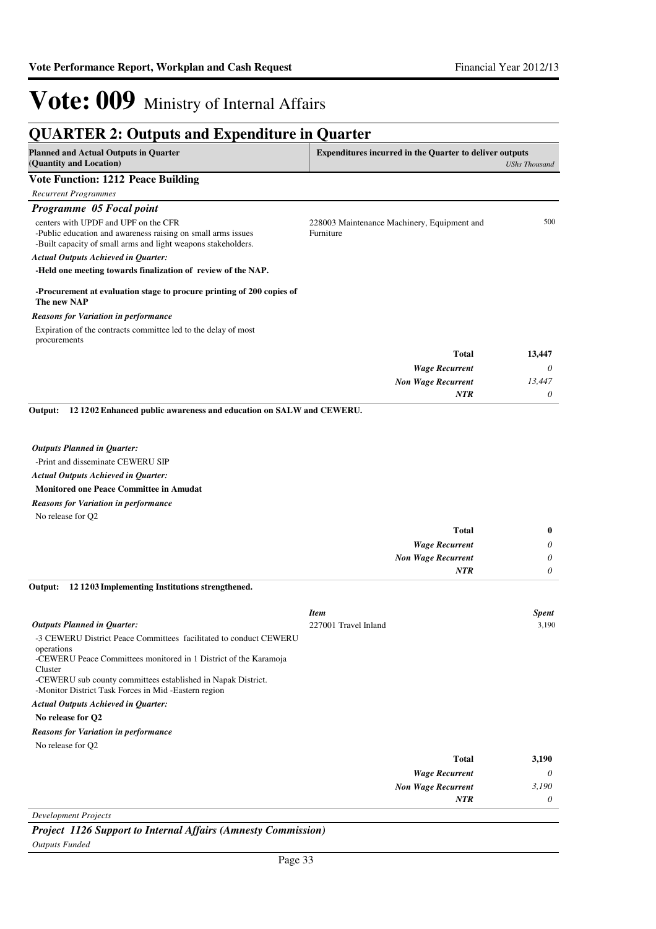*0*

*NTR*

## Vote: 009 Ministry of Internal Affairs

| <b>QUARTER 2: Outputs and Expenditure in Quarter</b>                                                                                                                                                                                                                                                                                                                                                                                                               |                                                                |                      |
|--------------------------------------------------------------------------------------------------------------------------------------------------------------------------------------------------------------------------------------------------------------------------------------------------------------------------------------------------------------------------------------------------------------------------------------------------------------------|----------------------------------------------------------------|----------------------|
| <b>Planned and Actual Outputs in Quarter</b><br>(Quantity and Location)                                                                                                                                                                                                                                                                                                                                                                                            | <b>Expenditures incurred in the Quarter to deliver outputs</b> | <b>UShs Thousand</b> |
| <b>Vote Function: 1212 Peace Building</b>                                                                                                                                                                                                                                                                                                                                                                                                                          |                                                                |                      |
| <b>Recurrent Programmes</b>                                                                                                                                                                                                                                                                                                                                                                                                                                        |                                                                |                      |
| Programme 05 Focal point                                                                                                                                                                                                                                                                                                                                                                                                                                           |                                                                |                      |
| centers with UPDF and UPF on the CFR<br>-Public education and awareness raising on small arms issues<br>-Built capacity of small arms and light weapons stakeholders.                                                                                                                                                                                                                                                                                              | 228003 Maintenance Machinery, Equipment and<br>Furniture       | 500                  |
| <b>Actual Outputs Achieved in Quarter:</b>                                                                                                                                                                                                                                                                                                                                                                                                                         |                                                                |                      |
| -Held one meeting towards finalization of review of the NAP.                                                                                                                                                                                                                                                                                                                                                                                                       |                                                                |                      |
| -Procurement at evaluation stage to procure printing of 200 copies of<br>The new NAP                                                                                                                                                                                                                                                                                                                                                                               |                                                                |                      |
| <b>Reasons for Variation in performance</b>                                                                                                                                                                                                                                                                                                                                                                                                                        |                                                                |                      |
| Expiration of the contracts committee led to the delay of most<br>procurements                                                                                                                                                                                                                                                                                                                                                                                     |                                                                |                      |
|                                                                                                                                                                                                                                                                                                                                                                                                                                                                    | Total                                                          | 13,447               |
|                                                                                                                                                                                                                                                                                                                                                                                                                                                                    | <b>Wage Recurrent</b>                                          | 0                    |
|                                                                                                                                                                                                                                                                                                                                                                                                                                                                    | <b>Non Wage Recurrent</b>                                      | 13,447               |
|                                                                                                                                                                                                                                                                                                                                                                                                                                                                    | <b>NTR</b>                                                     | 0                    |
| <b>Outputs Planned in Quarter:</b><br>-Print and disseminate CEWERU SIP<br><b>Actual Outputs Achieved in Quarter:</b><br><b>Monitored one Peace Committee in Amudat</b><br><b>Reasons for Variation in performance</b><br>No release for Q2                                                                                                                                                                                                                        | <b>Total</b><br><b>Wage Recurrent</b>                          | $\bf{0}$<br>0        |
|                                                                                                                                                                                                                                                                                                                                                                                                                                                                    | <b>Non Wage Recurrent</b>                                      | 0                    |
|                                                                                                                                                                                                                                                                                                                                                                                                                                                                    | <b>NTR</b>                                                     | 0                    |
| Output:<br>121203 Implementing Institutions strengthened.                                                                                                                                                                                                                                                                                                                                                                                                          |                                                                |                      |
| <b>Outputs Planned in Quarter:</b><br>-3 CEWERU District Peace Committees facilitated to conduct CEWERU<br>operations<br>-CEWERU Peace Committees monitored in 1 District of the Karamoja<br>Cluster<br>-CEWERU sub county committees established in Napak District.<br>-Monitor District Task Forces in Mid-Eastern region<br><b>Actual Outputs Achieved in Quarter:</b><br>No release for Q2<br><b>Reasons for Variation in performance</b><br>No release for O2 | <b>Item</b><br>227001 Travel Inland                            | Spent<br>3,190       |
|                                                                                                                                                                                                                                                                                                                                                                                                                                                                    | <b>Total</b>                                                   | 3,190                |
|                                                                                                                                                                                                                                                                                                                                                                                                                                                                    | <b>Wage Recurrent</b>                                          | 0                    |
|                                                                                                                                                                                                                                                                                                                                                                                                                                                                    | <b>Non Wage Recurrent</b>                                      | 3,190                |

*Development Projects*

*Project 1126 Support to Internal Affairs (Amnesty Commission)*

*Outputs Funded*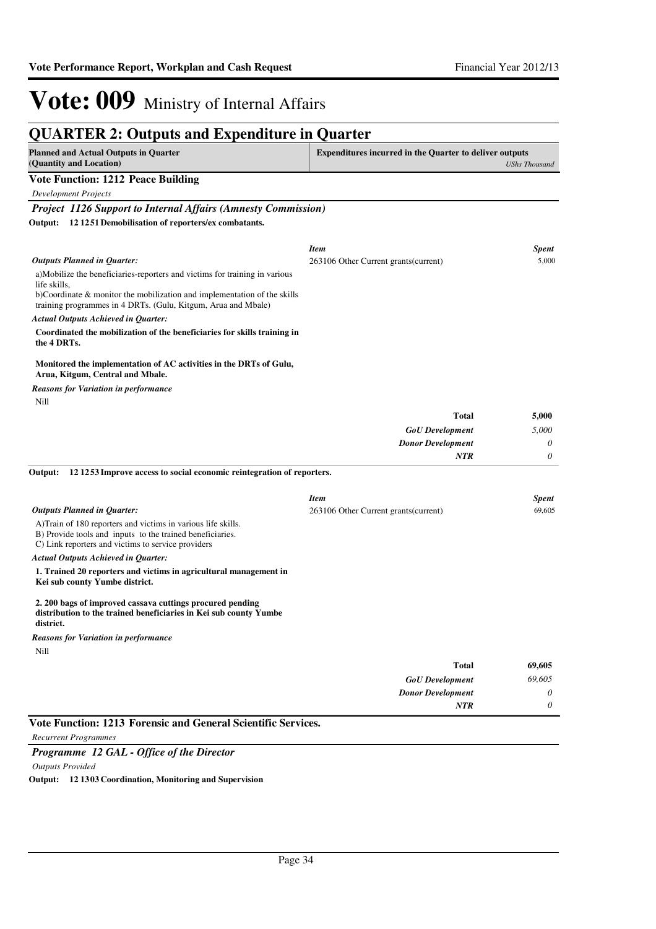| <b>QUARTER 2: Outputs and Expenditure in Quarter</b>                                                                                                                             |                                                                |                      |
|----------------------------------------------------------------------------------------------------------------------------------------------------------------------------------|----------------------------------------------------------------|----------------------|
| <b>Planned and Actual Outputs in Quarter</b><br>(Quantity and Location)                                                                                                          | <b>Expenditures incurred in the Quarter to deliver outputs</b> | <b>UShs Thousand</b> |
| <b>Vote Function: 1212 Peace Building</b>                                                                                                                                        |                                                                |                      |
| <b>Development Projects</b>                                                                                                                                                      |                                                                |                      |
| <b>Project 1126 Support to Internal Affairs (Amnesty Commission)</b>                                                                                                             |                                                                |                      |
| 12 12 51 Demobilisation of reporters/ex combatants.<br>Output:                                                                                                                   |                                                                |                      |
|                                                                                                                                                                                  | <b>Item</b>                                                    | <b>Spent</b>         |
| Outputs Planned in Quarter:                                                                                                                                                      | 263106 Other Current grants (current)                          | 5,000                |
| a)Mobilize the beneficiaries-reporters and victims for training in various<br>life skills,                                                                                       |                                                                |                      |
| b)Coordinate & monitor the mobilization and implementation of the skills<br>training programmes in 4 DRTs. (Gulu, Kitgum, Arua and Mbale)                                        |                                                                |                      |
| <b>Actual Outputs Achieved in Quarter:</b>                                                                                                                                       |                                                                |                      |
| Coordinated the mobilization of the beneficiaries for skills training in<br>the 4 DRTs.                                                                                          |                                                                |                      |
| Monitored the implementation of AC activities in the DRTs of Gulu,<br>Arua, Kitgum, Central and Mbale.                                                                           |                                                                |                      |
| <b>Reasons for Variation in performance</b>                                                                                                                                      |                                                                |                      |
| Nill                                                                                                                                                                             |                                                                |                      |
|                                                                                                                                                                                  | <b>Total</b>                                                   | 5,000                |
|                                                                                                                                                                                  | <b>GoU</b> Development                                         | 5,000                |
|                                                                                                                                                                                  | <b>Donor Development</b>                                       | 0                    |
|                                                                                                                                                                                  | <b>NTR</b>                                                     | 0                    |
| 121253 Improve access to social economic reintegration of reporters.<br>Output:                                                                                                  |                                                                |                      |
|                                                                                                                                                                                  | <b>Item</b>                                                    | <b>Spent</b>         |
| <b>Outputs Planned in Quarter:</b>                                                                                                                                               | 263106 Other Current grants (current)                          | 69,605               |
| A) Train of 180 reporters and victims in various life skills.<br>B) Provide tools and inputs to the trained beneficiaries.<br>C) Link reporters and victims to service providers |                                                                |                      |
| <b>Actual Outputs Achieved in Quarter:</b>                                                                                                                                       |                                                                |                      |
| 1. Trained 20 reporters and victims in agricultural management in<br>Kei sub county Yumbe district.                                                                              |                                                                |                      |
| 2. 200 bags of improved cassava cuttings procured pending<br>distribution to the trained beneficiaries in Kei sub county Yumbe<br>district.                                      |                                                                |                      |
| <b>Reasons for Variation in performance</b>                                                                                                                                      |                                                                |                      |
| Nill                                                                                                                                                                             |                                                                |                      |
|                                                                                                                                                                                  |                                                                |                      |
|                                                                                                                                                                                  | <b>Total</b>                                                   | 69,605               |
|                                                                                                                                                                                  | <b>GoU</b> Development<br><b>Donor Development</b>             | 69,605<br>0          |

### **Vote Function: 1213 Forensic and General Scientific Services.**

*Recurrent Programmes*

### *Programme 12 GAL - Office of the Director Outputs Provided* **Output: 12 1303 Coordination, Monitoring and Supervision**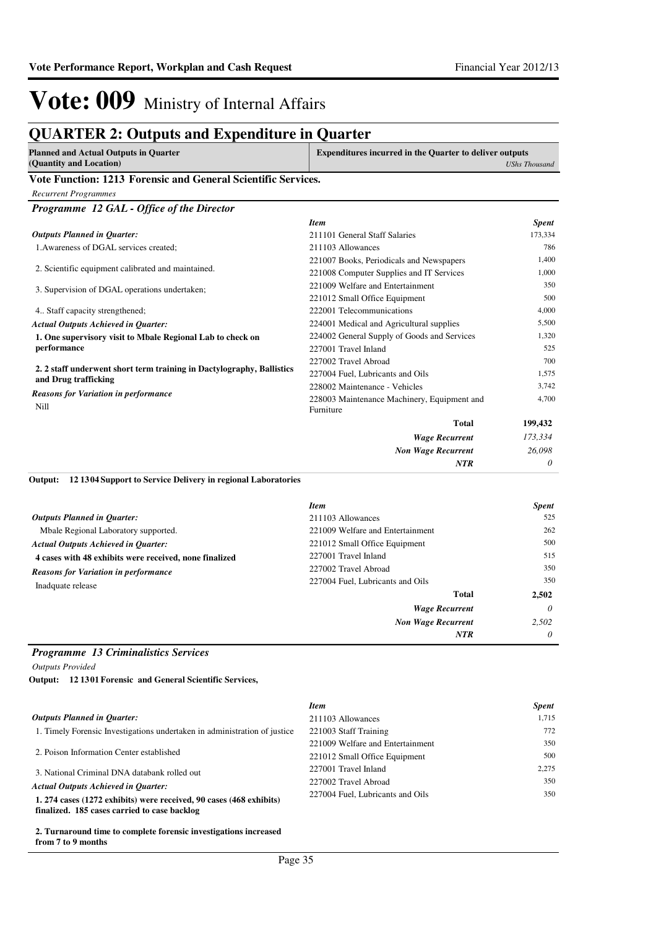### **QUARTER 2: Outputs and Expenditure in Quarter**

| Planned and Actual Outputs in Quarter | <b>Expenditures incurred in the Quarter to deliver outputs</b> |
|---------------------------------------|----------------------------------------------------------------|
| (Quantity and Location)               | <b>UShs Thousand</b>                                           |

#### **Vote Function: 1213 Forensic and General Scientific Services.**

*Recurrent Programmes*

*Programme 12 GAL - Office of the Director*

|                                                                                               | <b>Item</b>                                 | <b>Spent</b> |
|-----------------------------------------------------------------------------------------------|---------------------------------------------|--------------|
| <b>Outputs Planned in Quarter:</b>                                                            | 211101 General Staff Salaries               | 173,334      |
| 1. Awareness of DGAL services created;                                                        | 211103 Allowances                           | 786          |
|                                                                                               | 221007 Books, Periodicals and Newspapers    | 1,400        |
| 2. Scientific equipment calibrated and maintained.                                            | 221008 Computer Supplies and IT Services    | 1,000        |
| 3. Supervision of DGAL operations undertaken;                                                 | 221009 Welfare and Entertainment            | 350          |
|                                                                                               | 221012 Small Office Equipment               | 500          |
| 4. Staff capacity strengthened;                                                               | 222001 Telecommunications                   | 4,000        |
| <b>Actual Outputs Achieved in Quarter:</b>                                                    | 224001 Medical and Agricultural supplies    | 5,500        |
| 1. One supervisory visit to Mbale Regional Lab to check on                                    | 224002 General Supply of Goods and Services | 1,320        |
| performance                                                                                   | 227001 Travel Inland                        | 525          |
|                                                                                               | 227002 Travel Abroad                        | 700          |
| 2. 2 staff underwent short term training in Dactylography, Ballistics<br>and Drug trafficking | 227004 Fuel, Lubricants and Oils            | 1,575        |
|                                                                                               | 228002 Maintenance - Vehicles               | 3,742        |
| <b>Reasons for Variation in performance</b>                                                   | 228003 Maintenance Machinery, Equipment and | 4,700        |
| Nill                                                                                          | Furniture                                   |              |
|                                                                                               | <b>Total</b>                                | 199,432      |
|                                                                                               | <b>Wage Recurrent</b>                       | 173,334      |
|                                                                                               | <b>Non Wage Recurrent</b>                   | 26,098       |
|                                                                                               | <b>NTR</b>                                  | 0            |

#### **12 1304 Support to Service Delivery in regional Laboratories Output:**

|                                                        | <b>Item</b>                      | <b>Spent</b> |
|--------------------------------------------------------|----------------------------------|--------------|
| <b>Outputs Planned in Quarter:</b>                     | 211103 Allowances                | 525          |
| Mbale Regional Laboratory supported.                   | 221009 Welfare and Entertainment | 262          |
| <b>Actual Outputs Achieved in Ouarter:</b>             | 221012 Small Office Equipment    | 500          |
| 4 cases with 48 exhibits were received, none finalized | 227001 Travel Inland             | 515          |
| <b>Reasons for Variation in performance</b>            | 227002 Travel Abroad             | 350          |
| Inadquate release                                      | 227004 Fuel, Lubricants and Oils | 350          |
|                                                        | Total                            | 2,502        |
|                                                        | <b>Wage Recurrent</b>            | $\theta$     |
|                                                        | <b>Non Wage Recurrent</b>        | 2.502        |
|                                                        | <b>NTR</b>                       | $\theta$     |

### *Programme 13 Criminalistics Services*

*Outputs Provided*

**12 1301 Forensic and General Scientific Services, Output:**

|                                                                                                                     | <b>Item</b>                      | <b>Spent</b> |
|---------------------------------------------------------------------------------------------------------------------|----------------------------------|--------------|
| <b>Outputs Planned in Ouarter:</b>                                                                                  | 211103 Allowances                | 1.715        |
| 1. Timely Forensic Investigations undertaken in administration of justice                                           | 221003 Staff Training            | 772          |
| 2. Poison Information Center established                                                                            | 221009 Welfare and Entertainment | 350          |
|                                                                                                                     | 221012 Small Office Equipment    | 500          |
| 3. National Criminal DNA databank rolled out                                                                        | 227001 Travel Inland             | 2.275        |
| <b>Actual Outputs Achieved in Ouarter:</b>                                                                          | 227002 Travel Abroad             | 350          |
| 1. 274 cases (1272 exhibits) were received, 90 cases (468 exhibits)<br>finalized. 185 cases carried to case backlog | 227004 Fuel, Lubricants and Oils | 350          |

**2. Turnaround time to complete forensic investigations increased from 7 to 9 months**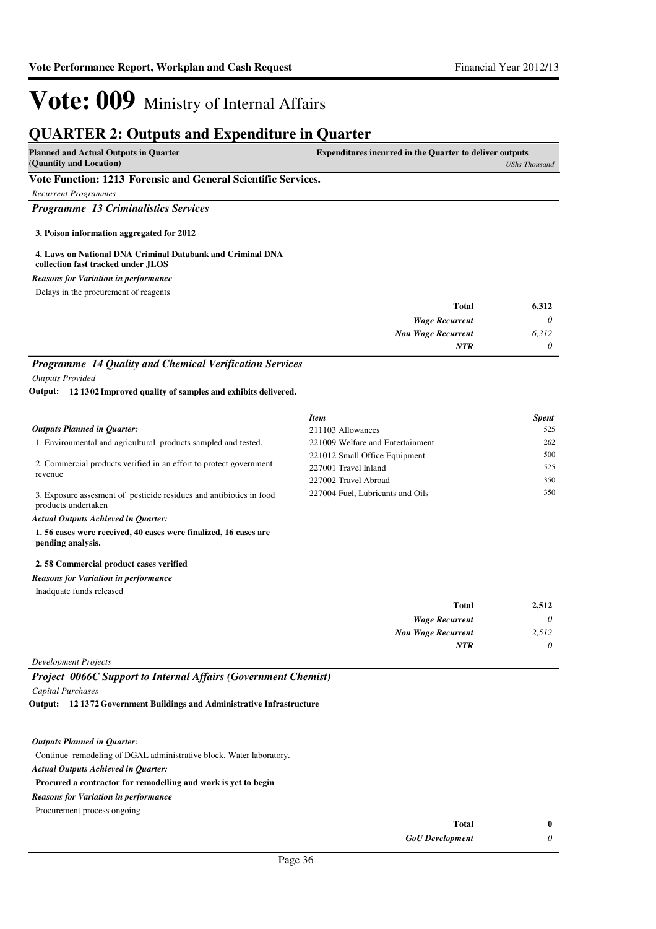### **QUARTER 2: Outputs and Expenditure in Quarter**

| <b>Planned and Actual Outputs in Quarter</b> | <b>Expenditures incurred in the Quarter to deliver outputs</b> |
|----------------------------------------------|----------------------------------------------------------------|
| (Quantity and Location)                      | <b>UShs Thousand</b>                                           |

#### **Vote Function: 1213 Forensic and General Scientific Services.**

*Recurrent Programmes*

*Programme 13 Criminalistics Services*

**3. Poison information aggregated for 2012**

#### **4. Laws on National DNA Criminal Databank and Criminal DNA collection fast tracked under JLOS**

#### *Reasons for Variation in performance*

Delays in the procurement of reagents

| 6,312 | <b>Total</b>              |
|-------|---------------------------|
| 0     | <b>Wage Recurrent</b>     |
| 6,312 | <b>Non Wage Recurrent</b> |
| 0     | <b>NTR</b>                |

### *Programme 14 Quality and Chemical Verification Services*

*Outputs Provided*

**12 1302 Improved quality of samples and exhibits delivered. Output:**

|                                                                                             | <b>Item</b>                      | <b>Spent</b> |
|---------------------------------------------------------------------------------------------|----------------------------------|--------------|
| <b>Outputs Planned in Ouarter:</b>                                                          | 211103 Allowances                | 525          |
| 1. Environmental and agricultural products sampled and tested.                              | 221009 Welfare and Entertainment | 262          |
|                                                                                             | 221012 Small Office Equipment    | 500          |
| 2. Commercial products verified in an effort to protect government<br>revenue               | 227001 Travel Inland             | 525          |
|                                                                                             | 227002 Travel Abroad             | 350          |
| 3. Exposure assessment of pesticide residues and antibiotics in food<br>products undertaken | 227004 Fuel, Lubricants and Oils | 350          |
| Actual Outpute Achieved in Quarter                                                          |                                  |              |

*Actual Outputs Achieved in Quarter:*

**1. 56 cases were received, 40 cases were finalized, 16 cases are pending analysis.**

#### **2. 58 Commercial product cases verified**

*Reasons for Variation in performance*

Inadquate funds released

| 2,512    | <b>Total</b>              |
|----------|---------------------------|
| $\theta$ | <b>Wage Recurrent</b>     |
| 2,512    | <b>Non Wage Recurrent</b> |
| 0        | <b>NTR</b>                |
|          |                           |

#### *Development Projects*

*Project 0066C Support to Internal Affairs (Government Chemist)*

*Capital Purchases*

**12 1372 Government Buildings and Administrative Infrastructure Output:**

#### *Outputs Planned in Quarter:*

Continue remodeling of DGAL administrative block, Water laboratory.

### *Actual Outputs Achieved in Quarter:*

### **Procured a contractor for remodelling and work is yet to begin**

*Reasons for Variation in performance*

Procurement process ongoing

| Total                  | 0 |
|------------------------|---|
| <b>GoU</b> Development |   |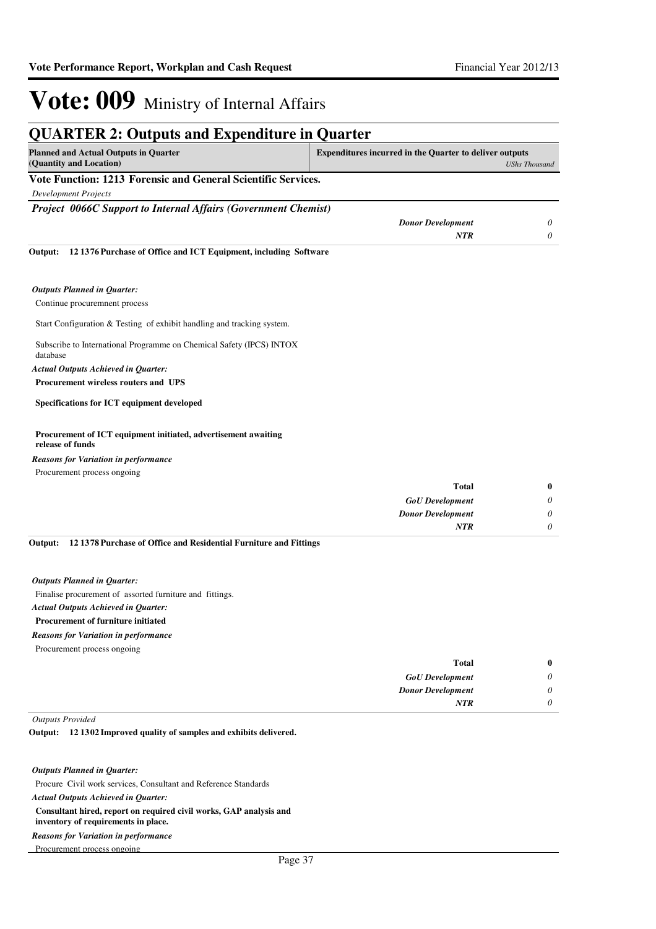| <b>QUARTER 2: Outputs and Expenditure in Quarter</b>                               |                                                                |                      |
|------------------------------------------------------------------------------------|----------------------------------------------------------------|----------------------|
| <b>Planned and Actual Outputs in Quarter</b><br>(Quantity and Location)            | <b>Expenditures incurred in the Quarter to deliver outputs</b> | <b>UShs Thousand</b> |
| Vote Function: 1213 Forensic and General Scientific Services.                      |                                                                |                      |
| <b>Development Projects</b>                                                        |                                                                |                      |
| <b>Project 0066C Support to Internal Affairs (Government Chemist)</b>              |                                                                |                      |
|                                                                                    | <b>Donor Development</b>                                       | 0                    |
|                                                                                    | <b>NTR</b>                                                     | 0                    |
| 121376 Purchase of Office and ICT Equipment, including Software<br>Output:         |                                                                |                      |
| <b>Outputs Planned in Quarter:</b>                                                 |                                                                |                      |
| Continue procuremnent process                                                      |                                                                |                      |
| Start Configuration & Testing of exhibit handling and tracking system.             |                                                                |                      |
| Subscribe to International Programme on Chemical Safety (IPCS) INTOX<br>database   |                                                                |                      |
| <b>Actual Outputs Achieved in Quarter:</b>                                         |                                                                |                      |
| <b>Procurement wireless routers and UPS</b>                                        |                                                                |                      |
| <b>Specifications for ICT equipment developed</b>                                  |                                                                |                      |
| Procurement of ICT equipment initiated, advertisement awaiting<br>release of funds |                                                                |                      |

Procurement process ongoing *Reasons for Variation in performance*

| $\mathbf{0}$ | <b>Total</b>             |
|--------------|--------------------------|
| 0            | <b>GoU</b> Development   |
| 0            | <b>Donor Development</b> |
| 0            | <b>NTR</b>               |
|              |                          |

**12 1378 Purchase of Office and Residential Furniture and Fittings Output:**

#### *Outputs Planned in Quarter:*

Finalise procurement of assorted furniture and fittings.

### *Actual Outputs Achieved in Quarter:*

### **Procurement of furniture initiated**

*Reasons for Variation in performance*

Procurement process ongoing

|   | Total                    |
|---|--------------------------|
| 0 | <b>GoU</b> Development   |
| 0 | <b>Donor Development</b> |
|   | <b>NTR</b>               |
|   |                          |

*Outputs Provided*

#### **12 1302 Improved quality of samples and exhibits delivered. Output:**

#### *Outputs Planned in Quarter:*

Procure Civil work services, Consultant and Reference Standards **Consultant hired, report on required civil works, GAP analysis and inventory of requirements in place.** *Actual Outputs Achieved in Quarter:* Procurement process ongoing *Reasons for Variation in performance*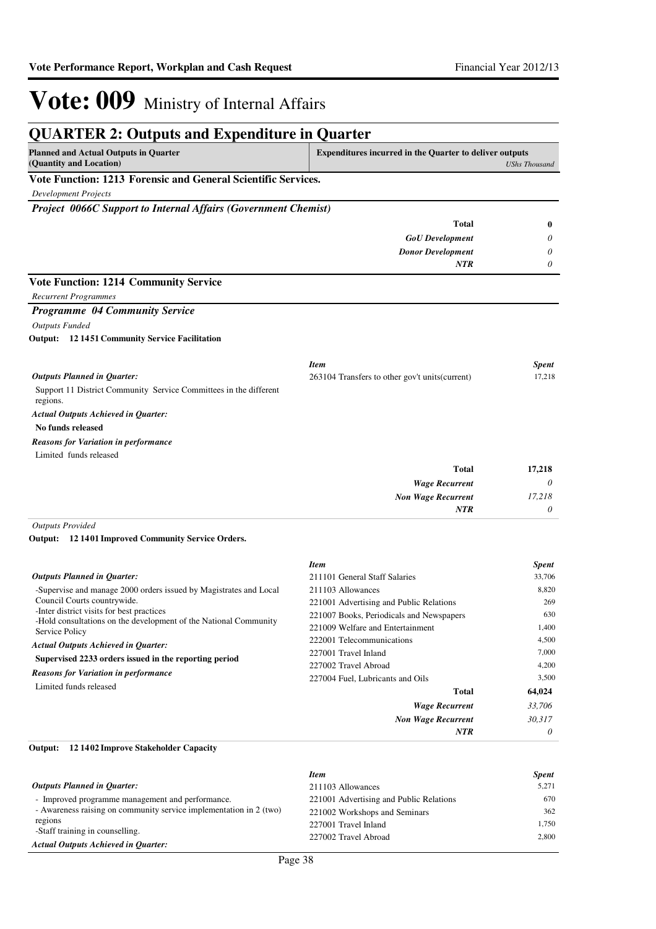| <b>Planned and Actual Outputs in Quarter</b><br>(Quantity and Location)       | <b>Expenditures incurred in the Quarter to deliver outputs</b> | <b>UShs Thousand</b> |
|-------------------------------------------------------------------------------|----------------------------------------------------------------|----------------------|
| Vote Function: 1213 Forensic and General Scientific Services.                 |                                                                |                      |
| <b>Development Projects</b>                                                   |                                                                |                      |
| <b>Project 0066C Support to Internal Affairs (Government Chemist)</b>         |                                                                |                      |
|                                                                               | <b>Total</b>                                                   | $\bf{0}$             |
|                                                                               | <b>GoU</b> Development                                         | 0                    |
|                                                                               | <b>Donor Development</b>                                       | 0                    |
|                                                                               | <b>NTR</b>                                                     | 0                    |
| <b>Vote Function: 1214 Community Service</b>                                  |                                                                |                      |
| <b>Recurrent Programmes</b>                                                   |                                                                |                      |
| <b>Programme 04 Community Service</b>                                         |                                                                |                      |
| <b>Outputs Funded</b>                                                         |                                                                |                      |
| <b>Output:</b> 12 1451 Community Service Facilitation                         |                                                                |                      |
|                                                                               | <b>Item</b>                                                    | <b>Spent</b>         |
| <b>Outputs Planned in Ouarter:</b>                                            | 263104 Transfers to other gov't units (current)                | 17,218               |
| Support 11 District Community Service Committees in the different<br>regions. |                                                                |                      |
| <b>Actual Outputs Achieved in Quarter:</b>                                    |                                                                |                      |
| No funds released                                                             |                                                                |                      |
| <b>Reasons for Variation in performance</b>                                   |                                                                |                      |
| Limited funds released                                                        |                                                                |                      |
|                                                                               | <b>Total</b>                                                   | 17,218               |
|                                                                               | <b>Wage Recurrent</b>                                          | $\theta$             |
|                                                                               | <b>Non Wage Recurrent</b>                                      | 17.218               |
|                                                                               | <b>NTR</b>                                                     | 0                    |

**12 1401 Improved Community Service Orders. Output:**

|                                                                                                                                                                                                                                                                                                                                                                                                                     | <b>Item</b>                              | <b>Spent</b> |
|---------------------------------------------------------------------------------------------------------------------------------------------------------------------------------------------------------------------------------------------------------------------------------------------------------------------------------------------------------------------------------------------------------------------|------------------------------------------|--------------|
| <b>Outputs Planned in Quarter:</b>                                                                                                                                                                                                                                                                                                                                                                                  | 211101 General Staff Salaries            | 33,706       |
| -Supervise and manage 2000 orders issued by Magistrates and Local<br>Council Courts countrywide.<br>-Inter district visits for best practices<br>-Hold consultations on the development of the National Community<br>Service Policy<br><b>Actual Outputs Achieved in Quarter:</b><br>Supervised 2233 orders issued in the reporting period<br><b>Reasons for Variation in performance</b><br>Limited funds released | 211103 Allowances                        | 8,820        |
|                                                                                                                                                                                                                                                                                                                                                                                                                     | 221001 Advertising and Public Relations  | 269          |
|                                                                                                                                                                                                                                                                                                                                                                                                                     | 221007 Books, Periodicals and Newspapers | 630          |
|                                                                                                                                                                                                                                                                                                                                                                                                                     | 221009 Welfare and Entertainment         | 1,400        |
|                                                                                                                                                                                                                                                                                                                                                                                                                     | 222001 Telecommunications                | 4.500        |
|                                                                                                                                                                                                                                                                                                                                                                                                                     | 227001 Travel Inland                     | 7.000        |
|                                                                                                                                                                                                                                                                                                                                                                                                                     | 227002 Travel Abroad                     | 4,200        |
|                                                                                                                                                                                                                                                                                                                                                                                                                     | 227004 Fuel, Lubricants and Oils         | 3.500        |
|                                                                                                                                                                                                                                                                                                                                                                                                                     | <b>Total</b>                             | 64,024       |
|                                                                                                                                                                                                                                                                                                                                                                                                                     | <b>Wage Recurrent</b>                    | 33,706       |
|                                                                                                                                                                                                                                                                                                                                                                                                                     | <b>Non Wage Recurrent</b>                | 30,317       |
|                                                                                                                                                                                                                                                                                                                                                                                                                     | <b>NTR</b>                               | 0            |

#### **12 1402 Improve Stakeholder Capacity Output:**

| <b>Item</b>                             | <b>Spent</b> |
|-----------------------------------------|--------------|
| 211103 Allowances                       | 5.271        |
| 221001 Advertising and Public Relations | 670          |
| 221002 Workshops and Seminars           | 362          |
| 227001 Travel Inland                    | 1.750        |
| 227002 Travel Abroad                    | 2.800        |
|                                         |              |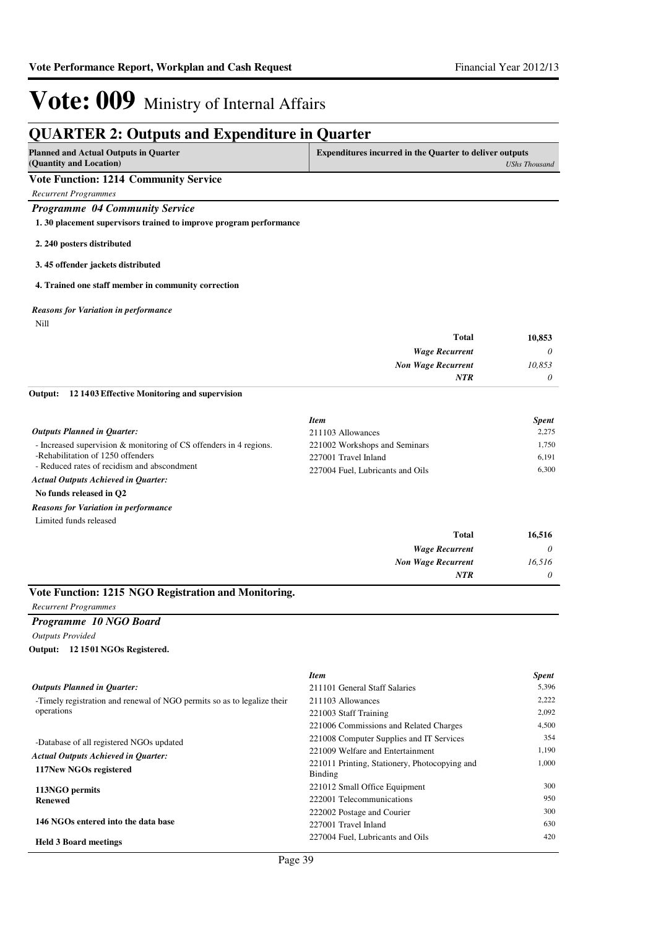### **QUARTER 2: Outputs and Expenditure in Quarter**

| <b>Planned and Actual Outputs in Quarter</b><br>(Quantity and Location) | <b>Expenditures incurred in the Quarter to deliver outputs</b><br><b>UShs Thousand</b> |
|-------------------------------------------------------------------------|----------------------------------------------------------------------------------------|
| <b>Vote Function: 1214 Community Service</b>                            |                                                                                        |
| Recurrent Programmes                                                    |                                                                                        |
|                                                                         |                                                                                        |

*Programme 04 Community Service*

**1. 30 placement supervisors trained to improve program performance**

**2. 240 posters distributed** 

**3. 45 offender jackets distributed**

#### **4. Trained one staff member in community correction**

*Reasons for Variation in performance*

Nill

| <b>Total</b><br>10,853              |                                                                                                                                                                                                                                                                                                  |
|-------------------------------------|--------------------------------------------------------------------------------------------------------------------------------------------------------------------------------------------------------------------------------------------------------------------------------------------------|
| $\theta$<br><b>Wage Recurrent</b>   |                                                                                                                                                                                                                                                                                                  |
| <b>Non Wage Recurrent</b><br>10,853 |                                                                                                                                                                                                                                                                                                  |
| 0<br><b>NTR</b>                     |                                                                                                                                                                                                                                                                                                  |
|                                     | $\mathbf{A}$ and $\mathbf{A}$ and $\mathbf{A}$ and $\mathbf{A}$ and $\mathbf{A}$ are $\mathbf{A}$ and $\mathbf{A}$ and $\mathbf{A}$ are $\mathbf{A}$ and $\mathbf{A}$ are $\mathbf{A}$ and $\mathbf{A}$ are $\mathbf{A}$ and $\mathbf{A}$ are $\mathbf{A}$ and $\mathbf{A}$ are $\mathbf{A}$ are |

**12 1403 Effective Monitoring and supervision Output:**

|                                                                                  | <b>Item</b>                      | <b>Spent</b> |
|----------------------------------------------------------------------------------|----------------------------------|--------------|
| <b>Outputs Planned in Ouarter:</b>                                               | 211103 Allowances                | 2.275        |
| - Increased supervision $\&$ monitoring of CS offenders in 4 regions.            | 221002 Workshops and Seminars    | 1.750        |
| -Rehabilitation of 1250 offenders<br>- Reduced rates of recidism and abscondment | 227001 Travel Inland             | 6.191        |
|                                                                                  | 227004 Fuel, Lubricants and Oils | 6.300        |
| <b>Actual Outputs Achieved in Ouarter:</b>                                       |                                  |              |
| .                                                                                |                                  |              |

### **No funds released in Q2**

*Reasons for Variation in performance*

Limited funds released

| 16,516   | <b>Total</b>              |
|----------|---------------------------|
| $\theta$ | <b>Wage Recurrent</b>     |
| 16,516   | <b>Non Wage Recurrent</b> |
| $\theta$ | <b>NTR</b>                |

### **Vote Function: 1215 NGO Registration and Monitoring.**

*Recurrent Programmes*

```
Programme 10 NGO Board
```
*Outputs Provided* **12 1501 NGOs Registered. Output:**

|                                                                                       | <b>Item</b>                                              | <b>Spent</b> |
|---------------------------------------------------------------------------------------|----------------------------------------------------------|--------------|
| <b>Outputs Planned in Quarter:</b>                                                    | 211101 General Staff Salaries                            | 5,396        |
| -Timely registration and renewal of NGO permits so as to legalize their<br>operations | 211103 Allowances                                        | 2,222        |
|                                                                                       | 221003 Staff Training                                    | 2,092        |
|                                                                                       | 221006 Commissions and Related Charges                   | 4,500        |
| -Database of all registered NGOs updated                                              | 221008 Computer Supplies and IT Services                 | 354          |
| <b>Actual Outputs Achieved in Quarter:</b>                                            | 221009 Welfare and Entertainment                         | 1,190        |
| 117New NGOs registered                                                                | 221011 Printing, Stationery, Photocopying and<br>Binding | 1.000        |
| 113NGO permits                                                                        | 221012 Small Office Equipment                            | 300          |
| <b>Renewed</b>                                                                        | 222001 Telecommunications                                | 950          |
| 146 NGOs entered into the data base                                                   | 222002 Postage and Courier                               | 300          |
|                                                                                       | 227001 Travel Inland                                     | 630          |
| <b>Held 3 Board meetings</b>                                                          | 227004 Fuel, Lubricants and Oils                         | 420          |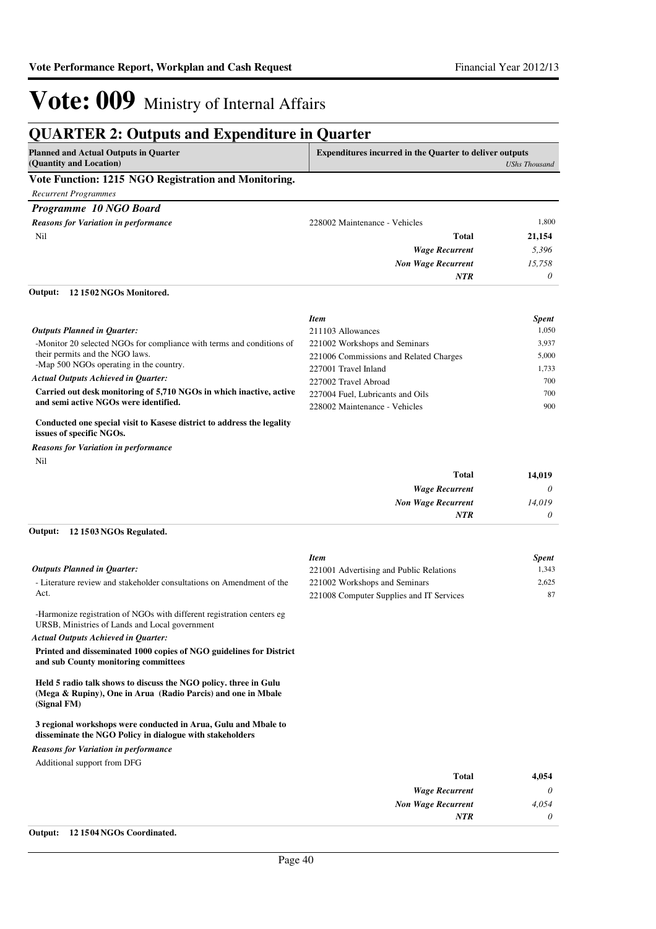### **QUARTER 2: Outputs and Expenditure in Quarter**

| <b>Planned and Actual Outputs in Quarter</b><br>(Quantity and Location) | <b>Expenditures incurred in the Quarter to deliver outputs</b><br>UShs Thousand |
|-------------------------------------------------------------------------|---------------------------------------------------------------------------------|
| Vote Function: 1215 NGO Registration and Monitoring.                    |                                                                                 |
| Recurrent Programmes                                                    |                                                                                 |
| Programme 10 NGO Board                                                  |                                                                                 |

| <b>Reasons for Variation in performance</b> | 228002 Maintenance - Vehicles | 1,800    |
|---------------------------------------------|-------------------------------|----------|
| Nil                                         | <b>Total</b>                  | 21,154   |
|                                             | <b>Wage Recurrent</b>         | 5,396    |
|                                             | <b>Non Wage Recurrent</b>     | 15,758   |
|                                             | <b>NTR</b>                    | $\theta$ |

#### **12 1502 NGOs Monitored. Output:**

| <b>Spent</b>                                    |
|-------------------------------------------------|
| 1.050<br>211103 Allowances                      |
| 3.937<br>221002 Workshops and Seminars          |
| 5.000<br>221006 Commissions and Related Charges |
| 1.733<br>227001 Travel Inland                   |
| 700<br>227002 Travel Abroad                     |
| 700<br>227004 Fuel, Lubricants and Oils         |
| 900<br>228002 Maintenance - Vehicles            |
|                                                 |

#### **Conducted one special visit to Kasese district to address the legality issues of specific NGOs.**

Nil *Reasons for Variation in performance*

| 14,019   | <b>Total</b>              |
|----------|---------------------------|
| $\theta$ | <b>Wage Recurrent</b>     |
| 14,019   | <b>Non Wage Recurrent</b> |
| $\theta$ | <b>NTR</b>                |
|          |                           |

### **12 1503 NGOs Regulated. Output:**

|                                                                                                                                                 | <b>Item</b>                              | <b>Spent</b> |
|-------------------------------------------------------------------------------------------------------------------------------------------------|------------------------------------------|--------------|
| <b>Outputs Planned in Quarter:</b>                                                                                                              | 221001 Advertising and Public Relations  | 1,343        |
| - Literature review and stakeholder consultations on Amendment of the                                                                           | 221002 Workshops and Seminars            | 2,625        |
| Act.                                                                                                                                            | 221008 Computer Supplies and IT Services | 87           |
| -Harmonize registration of NGOs with different registration centers eg<br>URSB, Ministries of Lands and Local government                        |                                          |              |
| <b>Actual Outputs Achieved in Quarter:</b>                                                                                                      |                                          |              |
| Printed and disseminated 1000 copies of NGO guidelines for District<br>and sub County monitoring committees                                     |                                          |              |
| Held 5 radio talk shows to discuss the NGO policy, three in Gulu<br>(Mega & Rupiny), One in Arua (Radio Parcis) and one in Mbale<br>(Signal FM) |                                          |              |
| 3 regional workshops were conducted in Arua, Gulu and Mbale to<br>disseminate the NGO Policy in dialogue with stakeholders                      |                                          |              |
| <b>Reasons for Variation in performance</b>                                                                                                     |                                          |              |
| Additional support from DFG                                                                                                                     |                                          |              |
|                                                                                                                                                 | Total                                    | 4 Q54        |

| 4,054 | Total                     |
|-------|---------------------------|
| 0     | <b>Wage Recurrent</b>     |
| 4,054 | <b>Non Wage Recurrent</b> |
|       | <b>NTR</b>                |
|       |                           |

#### **Output: 12 1504 NGOs Coordinated.**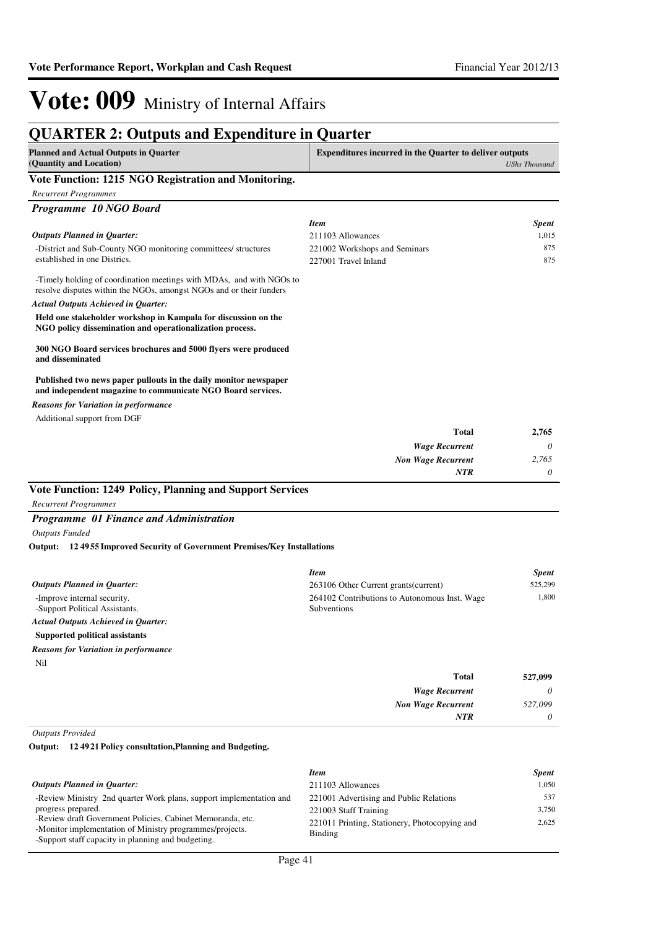### **QUARTER 2: Outputs and Expenditure in Quarter**

| <b>Planned and Actual Outputs in Quarter</b><br>(Quantity and Location)                                                                     | <b>Expenditures incurred in the Quarter to deliver outputs</b> | <b>UShs Thousand</b> |
|---------------------------------------------------------------------------------------------------------------------------------------------|----------------------------------------------------------------|----------------------|
| Vote Function: 1215 NGO Registration and Monitoring.                                                                                        |                                                                |                      |
| <b>Recurrent Programmes</b>                                                                                                                 |                                                                |                      |
| Programme 10 NGO Board                                                                                                                      |                                                                |                      |
|                                                                                                                                             | <b>Item</b>                                                    | <b>Spent</b>         |
| <b>Outputs Planned in Quarter:</b>                                                                                                          | 211103 Allowances                                              | 1,015                |
| -District and Sub-County NGO monitoring committees/ structures<br>established in one Districs.                                              | 221002 Workshops and Seminars<br>227001 Travel Inland          | 875<br>875           |
| -Timely holding of coordination meetings with MDAs, and with NGOs to<br>resolve disputes within the NGOs, amongst NGOs and or their funders |                                                                |                      |
| <b>Actual Outputs Achieved in Quarter:</b>                                                                                                  |                                                                |                      |
| Held one stakeholder workshop in Kampala for discussion on the<br>NGO policy dissemination and operationalization process.                  |                                                                |                      |
| 300 NGO Board services brochures and 5000 flyers were produced<br>and disseminated                                                          |                                                                |                      |
| Published two news paper pullouts in the daily monitor newspaper<br>and independent magazine to communicate NGO Board services.             |                                                                |                      |
| <b>Reasons for Variation in performance</b>                                                                                                 |                                                                |                      |
| Additional support from DGF                                                                                                                 |                                                                |                      |
|                                                                                                                                             | <b>Total</b>                                                   | 2,765                |
|                                                                                                                                             | <b>Wage Recurrent</b>                                          | 0                    |
|                                                                                                                                             | <b>Non Wage Recurrent</b>                                      | 2,765                |
|                                                                                                                                             | <b>NTR</b>                                                     | 0                    |
| Vote Function: 1249 Policy, Planning and Support Services                                                                                   |                                                                |                      |
| <b>Recurrent Programmes</b>                                                                                                                 |                                                                |                      |
| Programme 01 Finance and Administration                                                                                                     |                                                                |                      |
| <b>Outputs Funded</b>                                                                                                                       |                                                                |                      |

**12 4955 Improved Security of Government Premises/Key Installations Output:**

|                                                               | <b>Item</b>                                                  | <b>Spent</b> |
|---------------------------------------------------------------|--------------------------------------------------------------|--------------|
| <b>Outputs Planned in Ouarter:</b>                            | 263106 Other Current grants (current)                        | 525,299      |
| -Improve internal security.<br>-Support Political Assistants. | 264102 Contributions to Autonomous Inst. Wage<br>Subventions | 1.800        |
| <b>Actual Outputs Achieved in Ouarter:</b>                    |                                                              |              |
| Supported political assistants                                |                                                              |              |
| <b>Reasons for Variation in performance</b>                   |                                                              |              |
| Nil                                                           |                                                              |              |
|                                                               | <b>Total</b>                                                 | 527,099      |
|                                                               | <b>Wage Recurrent</b>                                        | 0            |

*Non Wage Recurrent*

*NTR*

*527,099 0*

*Outputs Provided*

**12 4921 Policy consultation,Planning and Budgeting. Output:**

|                                                                                                                                                                              | <b>Item</b>                                              | <b>Spent</b> |
|------------------------------------------------------------------------------------------------------------------------------------------------------------------------------|----------------------------------------------------------|--------------|
| <b>Outputs Planned in Ouarter:</b>                                                                                                                                           | 211103 Allowances                                        | 1.050        |
| -Review Ministry 2nd quarter Work plans, support implementation and                                                                                                          | 221001 Advertising and Public Relations                  | 537          |
| progress prepared.                                                                                                                                                           | 221003 Staff Training                                    | 3.750        |
| -Review draft Government Policies, Cabinet Memoranda, etc.<br>-Monitor implementation of Ministry programmes/projects.<br>-Support staff capacity in planning and budgeting. | 221011 Printing, Stationery, Photocopying and<br>Binding | 2.625        |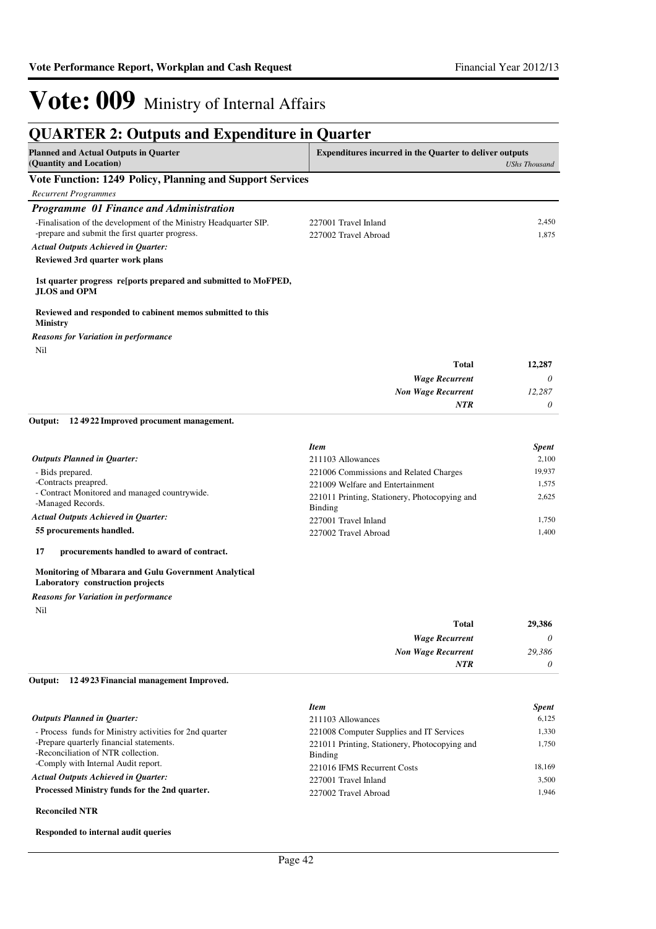| <b>QUARTER 2: Outputs and Expenditure in Quarter</b>                                                                 |                                                                 |                      |
|----------------------------------------------------------------------------------------------------------------------|-----------------------------------------------------------------|----------------------|
| <b>Planned and Actual Outputs in Quarter</b><br>(Quantity and Location)                                              | <b>Expenditures incurred in the Quarter to deliver outputs</b>  | <b>UShs Thousand</b> |
| <b>Vote Function: 1249 Policy, Planning and Support Services</b>                                                     |                                                                 |                      |
| <b>Recurrent Programmes</b>                                                                                          |                                                                 |                      |
| Programme 01 Finance and Administration                                                                              |                                                                 |                      |
| -Finalisation of the development of the Ministry Headquarter SIP.<br>-prepare and submit the first quarter progress. | 227001 Travel Inland<br>227002 Travel Abroad                    | 2,450<br>1,875       |
| <b>Actual Outputs Achieved in Quarter:</b>                                                                           |                                                                 |                      |
| Reviewed 3rd quarter work plans                                                                                      |                                                                 |                      |
| 1st quarter progress resports prepared and submitted to MoFPED,<br><b>JLOS and OPM</b>                               |                                                                 |                      |
| Reviewed and responded to cabinent memos submitted to this<br><b>Ministry</b>                                        |                                                                 |                      |
| <b>Reasons for Variation in performance</b>                                                                          |                                                                 |                      |
| <b>Nil</b>                                                                                                           |                                                                 |                      |
|                                                                                                                      | <b>Total</b>                                                    | 12,287               |
|                                                                                                                      | <b>Wage Recurrent</b>                                           | 0                    |
|                                                                                                                      | <b>Non Wage Recurrent</b>                                       | 12,287               |
|                                                                                                                      | <b>NTR</b>                                                      | $\theta$             |
| Output:<br>124922 Improved procument management.                                                                     |                                                                 |                      |
|                                                                                                                      | <b>Item</b>                                                     | <b>Spent</b>         |
| <b>Outputs Planned in Quarter:</b>                                                                                   | 211103 Allowances                                               | 2,100                |
| - Bids prepared.                                                                                                     | 221006 Commissions and Related Charges                          | 19,937               |
| -Contracts preapred.                                                                                                 | 221009 Welfare and Entertainment                                | 1,575                |
| - Contract Monitored and managed countrywide.<br>-Managed Records.                                                   | 221011 Printing, Stationery, Photocopying and<br><b>Binding</b> | 2,625                |
| <b>Actual Outputs Achieved in Quarter:</b>                                                                           | 227001 Travel Inland                                            | 1,750                |

**55 procurements handled.**

**17 procurements handled to award of contract.**

#### **Monitoring of Mbarara and Gulu Government Analytical Laboratory construction projects**

Nil *Reasons for Variation in performance*

| 29,386   | <b>Total</b>              |
|----------|---------------------------|
| $\theta$ | <b>Wage Recurrent</b>     |
| 29,386   | <b>Non Wage Recurrent</b> |
| $\theta$ | <b>NTR</b>                |

227002 Travel Abroad 1,400

**12 4923 Financial management Improved. Output:**

|                                                                                | <b>Item</b>                                              | <b>Spent</b> |
|--------------------------------------------------------------------------------|----------------------------------------------------------|--------------|
| <b>Outputs Planned in Ouarter:</b>                                             | 211103 Allowances                                        | 6.125        |
| - Process funds for Ministry activities for 2nd quarter                        | 221008 Computer Supplies and IT Services                 | 1.330        |
| -Prepare quarterly financial statements.<br>-Reconciliation of NTR collection. | 221011 Printing, Stationery, Photocopying and<br>Binding | 1.750        |
| -Comply with Internal Audit report.                                            | 221016 IFMS Recurrent Costs                              | 18.169       |
| <b>Actual Outputs Achieved in Ouarter:</b>                                     | 227001 Travel Inland                                     | 3.500        |
| Processed Ministry funds for the 2nd quarter.                                  | 227002 Travel Abroad                                     | 1.946        |

#### **Reconciled NTR**

#### **Responded to internal audit queries**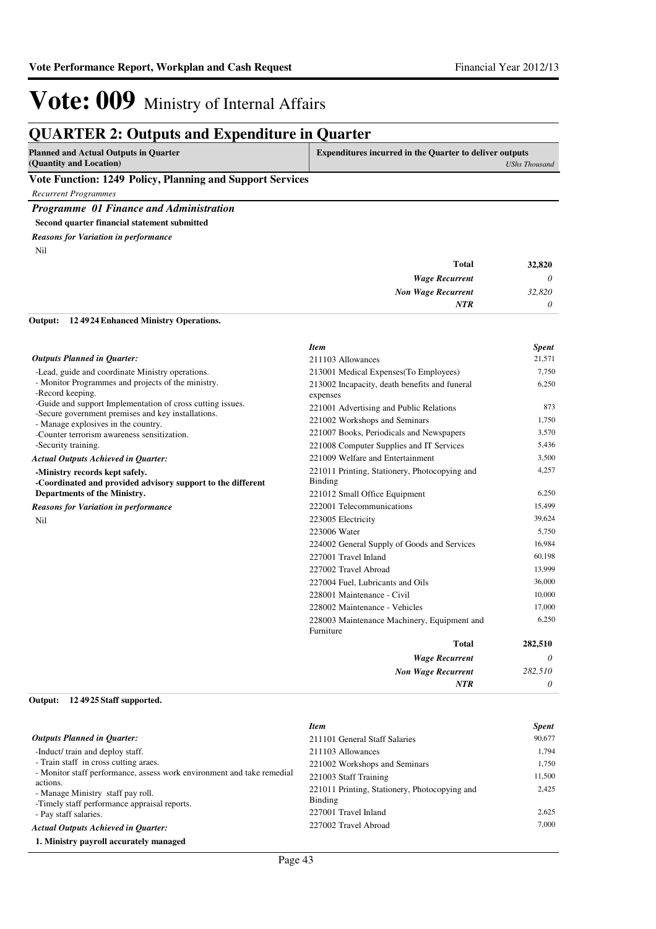*UShs Thousand*

## Vote: 009 Ministry of Internal Affairs

### **QUARTER 2: Outputs and Expenditure in Quarter**

| <b>Planned and Actual Outputs in Quarter</b> | <b>Expenditures incurred in the Quarter to deliver outputs</b> |
|----------------------------------------------|----------------------------------------------------------------|
| (Quantity and Location)                      | UShs T                                                         |

#### **Vote Function: 1249 Policy, Planning and Support Services**

*Recurrent Programmes*

*Programme 01 Finance and Administration*

**Second quarter financial statement submitted**

Nil *Reasons for Variation in performance*

| 32,820   | <b>Total</b>              |
|----------|---------------------------|
| $\theta$ | <b>Wage Recurrent</b>     |
| 32,820   | <b>Non Wage Recurrent</b> |
| 0        | <b>NTR</b>                |
|          |                           |

#### **12 4924 Enhanced Ministry Operations. Output:**

|                                                                                                                  | <b>Item</b>                                              | <b>Spent</b> |
|------------------------------------------------------------------------------------------------------------------|----------------------------------------------------------|--------------|
| <b>Outputs Planned in Ouarter:</b>                                                                               | 211103 Allowances                                        | 21,571       |
| -Lead, guide and coordinate Ministry operations.                                                                 | 213001 Medical Expenses(To Employees)                    | 7,750        |
| - Monitor Programmes and projects of the ministry.                                                               | 213002 Incapacity, death benefits and funeral            | 6,250        |
| -Record keeping.                                                                                                 | expenses                                                 |              |
| -Guide and support Implementation of cross cutting issues.<br>-Secure government premises and key installations. | 221001 Advertising and Public Relations                  | 873          |
| - Manage explosives in the country.                                                                              | 221002 Workshops and Seminars                            | 1,750        |
| -Counter terrorism awareness sensitization.                                                                      | 221007 Books, Periodicals and Newspapers                 | 3,570        |
| -Security training.                                                                                              | 221008 Computer Supplies and IT Services                 | 5,436        |
| <b>Actual Outputs Achieved in Quarter:</b>                                                                       | 221009 Welfare and Entertainment                         | 3,500        |
| -Ministry records kept safely.<br>-Coordinated and provided advisory support to the different                    | 221011 Printing, Stationery, Photocopying and<br>Binding | 4,257        |
| Departments of the Ministry.                                                                                     | 221012 Small Office Equipment                            | 6,250        |
| <b>Reasons for Variation in performance</b>                                                                      | 222001 Telecommunications                                | 15,499       |
| <b>Nil</b>                                                                                                       | 223005 Electricity                                       | 39.624       |
|                                                                                                                  | 223006 Water                                             | 5,750        |
|                                                                                                                  | 224002 General Supply of Goods and Services              | 16,984       |
|                                                                                                                  | 227001 Travel Inland                                     | 60,198       |
|                                                                                                                  | 227002 Travel Abroad                                     | 13,999       |
|                                                                                                                  | 227004 Fuel, Lubricants and Oils                         | 36,000       |
|                                                                                                                  | 228001 Maintenance - Civil                               | 10,000       |
|                                                                                                                  | 228002 Maintenance - Vehicles                            | 17,000       |
|                                                                                                                  | 228003 Maintenance Machinery, Equipment and<br>Furniture | 6,250        |
|                                                                                                                  | <b>Total</b>                                             | 282,510      |
|                                                                                                                  | <b>Wage Recurrent</b>                                    | $\theta$     |
|                                                                                                                  | <b>Non Wage Recurrent</b>                                | 282,510      |
|                                                                                                                  | <b>NTR</b>                                               | 0            |

#### **12 4925 Staff supported. Output:**

|                                                                                               | <b>Item</b>                                                     | <b>Spent</b> |
|-----------------------------------------------------------------------------------------------|-----------------------------------------------------------------|--------------|
| <b>Outputs Planned in Quarter:</b>                                                            | 211101 General Staff Salaries                                   | 90,677       |
| -Induct/ train and deploy staff.                                                              | 211103 Allowances                                               | 1.794        |
| - Train staff in cross cutting araes.                                                         | 221002 Workshops and Seminars                                   | 1.750        |
| - Monitor staff performance, assess work environment and take remedial                        | 221003 Staff Training                                           | 11,500       |
| actions.<br>- Manage Ministry staff pay roll.<br>-Timely staff performance appraisal reports. | 221011 Printing, Stationery, Photocopying and<br><b>Binding</b> | 2.425        |
| - Pay staff salaries.                                                                         | 227001 Travel Inland                                            | 2,625        |
| <b>Actual Outputs Achieved in Ouarter:</b>                                                    | 227002 Travel Abroad                                            | 7,000        |
| 1. Ministry payroll accurately managed                                                        |                                                                 |              |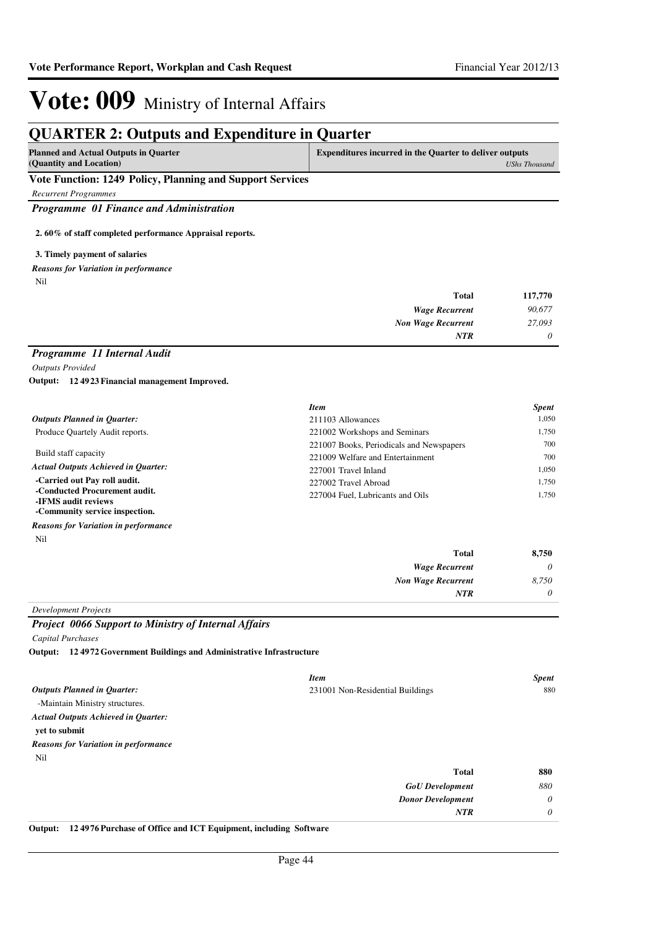### **QUARTER 2: Outputs and Expenditure in Quarter**

| <b>Planned and Actual Outputs in Quarter</b>             | Expenditures incurred in the Quarter to deliver outputs |  |  |
|----------------------------------------------------------|---------------------------------------------------------|--|--|
| (Quantity and Location)                                  | UShs Thousand                                           |  |  |
| Vote Function: 1240 Policy Planning and Support Services |                                                         |  |  |

#### **Vote Function: 1249 Policy, Planning and Support Services**

*Recurrent Programmes*

*Programme 01 Finance and Administration*

**2. 60% of staff completed performance Appraisal reports.**

#### **3. Timely payment of salaries**

Nil *Reasons for Variation in performance*

| <b>Total</b>              | 117,770  |
|---------------------------|----------|
| <b>Wage Recurrent</b>     | 90,677   |
| <b>Non Wage Recurrent</b> | 27,093   |
| <b>NTR</b>                | $\theta$ |

### *Programme 11 Internal Audit*

*Outputs Provided*

**12 4923 Financial management Improved. Output:**

|                                                      | <b>Item</b>                              | <b>Spent</b> |
|------------------------------------------------------|------------------------------------------|--------------|
| <b>Outputs Planned in Ouarter:</b>                   | 211103 Allowances                        | 1.050        |
| Produce Quartely Audit reports.                      | 221002 Workshops and Seminars            | 1.750        |
|                                                      | 221007 Books, Periodicals and Newspapers | 700          |
| Build staff capacity                                 | 221009 Welfare and Entertainment         | 700          |
| <b>Actual Outputs Achieved in Ouarter:</b>           | 227001 Travel Inland                     | 1.050        |
| -Carried out Pay roll audit.                         | 227002 Travel Abroad                     | 1.750        |
| -Conducted Procurement audit.<br>-IFMS audit reviews | 227004 Fuel, Lubricants and Oils         | 1.750        |
| -Community service inspection.                       |                                          |              |

Nil *Reasons for Variation in performance*

| 8,750    | <b>Total</b>              |
|----------|---------------------------|
| $\theta$ | <b>Wage Recurrent</b>     |
| 8,750    | <b>Non Wage Recurrent</b> |
| $\theta$ | <b>NTR</b>                |
|          |                           |

### *Development Projects*

### *Project 0066 Support to Ministry of Internal Affairs*

*Capital Purchases*

**12 4972 Government Buildings and Administrative Infrastructure Output:**

|                                             | <b>Item</b>                      | <b>Spent</b> |
|---------------------------------------------|----------------------------------|--------------|
| <b>Outputs Planned in Quarter:</b>          | 231001 Non-Residential Buildings | 880          |
| -Maintain Ministry structures.              |                                  |              |
| <b>Actual Outputs Achieved in Quarter:</b>  |                                  |              |
| yet to submit                               |                                  |              |
| <b>Reasons for Variation in performance</b> |                                  |              |
| Nil                                         |                                  |              |
|                                             | <b>Total</b>                     | 880          |
|                                             | <b>GoU</b> Development           | 880          |
|                                             | <b>Donor Development</b>         | $\theta$     |
|                                             | <b>NTR</b>                       | 0            |

**Output: 12 4976 Purchase of Office and ICT Equipment, including Software**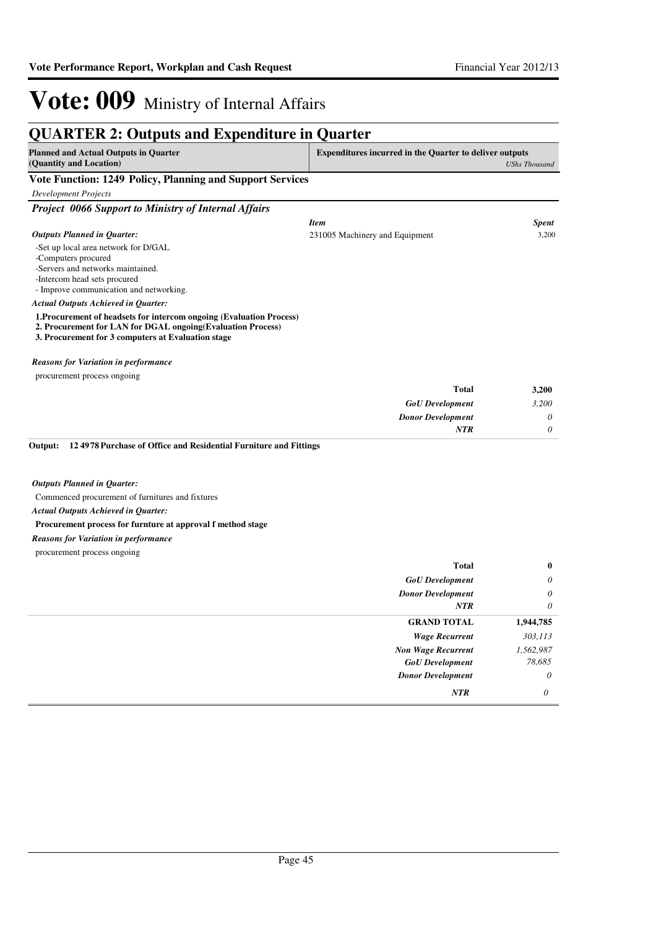#### **QUARTER 2: Outputs and Expenditure in Quarter Planned and Actual Outputs in Quarter (Quantity and Location) Expenditures incurred in the Quarter to deliver outputs**  *UShs Thousand* **Vote Function: 1249 Policy, Planning and Support Services** *Development Projects Project 0066 Support to Ministry of Internal Affairs* -Set up local area network for D/GAL -Computers procured -Servers and networks maintained. -Intercom head sets procured - Improve communication and networking. **1.Procurement of headsets for intercom ongoing (Evaluation Process) 2. Procurement for LAN for DGAL ongoing(Evaluation Process) 3. Procurement for 3 computers at Evaluation stage** *GoU Development Donor Development* **Total** *3,200 0 0* **3,200** *Actual Outputs Achieved in Quarter: Outputs Planned in Quarter: NTR* procurement process ongoing *Reasons for Variation in performance Item Spent* 231005 Machinery and Equipment 3,200 Commenced procurement of furnitures and fixtures **Procurement process for furnture at approval f method stage 12 4978 Purchase of Office and Residential Furniture and Fittings Output:** *GoU Development Donor Development* **Total** *0 0 0* **0** *Actual Outputs Achieved in Quarter: Outputs Planned in Quarter: NTR* procurement process ongoing *Reasons for Variation in performance Wage Recurrent Non Wage Recurrent* **GRAND TOTAL** *303,113 1,562,987* **1,944,785** *GoU Development 78,685*

*Donor Development*

*0*

*NTR 0*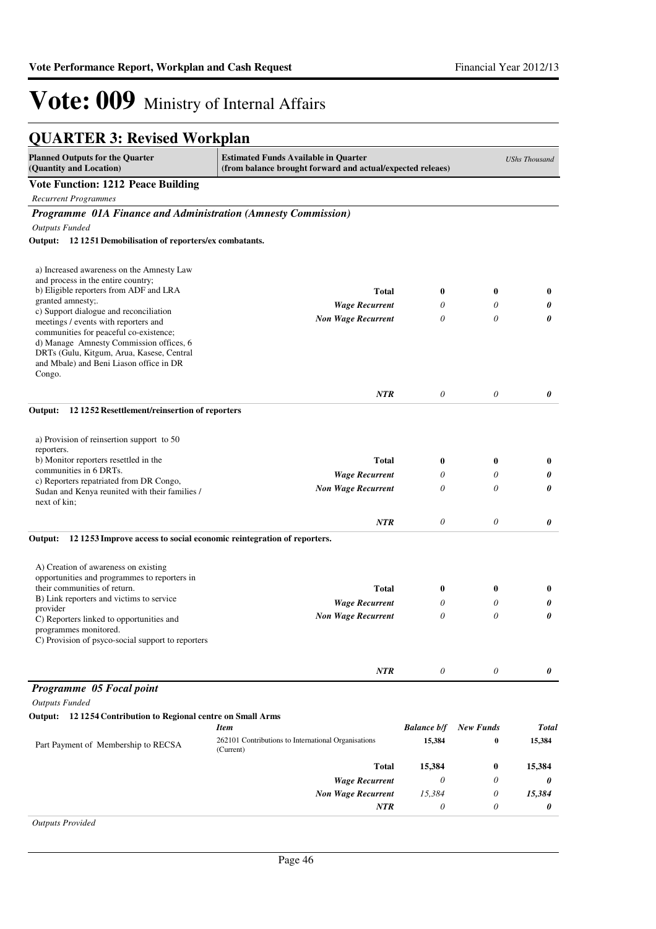### **QUARTER 3: Revised Workplan**

| <b>Planned Outputs for the Quarter</b><br>(Quantity and Location)                    | <b>Estimated Funds Available in Quarter</b><br>(from balance brought forward and actual/expected releaes) |                    |                  | <b>UShs Thousand</b> |
|--------------------------------------------------------------------------------------|-----------------------------------------------------------------------------------------------------------|--------------------|------------------|----------------------|
| <b>Vote Function: 1212 Peace Building</b>                                            |                                                                                                           |                    |                  |                      |
| <b>Recurrent Programmes</b>                                                          |                                                                                                           |                    |                  |                      |
| Programme 01A Finance and Administration (Amnesty Commission)                        |                                                                                                           |                    |                  |                      |
| <b>Outputs Funded</b>                                                                |                                                                                                           |                    |                  |                      |
| Output: 12 1251 Demobilisation of reporters/ex combatants.                           |                                                                                                           |                    |                  |                      |
|                                                                                      |                                                                                                           |                    |                  |                      |
| a) Increased awareness on the Amnesty Law                                            |                                                                                                           |                    |                  |                      |
| and process in the entire country;                                                   |                                                                                                           |                    |                  |                      |
| b) Eligible reporters from ADF and LRA                                               | <b>Total</b>                                                                                              | $\boldsymbol{0}$   | 0                | 0                    |
| granted amnesty;.<br>c) Support dialogue and reconciliation                          | <b>Wage Recurrent</b>                                                                                     | 0                  | 0                | 0                    |
| meetings / events with reporters and                                                 | <b>Non Wage Recurrent</b>                                                                                 | 0                  | 0                | 0                    |
| communities for peaceful co-existence;                                               |                                                                                                           |                    |                  |                      |
| d) Manage Amnesty Commission offices, 6                                              |                                                                                                           |                    |                  |                      |
| DRTs (Gulu, Kitgum, Arua, Kasese, Central<br>and Mbale) and Beni Liason office in DR |                                                                                                           |                    |                  |                      |
| Congo.                                                                               |                                                                                                           |                    |                  |                      |
|                                                                                      |                                                                                                           | 0                  | 0                |                      |
|                                                                                      | <b>NTR</b>                                                                                                |                    |                  | 0                    |
| 12 12 52 Resettlement/reinsertion of reporters<br>Output:                            |                                                                                                           |                    |                  |                      |
| a) Provision of reinsertion support to 50                                            |                                                                                                           |                    |                  |                      |
| reporters.                                                                           |                                                                                                           |                    |                  |                      |
| b) Monitor reporters resettled in the<br>communities in 6 DRTs.                      | <b>Total</b>                                                                                              | $\bf{0}$           | 0                | $\bf{0}$             |
| c) Reporters repatriated from DR Congo,                                              | <b>Wage Recurrent</b>                                                                                     | 0                  | 0                | 0                    |
| Sudan and Kenya reunited with their families /                                       | <b>Non Wage Recurrent</b>                                                                                 | 0                  | 0                | 0                    |
| next of kin;                                                                         |                                                                                                           |                    |                  |                      |
|                                                                                      | <b>NTR</b>                                                                                                | $\theta$           | $\theta$         | 0                    |
| 121253 Improve access to social economic reintegration of reporters.<br>Output:      |                                                                                                           |                    |                  |                      |
|                                                                                      |                                                                                                           |                    |                  |                      |
| A) Creation of awareness on existing<br>opportunities and programmes to reporters in |                                                                                                           |                    |                  |                      |
| their communities of return.                                                         | <b>Total</b>                                                                                              | $\bf{0}$           | 0                | $\bf{0}$             |
| B) Link reporters and victims to service                                             | <b>Wage Recurrent</b>                                                                                     | 0                  | 0                | 0                    |
| provider                                                                             | <b>Non Wage Recurrent</b>                                                                                 | 0                  | 0                | 0                    |
| C) Reporters linked to opportunities and<br>programmes monitored.                    |                                                                                                           |                    |                  |                      |
| C) Provision of psyco-social support to reporters                                    |                                                                                                           |                    |                  |                      |
|                                                                                      |                                                                                                           |                    |                  |                      |
|                                                                                      | $\it NTR$                                                                                                 | 0                  | 0                | 0                    |
| Programme 05 Focal point                                                             |                                                                                                           |                    |                  |                      |
| <b>Outputs Funded</b>                                                                |                                                                                                           |                    |                  |                      |
| Output: 12 1254 Contribution to Regional centre on Small Arms                        |                                                                                                           |                    |                  |                      |
|                                                                                      | <b>Item</b>                                                                                               | <b>Balance b/f</b> | <b>New Funds</b> | <b>Total</b>         |
| Part Payment of Membership to RECSA                                                  | 262101 Contributions to International Organisations<br>(Current)                                          | 15,384             | $\bf{0}$         | 15,384               |
|                                                                                      | <b>Total</b>                                                                                              | 15,384             | 0                | 15,384               |
|                                                                                      | <b>Wage Recurrent</b>                                                                                     | $\theta$           | 0                | 0                    |
|                                                                                      | <b>Non Wage Recurrent</b>                                                                                 | 15,384             | 0                | 15,384               |
|                                                                                      | <b>NTR</b>                                                                                                | 0                  | 0                | 0                    |
| <b>Outputs Provided</b>                                                              |                                                                                                           |                    |                  |                      |

*Outputs Provided*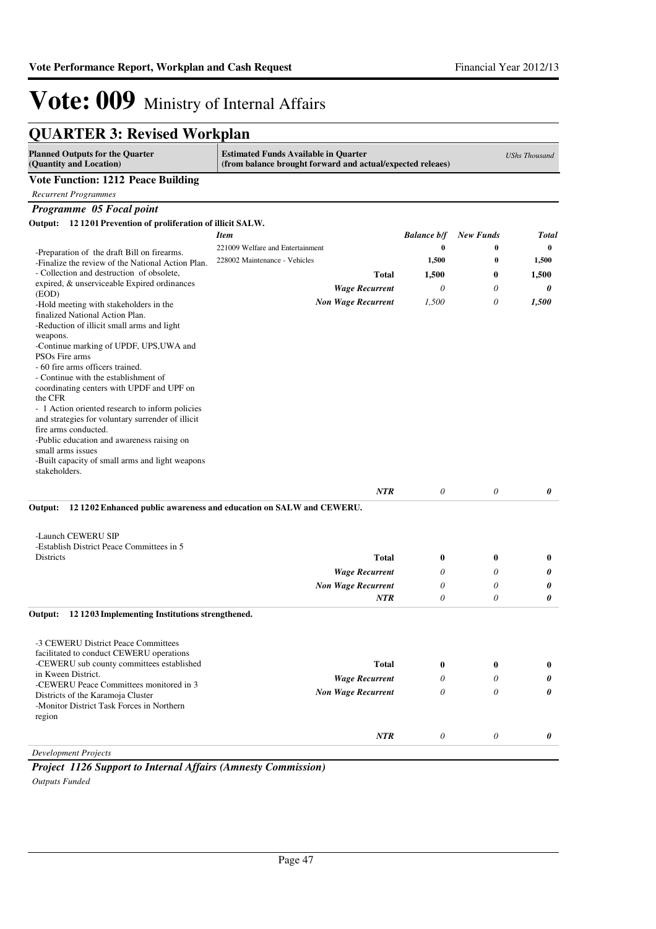| <b>QUARTER 3: Revised Workplan</b> |  |  |
|------------------------------------|--|--|
|------------------------------------|--|--|

| <b>Planned Outputs for the Quarter</b><br>(Quantity and Location)                 | <b>Estimated Funds Available in Quarter</b><br>(from balance brought forward and actual/expected releaes) |                       |                  | <b>UShs Thousand</b> |
|-----------------------------------------------------------------------------------|-----------------------------------------------------------------------------------------------------------|-----------------------|------------------|----------------------|
| <b>Vote Function: 1212 Peace Building</b>                                         |                                                                                                           |                       |                  |                      |
| <b>Recurrent Programmes</b>                                                       |                                                                                                           |                       |                  |                      |
| Programme 05 Focal point                                                          |                                                                                                           |                       |                  |                      |
| 12 1201 Prevention of proliferation of illicit SALW.<br>Output:                   |                                                                                                           |                       |                  |                      |
|                                                                                   | <b>Item</b>                                                                                               | <b>Balance b/f</b>    | <b>New Funds</b> | <b>Total</b>         |
| -Preparation of the draft Bill on firearms.                                       | 221009 Welfare and Entertainment                                                                          | $\bf{0}$              | 0                | $\bf{0}$             |
| -Finalize the review of the National Action Plan.                                 | 228002 Maintenance - Vehicles                                                                             | 1,500                 | $\bf{0}$         | 1,500                |
| - Collection and destruction of obsolete,                                         | <b>Total</b>                                                                                              | 1,500                 | $\boldsymbol{0}$ | 1,500                |
| expired, & unserviceable Expired ordinances<br>(EOD)                              | <b>Wage Recurrent</b>                                                                                     | 0                     | $\theta$         | 0                    |
| -Hold meeting with stakeholders in the                                            | <b>Non Wage Recurrent</b>                                                                                 | 1,500                 | 0                | 1,500                |
| finalized National Action Plan.                                                   |                                                                                                           |                       |                  |                      |
| -Reduction of illicit small arms and light<br>weapons.                            |                                                                                                           |                       |                  |                      |
| -Continue marking of UPDF, UPS, UWA and                                           |                                                                                                           |                       |                  |                      |
| PSOs Fire arms                                                                    |                                                                                                           |                       |                  |                      |
| - 60 fire arms officers trained.                                                  |                                                                                                           |                       |                  |                      |
| - Continue with the establishment of<br>coordinating centers with UPDF and UPF on |                                                                                                           |                       |                  |                      |
| the CFR                                                                           |                                                                                                           |                       |                  |                      |
| - 1 Action oriented research to inform policies                                   |                                                                                                           |                       |                  |                      |
| and strategies for voluntary surrender of illicit<br>fire arms conducted.         |                                                                                                           |                       |                  |                      |
| -Public education and awareness raising on                                        |                                                                                                           |                       |                  |                      |
| small arms issues                                                                 |                                                                                                           |                       |                  |                      |
| -Built capacity of small arms and light weapons                                   |                                                                                                           |                       |                  |                      |
| stakeholders.                                                                     |                                                                                                           |                       |                  |                      |
|                                                                                   | <b>NTR</b>                                                                                                | $\theta$              | $\theta$         | 0                    |
| Output:                                                                           | 12 1202 Enhanced public awareness and education on SALW and CEWERU.                                       |                       |                  |                      |
|                                                                                   |                                                                                                           |                       |                  |                      |
| -Launch CEWERU SIP                                                                |                                                                                                           |                       |                  |                      |
| -Establish District Peace Committees in 5                                         |                                                                                                           |                       |                  |                      |
| Districts                                                                         | <b>Total</b>                                                                                              | 0                     | $\boldsymbol{0}$ | $\bf{0}$             |
|                                                                                   | <b>Wage Recurrent</b>                                                                                     | 0                     | $\theta$         | 0                    |
|                                                                                   | <b>Non Wage Recurrent</b>                                                                                 | 0                     | $\theta$         | 0                    |
|                                                                                   | NTR                                                                                                       | $\theta$              | 0                | 0                    |
| Output:<br>12 1203 Implementing Institutions strengthened.                        |                                                                                                           |                       |                  |                      |
|                                                                                   |                                                                                                           |                       |                  |                      |
| -3 CEWERU District Peace Committees                                               |                                                                                                           |                       |                  |                      |
| facilitated to conduct CEWERU operations                                          |                                                                                                           |                       |                  |                      |
| -CEWERU sub county committees established<br>in Kween District.                   | <b>Total</b>                                                                                              | $\bf{0}$              | $\bf{0}$         | $\bf{0}$             |
| -CEWERU Peace Committees monitored in 3                                           | <b>Wage Recurrent</b>                                                                                     | 0                     | 0                | 0                    |
| Districts of the Karamoja Cluster                                                 | <b>Non Wage Recurrent</b>                                                                                 | $\boldsymbol{\theta}$ | 0                | 0                    |
| -Monitor District Task Forces in Northern                                         |                                                                                                           |                       |                  |                      |
| region                                                                            |                                                                                                           |                       |                  |                      |
|                                                                                   | NTR                                                                                                       | $\theta$              | 0                | 0                    |
| <b>Development Projects</b>                                                       |                                                                                                           |                       |                  |                      |
|                                                                                   |                                                                                                           |                       |                  |                      |

*Project 1126 Support to Internal Affairs (Amnesty Commission)*

*Outputs Funded*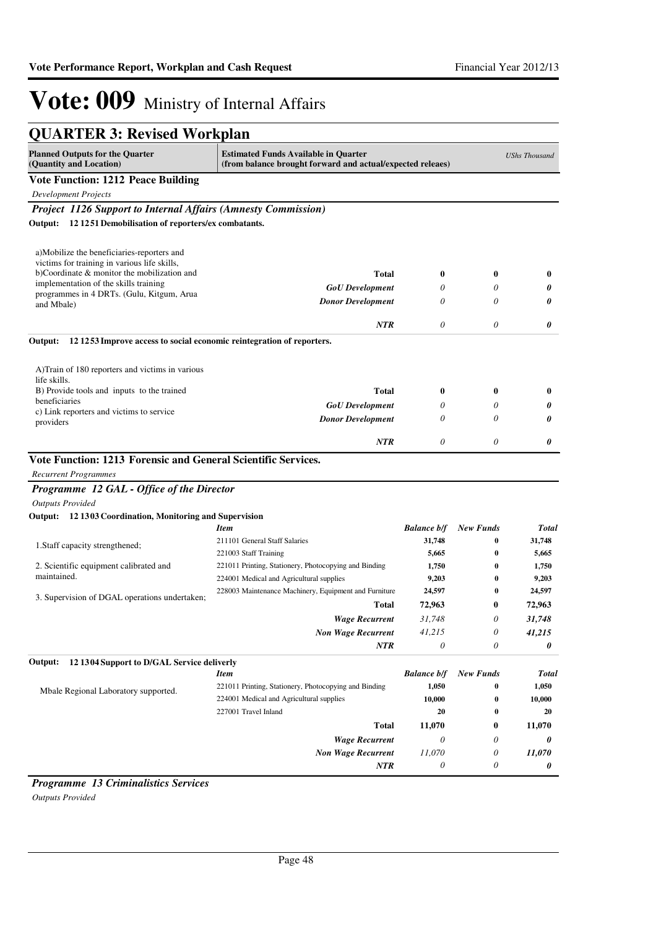| <b>QUARTER 3: Revised Workplan</b>                                                 |                                                                                                           |                    |                  |                      |
|------------------------------------------------------------------------------------|-----------------------------------------------------------------------------------------------------------|--------------------|------------------|----------------------|
| <b>Planned Outputs for the Quarter</b><br>(Quantity and Location)                  | <b>Estimated Funds Available in Quarter</b><br>(from balance brought forward and actual/expected releaes) |                    |                  | <b>UShs Thousand</b> |
| <b>Vote Function: 1212 Peace Building</b>                                          |                                                                                                           |                    |                  |                      |
| <b>Development Projects</b>                                                        |                                                                                                           |                    |                  |                      |
| <b>Project 1126 Support to Internal Affairs (Amnesty Commission)</b>               |                                                                                                           |                    |                  |                      |
| Output: 12 1251 Demobilisation of reporters/ex combatants.                         |                                                                                                           |                    |                  |                      |
| a)Mobilize the beneficiaries-reporters and                                         |                                                                                                           |                    |                  |                      |
| victims for training in various life skills,                                       |                                                                                                           |                    |                  |                      |
| b)Coordinate & monitor the mobilization and                                        | Total                                                                                                     | $\bf{0}$           | $\bf{0}$         | $\bf{0}$             |
| implementation of the skills training<br>programmes in 4 DRTs. (Gulu, Kitgum, Arua | <b>GoU</b> Development                                                                                    | 0                  | 0                | 0                    |
| and Mbale)                                                                         | <b>Donor Development</b>                                                                                  | $\theta$           | 0                | 0                    |
|                                                                                    | NTR                                                                                                       | $\theta$           | 0                | 0                    |
| 121253 Improve access to social economic reintegration of reporters.<br>Output:    |                                                                                                           |                    |                  |                      |
| A) Train of 180 reporters and victims in various<br>life skills.                   |                                                                                                           |                    |                  |                      |
| B) Provide tools and inputs to the trained                                         | Total                                                                                                     | $\bf{0}$           | $\bf{0}$         | $\bf{0}$             |
| beneficiaries<br>c) Link reporters and victims to service                          | <b>GoU</b> Development                                                                                    | 0                  | 0                | 0                    |
| providers                                                                          | <b>Donor Development</b>                                                                                  | $\theta$           | 0                | 0                    |
|                                                                                    | <b>NTR</b>                                                                                                | $\theta$           | 0                | 0                    |
| Vote Function: 1213 Forensic and General Scientific Services.                      |                                                                                                           |                    |                  |                      |
| <b>Recurrent Programmes</b>                                                        |                                                                                                           |                    |                  |                      |
| Programme 12 GAL - Office of the Director                                          |                                                                                                           |                    |                  |                      |
| <b>Outputs Provided</b>                                                            |                                                                                                           |                    |                  |                      |
| Output: 12 1303 Coordination, Monitoring and Supervision                           |                                                                                                           |                    |                  |                      |
|                                                                                    | <b>Item</b>                                                                                               | <b>Balance b/f</b> | <b>New Funds</b> | <b>Total</b>         |
| 1. Staff capacity strengthened;                                                    | 211101 General Staff Salaries                                                                             | 31,748             | 0<br>$\bf{0}$    | 31,748               |
| 2. Scientific equipment calibrated and                                             | 221003 Staff Training<br>221011 Printing, Stationery, Photocopying and Binding                            | 5,665<br>1,750     | $\bf{0}$         | 5,665<br>1,750       |
| maintained.                                                                        | 224001 Medical and Agricultural supplies                                                                  | 9,203              | $\bf{0}$         | 9,203                |
|                                                                                    | 228003 Maintenance Machinery, Equipment and Furniture                                                     | 24,597             | $\bf{0}$         | 24,597               |
| 3. Supervision of DGAL operations undertaken;                                      | Total                                                                                                     | 72,963             | $\bf{0}$         | 72,963               |
|                                                                                    | <b>Wage Recurrent</b>                                                                                     | 31,748             | 0                | 31,748               |
|                                                                                    | <b>Non Wage Recurrent</b>                                                                                 | 41,215             | 0                | 41,215               |
|                                                                                    | <b>NTR</b>                                                                                                | $\theta$           | 0                | 0                    |
| 12 1304 Support to D/GAL Service deliverly<br>Output:                              |                                                                                                           |                    |                  |                      |
|                                                                                    | <b>Item</b>                                                                                               | <b>Balance b/f</b> | <b>New Funds</b> | <b>Total</b>         |
| Mbale Regional Laboratory supported.                                               | 221011 Printing, Stationery, Photocopying and Binding                                                     | 1,050              | $\boldsymbol{0}$ | 1,050                |
|                                                                                    | 224001 Medical and Agricultural supplies                                                                  | 10,000             | 0                | 10,000               |
|                                                                                    | 227001 Travel Inland                                                                                      | 20                 | $\bf{0}$         | 20                   |
|                                                                                    | <b>Total</b>                                                                                              | 11,070             | $\bf{0}$         | 11,070               |
|                                                                                    | <b>Wage Recurrent</b>                                                                                     | $\theta$           | 0                | 0                    |
|                                                                                    | <b>Non Wage Recurrent</b>                                                                                 | 11,070             | 0                | 11,070               |
|                                                                                    | <b>NTR</b>                                                                                                | $\theta$           | 0                | 0                    |

*Programme 13 Criminalistics Services Outputs Provided*

Page 48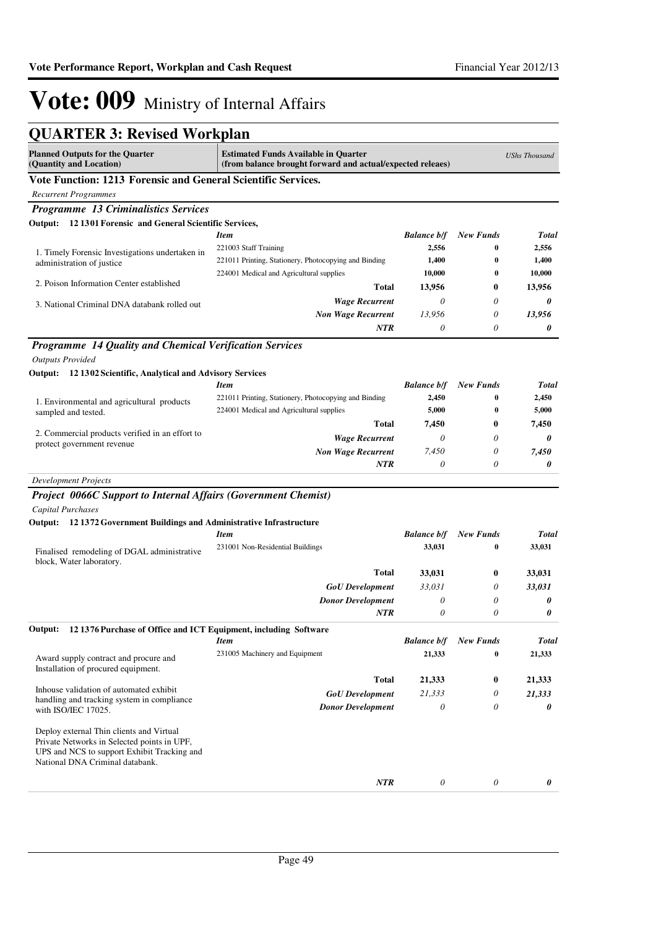| <b>QUARTER 3: Revised Workplan</b>                                                                                                                                        |                                                                                                           |                    |                  |                      |
|---------------------------------------------------------------------------------------------------------------------------------------------------------------------------|-----------------------------------------------------------------------------------------------------------|--------------------|------------------|----------------------|
| <b>Planned Outputs for the Quarter</b><br>(Quantity and Location)                                                                                                         | <b>Estimated Funds Available in Quarter</b><br>(from balance brought forward and actual/expected releaes) |                    |                  | <b>UShs Thousand</b> |
| Vote Function: 1213 Forensic and General Scientific Services.                                                                                                             |                                                                                                           |                    |                  |                      |
| <b>Recurrent Programmes</b>                                                                                                                                               |                                                                                                           |                    |                  |                      |
| <b>Programme 13 Criminalistics Services</b>                                                                                                                               |                                                                                                           |                    |                  |                      |
| Output: 12 1301 Forensic and General Scientific Services,                                                                                                                 |                                                                                                           |                    |                  |                      |
|                                                                                                                                                                           | <b>Item</b>                                                                                               | <b>Balance b/f</b> | <b>New Funds</b> | Total                |
| 1. Timely Forensic Investigations undertaken in                                                                                                                           | 221003 Staff Training                                                                                     | 2,556              | 0                | 2,556                |
| administration of justice                                                                                                                                                 | 221011 Printing, Stationery, Photocopying and Binding                                                     | 1,400              | 0                | 1,400                |
| 2. Poison Information Center established                                                                                                                                  | 224001 Medical and Agricultural supplies                                                                  | 10,000             | 0                | 10,000               |
|                                                                                                                                                                           | Total                                                                                                     | 13,956             | 0                | 13,956               |
| 3. National Criminal DNA databank rolled out                                                                                                                              | <b>Wage Recurrent</b>                                                                                     | $\theta$           | 0                | 0                    |
|                                                                                                                                                                           | <b>Non Wage Recurrent</b>                                                                                 | 13,956             | 0                | 13,956               |
|                                                                                                                                                                           | <b>NTR</b>                                                                                                | $\theta$           | 0                | 0                    |
| Programme 14 Quality and Chemical Verification Services                                                                                                                   |                                                                                                           |                    |                  |                      |
| <b>Outputs Provided</b>                                                                                                                                                   |                                                                                                           |                    |                  |                      |
| Output: 12 1302 Scientific, Analytical and Advisory Services                                                                                                              |                                                                                                           |                    |                  |                      |
|                                                                                                                                                                           | <b>Item</b>                                                                                               | <b>Balance b/f</b> | <b>New Funds</b> | Total                |
| 1. Environmental and agricultural products                                                                                                                                | 221011 Printing, Stationery, Photocopying and Binding                                                     | 2,450              | $\bf{0}$         | 2,450                |
| sampled and tested.                                                                                                                                                       | 224001 Medical and Agricultural supplies                                                                  | 5,000              | $\bf{0}$         | 5,000                |
| 2. Commercial products verified in an effort to                                                                                                                           | <b>Total</b>                                                                                              | 7,450              | 0                | 7,450                |
| protect government revenue                                                                                                                                                | <b>Wage Recurrent</b>                                                                                     | $\theta$           | 0                | 0                    |
|                                                                                                                                                                           | <b>Non Wage Recurrent</b>                                                                                 | 7,450              | 0                | 7,450                |
|                                                                                                                                                                           | NTR                                                                                                       | $\theta$           | 0                | 0                    |
| <b>Development Projects</b>                                                                                                                                               |                                                                                                           |                    |                  |                      |
| <b>Project 0066C Support to Internal Affairs (Government Chemist)</b>                                                                                                     |                                                                                                           |                    |                  |                      |
| <b>Capital Purchases</b>                                                                                                                                                  |                                                                                                           |                    |                  |                      |
| Output: 12 1372 Government Buildings and Administrative Infrastructure                                                                                                    |                                                                                                           |                    |                  |                      |
|                                                                                                                                                                           | <b>Item</b>                                                                                               | <b>Balance b/f</b> | <b>New Funds</b> | Total                |
| Finalised remodeling of DGAL administrative<br>block, Water laboratory.                                                                                                   | 231001 Non-Residential Buildings                                                                          | 33,031             | 0                | 33,031               |
|                                                                                                                                                                           | Total                                                                                                     | 33,031             | 0                | 33,031               |
|                                                                                                                                                                           | <b>GoU</b> Development                                                                                    | 33,031             | 0                | 33,031               |
|                                                                                                                                                                           | <b>Donor Development</b>                                                                                  | $\theta$           | 0                | 0                    |
|                                                                                                                                                                           | <b>NTR</b>                                                                                                | $\theta$           | 0                | 0                    |
| 12 1376 Purchase of Office and ICT Equipment, including Software<br>Output:                                                                                               |                                                                                                           |                    |                  |                      |
|                                                                                                                                                                           | <b>Item</b>                                                                                               | <b>Balance b/f</b> | <b>New Funds</b> | Total                |
| Award supply contract and procure and<br>Installation of procured equipment.                                                                                              | 231005 Machinery and Equipment                                                                            | 21,333             | $\bf{0}$         | 21,333               |
|                                                                                                                                                                           | <b>Total</b>                                                                                              | 21,333             | 0                | 21,333               |
| Inhouse validation of automated exhibit<br>handling and tracking system in compliance                                                                                     | <b>GoU</b> Development                                                                                    | 21,333             | 0                | 21,333               |
| with ISO/IEC 17025.                                                                                                                                                       | <b>Donor Development</b>                                                                                  | $\theta$           | 0                | 0                    |
| Deploy external Thin clients and Virtual<br>Private Networks in Selected points in UPF,<br>UPS and NCS to support Exhibit Tracking and<br>National DNA Criminal databank. |                                                                                                           |                    |                  |                      |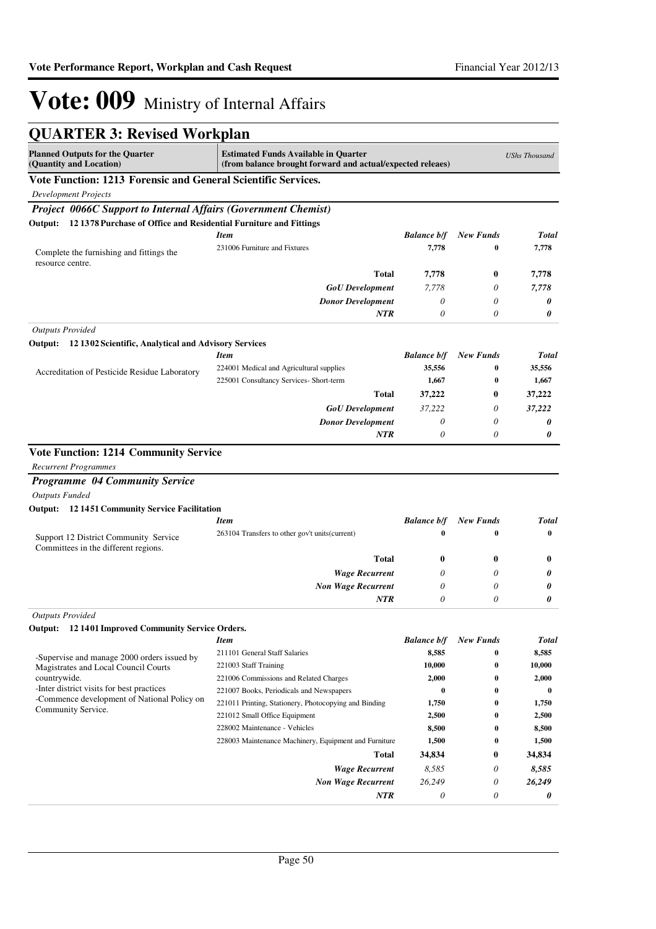| <b>QUARTER 3: Revised Workplan</b>                                                                                      |                                                                                                           |                    |                  |                      |
|-------------------------------------------------------------------------------------------------------------------------|-----------------------------------------------------------------------------------------------------------|--------------------|------------------|----------------------|
| <b>Planned Outputs for the Quarter</b><br>(Quantity and Location)                                                       | <b>Estimated Funds Available in Quarter</b><br>(from balance brought forward and actual/expected releaes) |                    |                  | <b>UShs Thousand</b> |
| Vote Function: 1213 Forensic and General Scientific Services.                                                           |                                                                                                           |                    |                  |                      |
| <b>Development Projects</b>                                                                                             |                                                                                                           |                    |                  |                      |
| Project 0066C Support to Internal Affairs (Government Chemist)                                                          |                                                                                                           |                    |                  |                      |
| Output: 12 1378 Purchase of Office and Residential Furniture and Fittings                                               |                                                                                                           |                    |                  |                      |
|                                                                                                                         | <b>Item</b>                                                                                               | <b>Balance b/f</b> | <b>New Funds</b> | <b>Total</b>         |
| Complete the furnishing and fittings the<br>resource centre.                                                            | 231006 Furniture and Fixtures                                                                             | 7,778              | 0                | 7,778                |
|                                                                                                                         | <b>Total</b>                                                                                              | 7,778              | $\bf{0}$         | 7,778                |
|                                                                                                                         | <b>GoU</b> Development                                                                                    | 7,778              | $\theta$         | 7,778                |
|                                                                                                                         | <b>Donor Development</b>                                                                                  | $\theta$           | 0                | 0                    |
|                                                                                                                         | <b>NTR</b>                                                                                                | $\theta$           | 0                | 0                    |
| <b>Outputs Provided</b>                                                                                                 |                                                                                                           |                    |                  |                      |
| Output: 12 1302 Scientific, Analytical and Advisory Services                                                            |                                                                                                           |                    |                  |                      |
|                                                                                                                         | <b>Item</b>                                                                                               | <b>Balance b/f</b> | <b>New Funds</b> | <b>Total</b>         |
| Accreditation of Pesticide Residue Laboratory                                                                           | 224001 Medical and Agricultural supplies                                                                  | 35,556             | 0                | 35,556               |
|                                                                                                                         | 225001 Consultancy Services- Short-term                                                                   | 1,667              | 0                | 1,667                |
|                                                                                                                         | <b>Total</b>                                                                                              | 37,222             | $\bf{0}$         | 37,222               |
|                                                                                                                         | <b>GoU</b> Development                                                                                    | 37,222             | 0                | 37,222               |
|                                                                                                                         | <b>Donor Development</b>                                                                                  | $\theta$           | 0                | 0                    |
|                                                                                                                         | NTR                                                                                                       | $\theta$           | 0                | 0                    |
| <b>Programme 04 Community Service</b><br><b>Outputs Funded</b><br><b>Output:</b> 12 1451 Community Service Facilitation |                                                                                                           |                    |                  |                      |
|                                                                                                                         | <b>Item</b>                                                                                               | <b>Balance b/f</b> | <b>New Funds</b> | <b>Total</b>         |
| Support 12 District Community Service<br>Committees in the different regions.                                           | 263104 Transfers to other gov't units (current)                                                           | $\bf{0}$           | 0                | $\bf{0}$             |
|                                                                                                                         | <b>Total</b>                                                                                              | $\bf{0}$           | $\bf{0}$         | $\bf{0}$             |
|                                                                                                                         | <b>Wage Recurrent</b>                                                                                     | 0                  | 0                | 0                    |
|                                                                                                                         | <b>Non Wage Recurrent</b>                                                                                 | 0                  | 0                | 0                    |
|                                                                                                                         | NTR                                                                                                       | 0                  | $\theta$         | 0                    |
| <b>Outputs Provided</b>                                                                                                 |                                                                                                           |                    |                  |                      |
| Output: 12 1401 Improved Community Service Orders.                                                                      |                                                                                                           |                    |                  |                      |
|                                                                                                                         | <b>Item</b>                                                                                               | <b>Balance b/f</b> | <b>New Funds</b> | <b>Total</b>         |
| -Supervise and manage 2000 orders issued by                                                                             | 211101 General Staff Salaries                                                                             | 8,585              | 0                | 8,585                |
| Magistrates and Local Council Courts                                                                                    | 221003 Staff Training                                                                                     | 10,000             | 0                | 10,000               |
| countrywide.                                                                                                            | 221006 Commissions and Related Charges                                                                    | 2,000              | 0                | 2,000                |
| -Inter district visits for best practices<br>-Commence development of National Policy on                                | 221007 Books, Periodicals and Newspapers                                                                  | 0                  | 0                | $\bf{0}$             |
| Community Service.                                                                                                      | 221011 Printing, Stationery, Photocopying and Binding<br>221012 Small Office Equipment                    | 1,750<br>2,500     | 0<br>0           | 1,750<br>2,500       |
|                                                                                                                         | 228002 Maintenance - Vehicles                                                                             | 8,500              | $\bf{0}$         | 8,500                |
|                                                                                                                         | 228003 Maintenance Machinery, Equipment and Furniture                                                     | 1,500              | 0                | 1,500                |
|                                                                                                                         | Total                                                                                                     | 34,834             | $\bf{0}$         | 34,834               |
|                                                                                                                         | <b>Wage Recurrent</b>                                                                                     | 8,585              | 0                | 8,585                |
|                                                                                                                         | <b>Non Wage Recurrent</b>                                                                                 | 26,249             | 0                | 26,249               |
|                                                                                                                         | NTR                                                                                                       | 0                  | 0                | 0                    |
|                                                                                                                         |                                                                                                           |                    |                  |                      |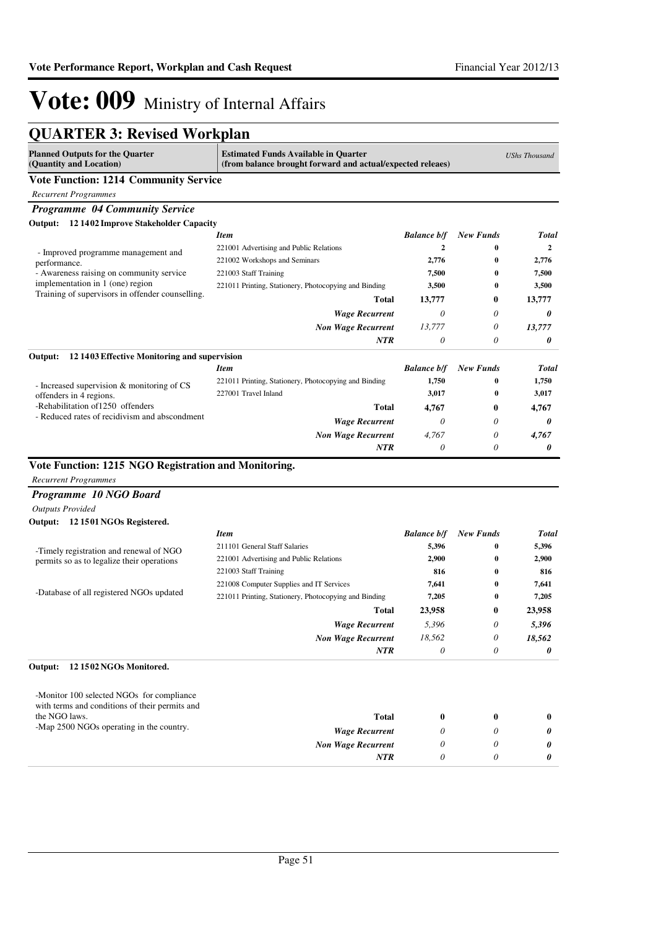| <b>QUARTER 3: Revised Workplan</b>                                                                                                                                             |                                                       |                    |                  |                |  |  |  |
|--------------------------------------------------------------------------------------------------------------------------------------------------------------------------------|-------------------------------------------------------|--------------------|------------------|----------------|--|--|--|
| <b>Estimated Funds Available in Quarter</b><br><b>Planned Outputs for the Quarter</b><br>(Quantity and Location)<br>(from balance brought forward and actual/expected releaes) |                                                       |                    |                  |                |  |  |  |
| <b>Vote Function: 1214 Community Service</b>                                                                                                                                   |                                                       |                    |                  |                |  |  |  |
| <b>Recurrent Programmes</b>                                                                                                                                                    |                                                       |                    |                  |                |  |  |  |
| <b>Programme 04 Community Service</b>                                                                                                                                          |                                                       |                    |                  |                |  |  |  |
| Output: 12 1402 Improve Stakeholder Capacity                                                                                                                                   |                                                       |                    |                  |                |  |  |  |
|                                                                                                                                                                                | <b>Item</b>                                           | <b>Balance b/f</b> | <b>New Funds</b> | Total          |  |  |  |
| - Improved programme management and                                                                                                                                            | 221001 Advertising and Public Relations               | $\mathbf{2}$       | $\bf{0}$         | $\overline{2}$ |  |  |  |
| performance.                                                                                                                                                                   | 221002 Workshops and Seminars                         | 2,776              | $\bf{0}$         | 2,776          |  |  |  |
| - Awareness raising on community service                                                                                                                                       | 221003 Staff Training                                 | 7,500              | $\bf{0}$         | 7,500          |  |  |  |
| implementation in 1 (one) region<br>Training of supervisors in offender counselling.                                                                                           | 221011 Printing, Stationery, Photocopying and Binding | 3,500              | $\bf{0}$         | 3,500          |  |  |  |
|                                                                                                                                                                                | Total                                                 | 13,777             | 0                | 13,777         |  |  |  |
|                                                                                                                                                                                | <b>Wage Recurrent</b>                                 | $\theta$           | 0                | 0              |  |  |  |
|                                                                                                                                                                                | <b>Non Wage Recurrent</b>                             | 13,777             | 0                | 13,777         |  |  |  |
|                                                                                                                                                                                | <b>NTR</b>                                            | 0                  | 0                | 0              |  |  |  |
| Output:<br>12 1403 Effective Monitoring and supervision                                                                                                                        |                                                       |                    |                  |                |  |  |  |
|                                                                                                                                                                                | <b>Item</b>                                           | <b>Balance b/f</b> | <b>New Funds</b> | <b>Total</b>   |  |  |  |
| - Increased supervision & monitoring of CS                                                                                                                                     | 221011 Printing, Stationery, Photocopying and Binding | 1,750              | 0                | 1,750          |  |  |  |
| offenders in 4 regions.                                                                                                                                                        | 227001 Travel Inland                                  | 3,017              | $\bf{0}$         | 3,017          |  |  |  |
| -Rehabilitation of 1250 offenders                                                                                                                                              | <b>Total</b>                                          | 4,767              | $\bf{0}$         | 4,767          |  |  |  |
| - Reduced rates of recidivism and abscondment                                                                                                                                  | <b>Wage Recurrent</b>                                 | 0                  | 0                | 0              |  |  |  |
|                                                                                                                                                                                | <b>Non Wage Recurrent</b>                             | 4.767              | 0                | 4,767          |  |  |  |
|                                                                                                                                                                                | NTR                                                   | $\theta$           | 0                | 0              |  |  |  |
| Vote Function: 1215 NGO Registration and Monitoring.                                                                                                                           |                                                       |                    |                  |                |  |  |  |
| <b>Recurrent Programmes</b>                                                                                                                                                    |                                                       |                    |                  |                |  |  |  |
| Programme 10 NGO Board                                                                                                                                                         |                                                       |                    |                  |                |  |  |  |
| <b>Outputs Provided</b>                                                                                                                                                        |                                                       |                    |                  |                |  |  |  |
| Output: 12 1501 NGOs Registered.                                                                                                                                               |                                                       |                    |                  |                |  |  |  |
|                                                                                                                                                                                | <b>Item</b>                                           | <b>Balance b/f</b> | <b>New Funds</b> | <b>Total</b>   |  |  |  |
| -Timely registration and renewal of NGO                                                                                                                                        | 211101 General Staff Salaries                         | 5,396              | $\bf{0}$         | 5,396          |  |  |  |
| permits so as to legalize their operations                                                                                                                                     | 221001 Advertising and Public Relations               | 2,900              | $\bf{0}$         | 2,900          |  |  |  |
|                                                                                                                                                                                | 221003 Staff Training                                 | 816                | 0                | 816            |  |  |  |
|                                                                                                                                                                                | 221008 Computer Supplies and IT Services              | 7,641              | 0                | 7,641          |  |  |  |
| -Database of all registered NGOs updated                                                                                                                                       | 221011 Printing, Stationery, Photocopying and Binding | 7,205              | 0                | 7,205          |  |  |  |
|                                                                                                                                                                                | Total                                                 | 23,958             | 0                | 23,958         |  |  |  |
|                                                                                                                                                                                | <b>Wage Recurrent</b>                                 | 5,396              | 0                | 5,396          |  |  |  |
|                                                                                                                                                                                | <b>Non Wage Recurrent</b>                             | 18,562             | $\theta$         | 18,562         |  |  |  |
|                                                                                                                                                                                | <b>NTR</b>                                            | 0                  | 0                | 0              |  |  |  |
| Output:<br>12 1502 NGOs Monitored.                                                                                                                                             |                                                       |                    |                  |                |  |  |  |
| -Monitor 100 selected NGOs for compliance                                                                                                                                      |                                                       |                    |                  |                |  |  |  |
| with terms and conditions of their permits and                                                                                                                                 |                                                       |                    |                  |                |  |  |  |
| the NGO laws.<br>-Map 2500 NGOs operating in the country.                                                                                                                      | <b>Total</b>                                          | $\bf{0}$           | $\bf{0}$         | $\bf{0}$       |  |  |  |
|                                                                                                                                                                                | <b>Wage Recurrent</b>                                 | 0                  | 0                | 0              |  |  |  |
|                                                                                                                                                                                | <b>Non Wage Recurrent</b>                             | 0                  | 0                | 0              |  |  |  |
|                                                                                                                                                                                | <b>NTR</b>                                            | 0                  | 0                | 0              |  |  |  |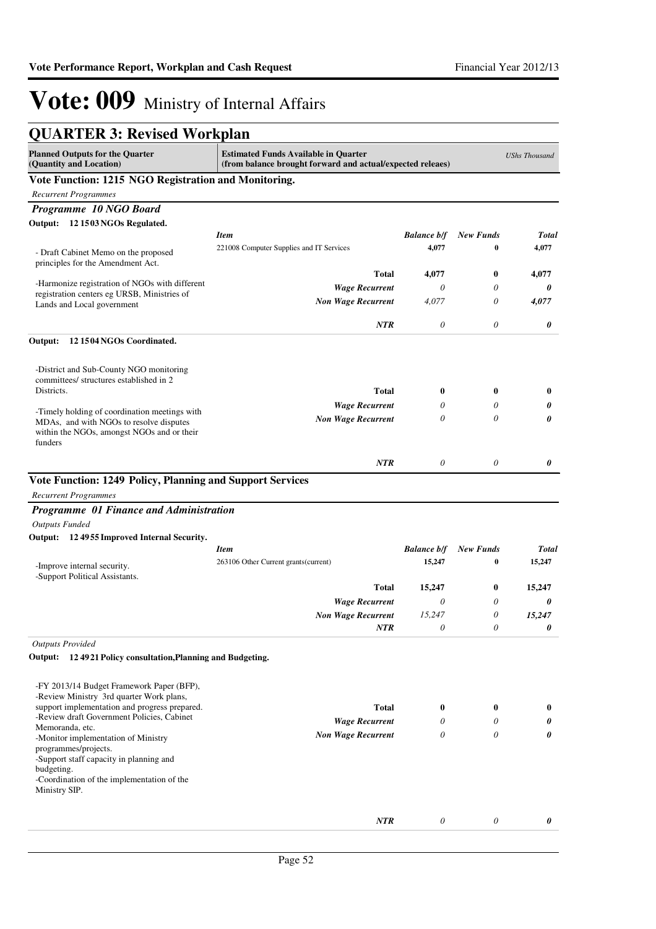| <b>QUARTER 3: Revised Workplan</b>                                                                                                                                 |                                                                                                           |                    |                  |                      |
|--------------------------------------------------------------------------------------------------------------------------------------------------------------------|-----------------------------------------------------------------------------------------------------------|--------------------|------------------|----------------------|
| <b>Planned Outputs for the Quarter</b><br>(Quantity and Location)                                                                                                  | <b>Estimated Funds Available in Quarter</b><br>(from balance brought forward and actual/expected releaes) |                    |                  | <b>UShs Thousand</b> |
| Vote Function: 1215 NGO Registration and Monitoring.                                                                                                               |                                                                                                           |                    |                  |                      |
| <b>Recurrent Programmes</b>                                                                                                                                        |                                                                                                           |                    |                  |                      |
| Programme 10 NGO Board                                                                                                                                             |                                                                                                           |                    |                  |                      |
| Output: 12 1503 NGOs Regulated.                                                                                                                                    |                                                                                                           |                    |                  |                      |
|                                                                                                                                                                    | <b>Item</b>                                                                                               | <b>Balance b/f</b> | <b>New Funds</b> | Total                |
| - Draft Cabinet Memo on the proposed<br>principles for the Amendment Act.                                                                                          | 221008 Computer Supplies and IT Services                                                                  | 4,077              | $\bf{0}$         | 4,077                |
|                                                                                                                                                                    | <b>Total</b>                                                                                              | 4,077              | $\bf{0}$         | 4,077                |
| -Harmonize registration of NGOs with different<br>registration centers eg URSB, Ministries of                                                                      | <b>Wage Recurrent</b>                                                                                     | 0                  | 0                | 0                    |
| Lands and Local government                                                                                                                                         | <b>Non Wage Recurrent</b>                                                                                 | 4,077              | 0                | 4,077                |
|                                                                                                                                                                    | <b>NTR</b>                                                                                                | $\theta$           | 0                | 0                    |
| Output:<br>121504NGOs Coordinated.                                                                                                                                 |                                                                                                           |                    |                  |                      |
| -District and Sub-County NGO monitoring<br>committees/ structures established in 2                                                                                 |                                                                                                           |                    |                  |                      |
| Districts.                                                                                                                                                         | <b>Total</b>                                                                                              | $\bf{0}$           | $\bf{0}$         | $\bf{0}$             |
| -Timely holding of coordination meetings with                                                                                                                      | <b>Wage Recurrent</b>                                                                                     | 0                  | 0                | 0                    |
| MDAs, and with NGOs to resolve disputes<br>within the NGOs, amongst NGOs and or their<br>funders                                                                   | <b>Non Wage Recurrent</b>                                                                                 | 0                  | 0                | 0                    |
|                                                                                                                                                                    | <b>NTR</b>                                                                                                | 0                  | $\theta$         | 0                    |
| Vote Function: 1249 Policy, Planning and Support Services<br><b>Recurrent Programmes</b><br>Programme 01 Finance and Administration<br><b>Outputs Funded</b>       |                                                                                                           |                    |                  |                      |
|                                                                                                                                                                    |                                                                                                           |                    |                  |                      |
| Output: 12 4955 Improved Internal Security.                                                                                                                        | <b>Item</b>                                                                                               | <b>Balance b/f</b> | <b>New Funds</b> | <b>Total</b>         |
| -Improve internal security.<br>-Support Political Assistants.                                                                                                      | 263106 Other Current grants (current)                                                                     | 15,247             | 0                | 15,247               |
|                                                                                                                                                                    | <b>Total</b>                                                                                              | 15,247             | $\bf{0}$         | 15,247               |
|                                                                                                                                                                    | <b>Wage Recurrent</b>                                                                                     | 0                  | 0                | 0                    |
|                                                                                                                                                                    | <b>Non Wage Recurrent</b>                                                                                 | 15,247             | 0                | 15,247               |
|                                                                                                                                                                    | <b>NTR</b>                                                                                                | $\theta$           | $\theta$         | 0                    |
| <b>Outputs Provided</b>                                                                                                                                            |                                                                                                           |                    |                  |                      |
| Output: 12 49 21 Policy consultation, Planning and Budgeting.                                                                                                      |                                                                                                           |                    |                  |                      |
| -FY 2013/14 Budget Framework Paper (BFP),                                                                                                                          |                                                                                                           |                    |                  |                      |
| -Review Ministry 3rd quarter Work plans,                                                                                                                           |                                                                                                           |                    |                  |                      |
| support implementation and progress prepared.<br>-Review draft Government Policies, Cabinet                                                                        | <b>Total</b>                                                                                              | $\bf{0}$           | $\bf{0}$         | $\bf{0}$             |
| Memoranda, etc.                                                                                                                                                    | <b>Wage Recurrent</b>                                                                                     | 0                  | 0                | 0                    |
| -Monitor implementation of Ministry<br>programmes/projects.<br>-Support staff capacity in planning and<br>budgeting.<br>-Coordination of the implementation of the | <b>Non Wage Recurrent</b>                                                                                 | $\theta$           | 0                | 0                    |
| Ministry SIP.                                                                                                                                                      | NTR                                                                                                       | $\theta$           | $\theta$         | 0                    |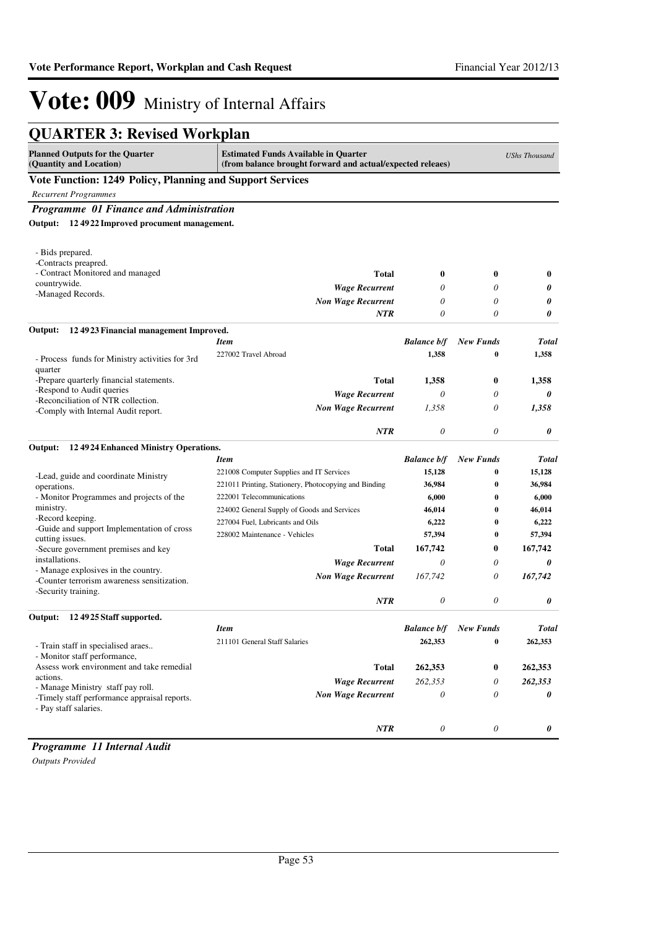| <b>QUARTER 3: Revised Workplan</b>                                                                                                                                             |                                                       |                    |                      |                      |  |
|--------------------------------------------------------------------------------------------------------------------------------------------------------------------------------|-------------------------------------------------------|--------------------|----------------------|----------------------|--|
| <b>Planned Outputs for the Quarter</b><br><b>Estimated Funds Available in Quarter</b><br>(Quantity and Location)<br>(from balance brought forward and actual/expected releaes) |                                                       |                    |                      | <b>UShs Thousand</b> |  |
| Vote Function: 1249 Policy, Planning and Support Services                                                                                                                      |                                                       |                    |                      |                      |  |
| <b>Recurrent Programmes</b>                                                                                                                                                    |                                                       |                    |                      |                      |  |
| Programme 01 Finance and Administration                                                                                                                                        |                                                       |                    |                      |                      |  |
| Output: 12 49 22 Improved procument management.                                                                                                                                |                                                       |                    |                      |                      |  |
| - Bids prepared.                                                                                                                                                               |                                                       |                    |                      |                      |  |
| -Contracts preapred.                                                                                                                                                           |                                                       |                    |                      |                      |  |
| - Contract Monitored and managed                                                                                                                                               | <b>Total</b>                                          | $\bf{0}$           | $\bf{0}$             | $\bf{0}$             |  |
| countrywide.<br>-Managed Records.                                                                                                                                              | <b>Wage Recurrent</b>                                 | 0                  | 0                    | 0                    |  |
|                                                                                                                                                                                | <b>Non Wage Recurrent</b>                             | 0                  | $\theta$             | 0                    |  |
|                                                                                                                                                                                | <b>NTR</b>                                            | $\theta$           | 0                    | 0                    |  |
| Output:<br>124923 Financial management Improved.                                                                                                                               |                                                       |                    |                      |                      |  |
|                                                                                                                                                                                | <b>Item</b>                                           | <b>Balance b/f</b> | <b>New Funds</b>     | <b>Total</b>         |  |
| - Process funds for Ministry activities for 3rd<br>quarter                                                                                                                     | 227002 Travel Abroad                                  | 1,358              | 0                    | 1,358                |  |
| -Prepare quarterly financial statements.                                                                                                                                       | <b>Total</b>                                          | 1,358              | $\bf{0}$             | 1.358                |  |
| -Respond to Audit queries                                                                                                                                                      | <b>Wage Recurrent</b>                                 | 0                  | 0                    | 0                    |  |
| -Reconciliation of NTR collection.                                                                                                                                             | <b>Non Wage Recurrent</b>                             | 1,358              | 0                    | 1,358                |  |
| -Comply with Internal Audit report.                                                                                                                                            |                                                       |                    |                      |                      |  |
|                                                                                                                                                                                | <b>NTR</b>                                            | $\theta$           | 0                    | 0                    |  |
| Output:<br>124924 Enhanced Ministry Operations.                                                                                                                                |                                                       |                    |                      |                      |  |
|                                                                                                                                                                                | <b>Item</b>                                           | <b>Balance b/f</b> | <b>New Funds</b>     | Total                |  |
| -Lead, guide and coordinate Ministry                                                                                                                                           | 221008 Computer Supplies and IT Services              | 15,128             | 0                    | 15,128               |  |
| operations.                                                                                                                                                                    | 221011 Printing, Stationery, Photocopying and Binding | 36,984             | $\bf{0}$             | 36,984               |  |
| - Monitor Programmes and projects of the<br>ministry.                                                                                                                          | 222001 Telecommunications                             | 6,000              | 0                    | 6,000                |  |
| -Record keeping.                                                                                                                                                               | 224002 General Supply of Goods and Services           | 46,014             | 0                    | 46,014               |  |
| -Guide and support Implementation of cross                                                                                                                                     | 227004 Fuel, Lubricants and Oils                      | 6,222              | $\bf{0}$<br>$\bf{0}$ | 6,222                |  |
| cutting issues.                                                                                                                                                                | 228002 Maintenance - Vehicles                         | 57,394             |                      | 57,394               |  |
| -Secure government premises and key<br>installations.                                                                                                                          | <b>Total</b>                                          | 167,742            | $\bf{0}$             | 167,742              |  |
| - Manage explosives in the country.                                                                                                                                            | <b>Wage Recurrent</b>                                 | 0                  | 0                    | 0                    |  |
| -Counter terrorism awareness sensitization.<br>-Security training.                                                                                                             | <b>Non Wage Recurrent</b>                             | 167,742            | 0                    | 167,742              |  |
|                                                                                                                                                                                | NTR                                                   | $\theta$           | 0                    | 0                    |  |
| Output:<br>12 49 25 Staff supported.                                                                                                                                           |                                                       |                    |                      |                      |  |
|                                                                                                                                                                                | <b>Item</b>                                           | <b>Balance b/f</b> | <b>New Funds</b>     | <b>Total</b>         |  |
| - Train staff in specialised araes                                                                                                                                             | 211101 General Staff Salaries                         | 262,353            | 0                    | 262,353              |  |
| - Monitor staff performance,                                                                                                                                                   |                                                       |                    |                      |                      |  |
| Assess work environment and take remedial                                                                                                                                      | <b>Total</b>                                          | 262,353            | $\bf{0}$             | 262,353              |  |
| actions.                                                                                                                                                                       | <b>Wage Recurrent</b>                                 | 262,353            | 0                    | 262,353              |  |
| - Manage Ministry staff pay roll.<br>-Timely staff performance appraisal reports.<br>- Pay staff salaries.                                                                     | <b>Non Wage Recurrent</b>                             | $\theta$           | 0                    | 0                    |  |
|                                                                                                                                                                                | NTR                                                   | 0                  | 0                    | 0                    |  |

*Programme 11 Internal Audit*

*Outputs Provided*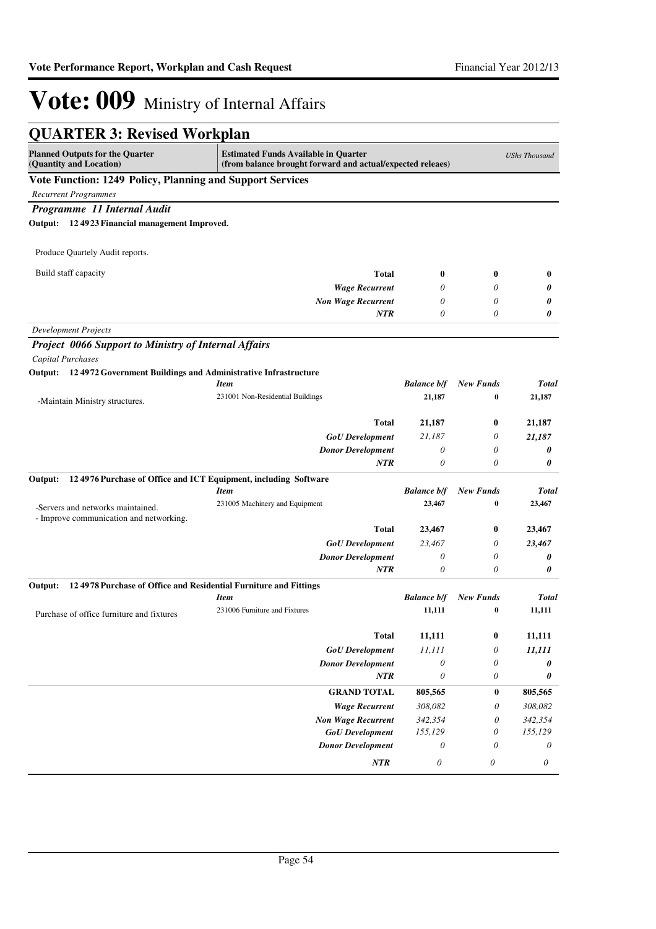| <b>QUARTER 3: Revised Workplan</b>                                           |                                                                                                           |                                                    |                  |                      |
|------------------------------------------------------------------------------|-----------------------------------------------------------------------------------------------------------|----------------------------------------------------|------------------|----------------------|
| <b>Planned Outputs for the Quarter</b><br>(Quantity and Location)            | <b>Estimated Funds Available in Quarter</b><br>(from balance brought forward and actual/expected releaes) |                                                    |                  | <b>UShs Thousand</b> |
| Vote Function: 1249 Policy, Planning and Support Services                    |                                                                                                           |                                                    |                  |                      |
| <b>Recurrent Programmes</b>                                                  |                                                                                                           |                                                    |                  |                      |
| Programme 11 Internal Audit                                                  |                                                                                                           |                                                    |                  |                      |
| Output: 12 49 23 Financial management Improved.                              |                                                                                                           |                                                    |                  |                      |
| Produce Quartely Audit reports.                                              |                                                                                                           |                                                    |                  |                      |
| Build staff capacity                                                         | <b>Total</b>                                                                                              | 0                                                  | $\bf{0}$         | $\bf{0}$             |
|                                                                              | <b>Wage Recurrent</b>                                                                                     | 0                                                  | 0                | 0                    |
|                                                                              | <b>Non Wage Recurrent</b>                                                                                 | 0                                                  | 0                | 0                    |
|                                                                              | NTR                                                                                                       | 0                                                  | 0                | 0                    |
| <b>Development Projects</b>                                                  |                                                                                                           |                                                    |                  |                      |
| <b>Project 0066 Support to Ministry of Internal Affairs</b>                  |                                                                                                           |                                                    |                  |                      |
| Capital Purchases                                                            |                                                                                                           |                                                    |                  |                      |
| Output: 124972 Government Buildings and Administrative Infrastructure        |                                                                                                           |                                                    |                  |                      |
|                                                                              | <b>Item</b>                                                                                               | <b>Balance b/f</b>                                 | <b>New Funds</b> | <b>Total</b>         |
| -Maintain Ministry structures.                                               | 231001 Non-Residential Buildings                                                                          | 21,187                                             | $\bf{0}$         | 21,187               |
|                                                                              |                                                                                                           |                                                    |                  |                      |
|                                                                              | Total                                                                                                     | 21,187                                             | $\bf{0}$         | 21,187               |
|                                                                              | <b>GoU</b> Development                                                                                    | 21,187<br>0                                        | 0<br>0           | 21,187               |
|                                                                              | <b>Donor Development</b><br><b>NTR</b>                                                                    | 0                                                  | 0                | 0<br>0               |
| Output:                                                                      |                                                                                                           |                                                    |                  |                      |
| 124976 Purchase of Office and ICT Equipment, including Software              | <b>Item</b>                                                                                               | <b>Balance b/f</b>                                 | <b>New Funds</b> | <b>Total</b>         |
|                                                                              | 231005 Machinery and Equipment                                                                            | 23,467                                             | $\bf{0}$         | 23,467               |
| -Servers and networks maintained.<br>- Improve communication and networking. |                                                                                                           |                                                    |                  |                      |
|                                                                              | Total                                                                                                     | 23,467                                             | $\bf{0}$         | 23,467               |
|                                                                              | <b>GoU</b> Development                                                                                    | 23,467                                             | 0                | 23,467               |
|                                                                              | <b>Donor Development</b>                                                                                  | 0                                                  | 0                | 0                    |
|                                                                              | NTR                                                                                                       | 0                                                  | 0                | 0                    |
| 124978 Purchase of Office and Residential Furniture and Fittings<br>Output:  |                                                                                                           |                                                    |                  |                      |
|                                                                              | <b>Item</b>                                                                                               | <b>Balance b/f</b>                                 | <b>New Funds</b> | Total                |
| Purchase of office furniture and fixtures                                    | 231006 Furniture and Fixtures                                                                             | 11,111                                             | 0                | 11,111               |
|                                                                              |                                                                                                           |                                                    |                  |                      |
|                                                                              | <b>Total</b>                                                                                              | 11,111                                             | $\bf{0}$         | 11,111               |
|                                                                              | <b>GoU</b> Development<br><b>Donor Development</b>                                                        | 11,111                                             | 0                | 11,111               |
|                                                                              | <b>NTR</b>                                                                                                | $\boldsymbol{\mathit{0}}$<br>$\boldsymbol{\theta}$ | 0<br>0           | 0<br>0               |
|                                                                              |                                                                                                           |                                                    |                  |                      |
|                                                                              | <b>GRAND TOTAL</b>                                                                                        | 805,565                                            | 0                | 805,565              |
|                                                                              | <b>Wage Recurrent</b>                                                                                     | 308,082                                            | 0                | 308,082              |
|                                                                              | <b>Non Wage Recurrent</b><br><b>GoU</b> Development                                                       | 342,354<br>155,129                                 | 0<br>0           | 342,354<br>155,129   |
|                                                                              | <b>Donor Development</b>                                                                                  | $\theta$                                           | 0                | 0                    |
|                                                                              | NTR                                                                                                       | $\boldsymbol{\theta}$                              | 0                | 0                    |
|                                                                              |                                                                                                           |                                                    |                  |                      |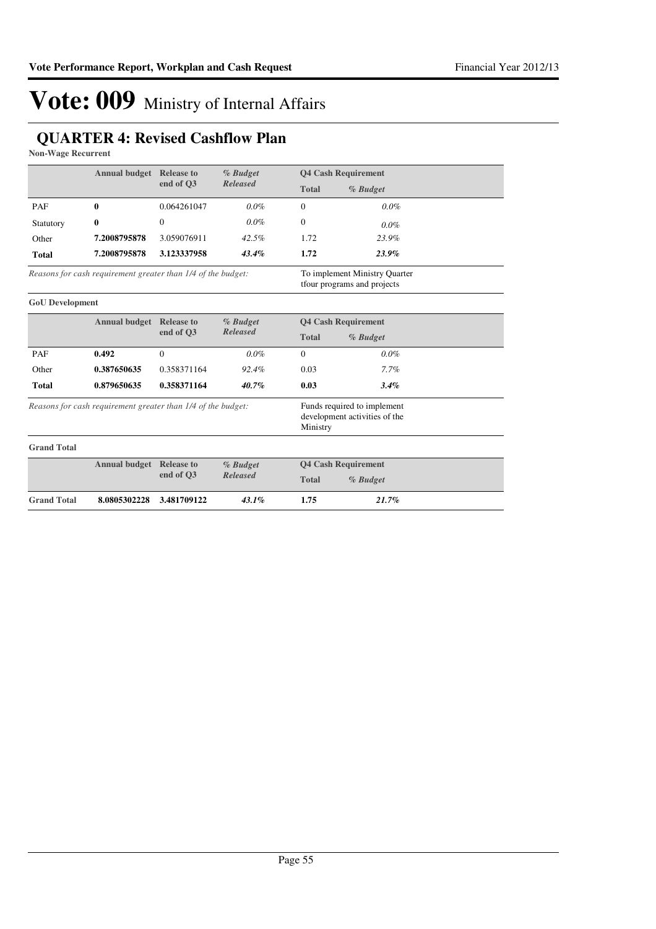### **QUARTER 4: Revised Cashflow Plan**

**Non-Wage Recurrent**

|                        | <b>Annual budget</b> Release to                              |                   | % Budget        | <b>Q4 Cash Requirement</b> |                                                              |  |
|------------------------|--------------------------------------------------------------|-------------------|-----------------|----------------------------|--------------------------------------------------------------|--|
|                        |                                                              | end of O3         | <b>Released</b> | <b>Total</b>               | % Budget                                                     |  |
| PAF                    | $\bf{0}$                                                     | 0.064261047       | $0.0\%$         | $\Omega$                   | $0.0\%$                                                      |  |
| Statutory              | $\bf{0}$                                                     | $\theta$          | $0.0\%$         | $\mathbf{0}$               | $0.0\%$                                                      |  |
| Other                  | 7.2008795878                                                 | 3.059076911       | 42.5%           | 1.72                       | 23.9%                                                        |  |
| <b>Total</b>           | 7.2008795878                                                 | 3.123337958       | 43.4%           | 1.72                       | 23.9%                                                        |  |
|                        | Reasons for cash requirement greater than 1/4 of the budget: |                   |                 |                            | To implement Ministry Quarter<br>tfour programs and projects |  |
| <b>GoU</b> Development |                                                              |                   |                 |                            |                                                              |  |
|                        | <b>Annual budget Release to</b>                              |                   | % Budget        |                            | <b>Q4 Cash Requirement</b>                                   |  |
|                        |                                                              | end of O3         | <b>Released</b> | <b>Total</b>               | % Budget                                                     |  |
| PAF                    | 0.492                                                        | $\Omega$          | $0.0\%$         | $\Omega$                   | $0.0\%$                                                      |  |
| Other                  | 0.387650635                                                  | 0.358371164       | 92.4%           | 0.03                       | 7.7%                                                         |  |
| <b>Total</b>           | 0.879650635                                                  | 0.358371164       | $40.7\%$        | 0.03                       | 3.4%                                                         |  |
|                        | Reasons for cash requirement greater than 1/4 of the budget: |                   |                 | Ministry                   | Funds required to implement<br>development activities of the |  |
| <b>Grand Total</b>     |                                                              |                   |                 |                            |                                                              |  |
|                        | <b>Annual budget</b>                                         | <b>Release to</b> | % Budget        |                            | <b>Q4 Cash Requirement</b>                                   |  |
|                        |                                                              | end of O3         | <b>Released</b> | <b>Total</b>               | % Budget                                                     |  |
| <b>Grand Total</b>     | 8.0805302228                                                 | 3.481709122       | 43.1%           | 1.75                       | 21.7%                                                        |  |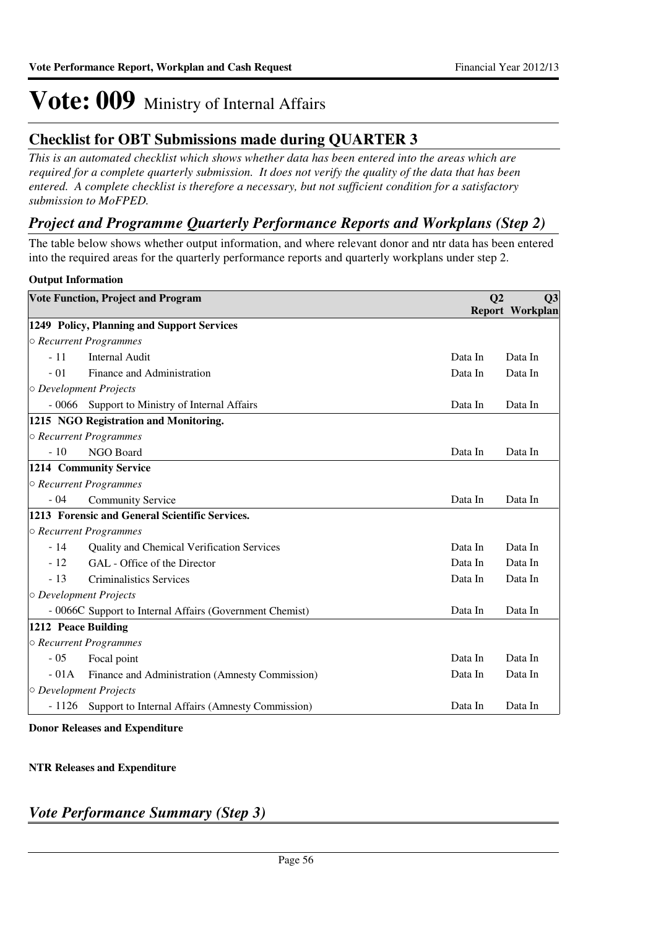### **Checklist for OBT Submissions made during QUARTER 3**

*This is an automated checklist which shows whether data has been entered into the areas which are required for a complete quarterly submission. It does not verify the quality of the data that has been entered. A complete checklist is therefore a necessary, but not sufficient condition for a satisfactory submission to MoFPED.*

### *Project and Programme Quarterly Performance Reports and Workplans (Step 2)*

The table below shows whether output information, and where relevant donor and ntr data has been entered into the required areas for the quarterly performance reports and quarterly workplans under step 2.

### **Output Information**

|                     | <b>Vote Function, Project and Program</b>                | Q <sub>2</sub> | Q3<br><b>Report Workplan</b> |
|---------------------|----------------------------------------------------------|----------------|------------------------------|
|                     | 1249 Policy, Planning and Support Services               |                |                              |
|                     | ○ Recurrent Programmes                                   |                |                              |
| $-11$               | <b>Internal Audit</b>                                    | Data In        | Data In                      |
| $-01$               | Finance and Administration                               | Data In        | Data In                      |
|                     | $\circ$ Development Projects                             |                |                              |
| $-0066$             | Support to Ministry of Internal Affairs                  | Data In        | Data In                      |
|                     | 1215 NGO Registration and Monitoring.                    |                |                              |
|                     | ○ Recurrent Programmes                                   |                |                              |
| $-10$               | NGO Board                                                | Data In        | Data In                      |
|                     | 1214 Community Service                                   |                |                              |
|                     | ○ Recurrent Programmes                                   |                |                              |
| $-04$               | <b>Community Service</b>                                 | Data In        | Data In                      |
|                     | 1213 Forensic and General Scientific Services.           |                |                              |
|                     | ○ Recurrent Programmes                                   |                |                              |
| $-14$               | Quality and Chemical Verification Services               | Data In        | Data In                      |
| $-12$               | GAL - Office of the Director                             | Data In        | Data In                      |
| $-13$               | <b>Criminalistics Services</b>                           | Data In        | Data In                      |
|                     | $\circ$ Development Projects                             |                |                              |
|                     | - 0066C Support to Internal Affairs (Government Chemist) | Data In        | Data In                      |
| 1212 Peace Building |                                                          |                |                              |
|                     | ○ Recurrent Programmes                                   |                |                              |
| $-05$               | Focal point                                              | Data In        | Data In                      |
| $-01A$              | Finance and Administration (Amnesty Commission)          | Data In        | Data In                      |
|                     | O Development Projects                                   |                |                              |
| $-1126$             | Support to Internal Affairs (Amnesty Commission)         | Data In        | Data In                      |

**Donor Releases and Expenditure**

### **NTR Releases and Expenditure**

### *Vote Performance Summary (Step 3)*